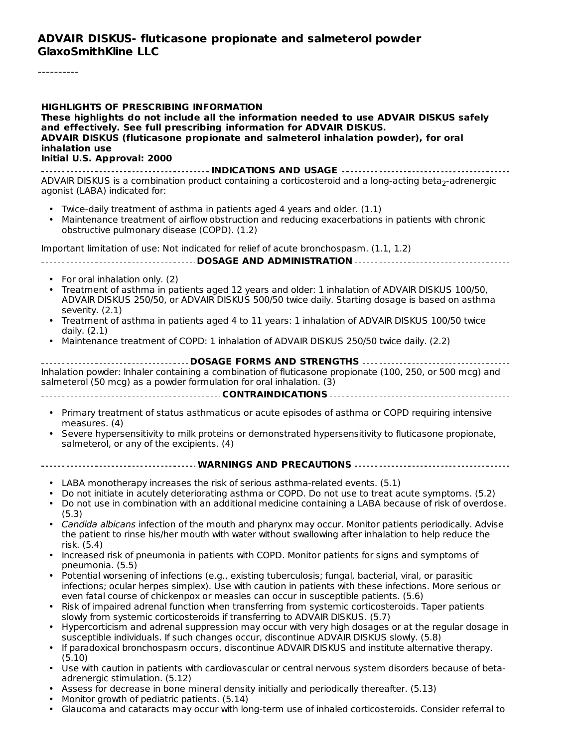----------

#### **HIGHLIGHTS OF PRESCRIBING INFORMATION**

**These highlights do not include all the information needed to use ADVAIR DISKUS safely and effectively. See full prescribing information for ADVAIR DISKUS. ADVAIR DISKUS (fluticasone propionate and salmeterol inhalation powder), for oral inhalation use Initial U.S. Approval: 2000**

#### **INDICATIONS AND USAGE** ADVAIR DISKUS is a combination product containing a corticosteroid and a long-acting beta $_2$ -adrenergic agonist (LABA) indicated for:

- Twice-daily treatment of asthma in patients aged 4 years and older. (1.1)
- Maintenance treatment of airflow obstruction and reducing exacerbations in patients with chronic obstructive pulmonary disease (COPD). (1.2)

Important limitation of use: Not indicated for relief of acute bronchospasm. (1.1, 1.2)

#### **DOSAGE AND ADMINISTRATION**

- For oral inhalation only. (2)
- Treatment of asthma in patients aged 12 years and older: 1 inhalation of ADVAIR DISKUS 100/50, ADVAIR DISKUS 250/50, or ADVAIR DISKUS 500/50 twice daily. Starting dosage is based on asthma severity. (2.1)
- Treatment of asthma in patients aged 4 to 11 years: 1 inhalation of ADVAIR DISKUS 100/50 twice daily. (2.1)
- Maintenance treatment of COPD: 1 inhalation of ADVAIR DISKUS 250/50 twice daily. (2.2)

**DOSAGE FORMS AND STRENGTHS** Inhalation powder: Inhaler containing a combination of fluticasone propionate (100, 250, or 500 mcg) and salmeterol (50 mcg) as a powder formulation for oral inhalation. (3)

#### **CONTRAINDICATIONS**

- Primary treatment of status asthmaticus or acute episodes of asthma or COPD requiring intensive measures. (4)
- Severe hypersensitivity to milk proteins or demonstrated hypersensitivity to fluticasone propionate, salmeterol, or any of the excipients. (4)
- **WARNINGS AND PRECAUTIONS**
	- LABA monotherapy increases the risk of serious asthma-related events. (5.1)
	- Do not initiate in acutely deteriorating asthma or COPD. Do not use to treat acute symptoms. (5.2)
	- Do not use in combination with an additional medicine containing a LABA because of risk of overdose. (5.3)
	- Candida albicans infection of the mouth and pharynx may occur. Monitor patients periodically. Advise the patient to rinse his/her mouth with water without swallowing after inhalation to help reduce the risk. (5.4)
	- Increased risk of pneumonia in patients with COPD. Monitor patients for signs and symptoms of pneumonia. (5.5)
	- Potential worsening of infections (e.g., existing tuberculosis; fungal, bacterial, viral, or parasitic infections; ocular herpes simplex). Use with caution in patients with these infections. More serious or even fatal course of chickenpox or measles can occur in susceptible patients. (5.6)
	- Risk of impaired adrenal function when transferring from systemic corticosteroids. Taper patients slowly from systemic corticosteroids if transferring to ADVAIR DISKUS. (5.7)
	- Hypercorticism and adrenal suppression may occur with very high dosages or at the regular dosage in susceptible individuals. If such changes occur, discontinue ADVAIR DISKUS slowly. (5.8)
	- If paradoxical bronchospasm occurs, discontinue ADVAIR DISKUS and institute alternative therapy. (5.10)
	- Use with caution in patients with cardiovascular or central nervous system disorders because of betaadrenergic stimulation. (5.12)
	- Assess for decrease in bone mineral density initially and periodically thereafter. (5.13)
	- Monitor growth of pediatric patients. (5.14)
	- Glaucoma and cataracts may occur with long-term use of inhaled corticosteroids. Consider referral to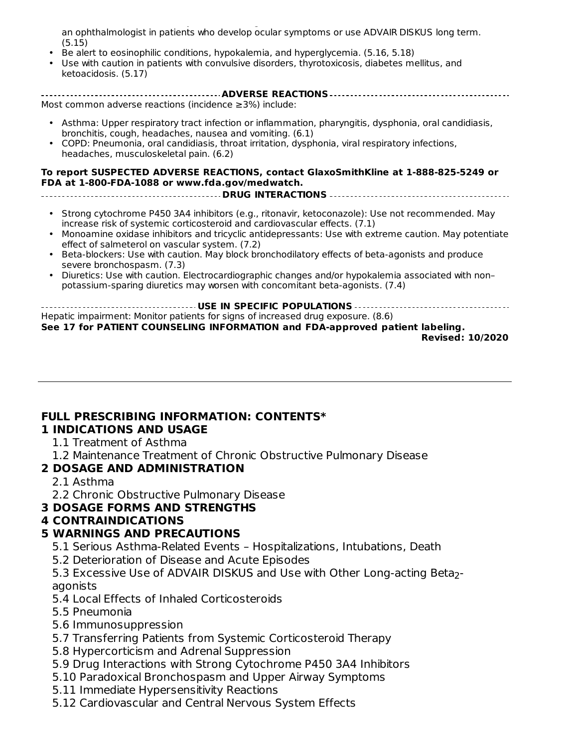Glaucoma and cataracts may occur with long-term use of inhaled corticosteroids. Consider referral to an ophthalmologist in patients who develop ocular symptoms or use ADVAIR DISKUS long term. (5.15)

- Be alert to eosinophilic conditions, hypokalemia, and hyperglycemia. (5.16, 5.18)
- Use with caution in patients with convulsive disorders, thyrotoxicosis, diabetes mellitus, and ketoacidosis. (5.17)

| Most common adverse reactions (incidence $\geq$ 3%) include:                                                                                                                                                      |
|-------------------------------------------------------------------------------------------------------------------------------------------------------------------------------------------------------------------|
|                                                                                                                                                                                                                   |
| • Asthma: Upper respiratory tract infection or inflammation, pharyngitis, dysphonia, oral candidiasis,<br>the contribution of a contribution of the contribution of the contribution of $\mathcal{O}(\mathbf{1})$ |

• COPD: Pneumonia, oral candidiasis, throat irritation, dysphonia, viral respiratory infections, bronchitis, cough, headaches, nausea and vomiting. (6.1) headaches, musculoskeletal pain. (6.2)

#### **To report SUSPECTED ADVERSE REACTIONS, contact GlaxoSmithKline at 1-888-825-5249 or FDA at 1-800-FDA-1088 or www.fda.gov/medwatch.**

- **DRUG INTERACTIONS**
	- Strong cytochrome P450 3A4 inhibitors (e.g., ritonavir, ketoconazole): Use not recommended. May increase risk of systemic corticosteroid and cardiovascular effects. (7.1)
	- Monoamine oxidase inhibitors and tricyclic antidepressants: Use with extreme caution. May potentiate effect of salmeterol on vascular system. (7.2)
	- Beta-blockers: Use with caution. May block bronchodilatory effects of beta-agonists and produce severe bronchospasm. (7.3)
	- Diuretics: Use with caution. Electrocardiographic changes and/or hypokalemia associated with non– potassium-sparing diuretics may worsen with concomitant beta-agonists. (7.4)

**USE IN SPECIFIC POPULATIONS** Hepatic impairment: Monitor patients for signs of increased drug exposure. (8.6) **See 17 for PATIENT COUNSELING INFORMATION and FDA-approved patient labeling.**

**Revised: 10/2020**

## **FULL PRESCRIBING INFORMATION: CONTENTS\***

#### **1 INDICATIONS AND USAGE**

- 1.1 Treatment of Asthma
- 1.2 Maintenance Treatment of Chronic Obstructive Pulmonary Disease

## **2 DOSAGE AND ADMINISTRATION**

- 2.1 Asthma
- 2.2 Chronic Obstructive Pulmonary Disease

#### **3 DOSAGE FORMS AND STRENGTHS**

#### **4 CONTRAINDICATIONS**

#### **5 WARNINGS AND PRECAUTIONS**

- 5.1 Serious Asthma-Related Events Hospitalizations, Intubations, Death
- 5.2 Deterioration of Disease and Acute Episodes

5.3 Excessive Use of ADVAIR DISKUS and Use with Other Long-acting Beta<sub>2</sub>agonists

- 5.4 Local Effects of Inhaled Corticosteroids
- 5.5 Pneumonia
- 5.6 Immunosuppression
- 5.7 Transferring Patients from Systemic Corticosteroid Therapy
- 5.8 Hypercorticism and Adrenal Suppression
- 5.9 Drug Interactions with Strong Cytochrome P450 3A4 Inhibitors
- 5.10 Paradoxical Bronchospasm and Upper Airway Symptoms
- 5.11 Immediate Hypersensitivity Reactions
- 5.12 Cardiovascular and Central Nervous System Effects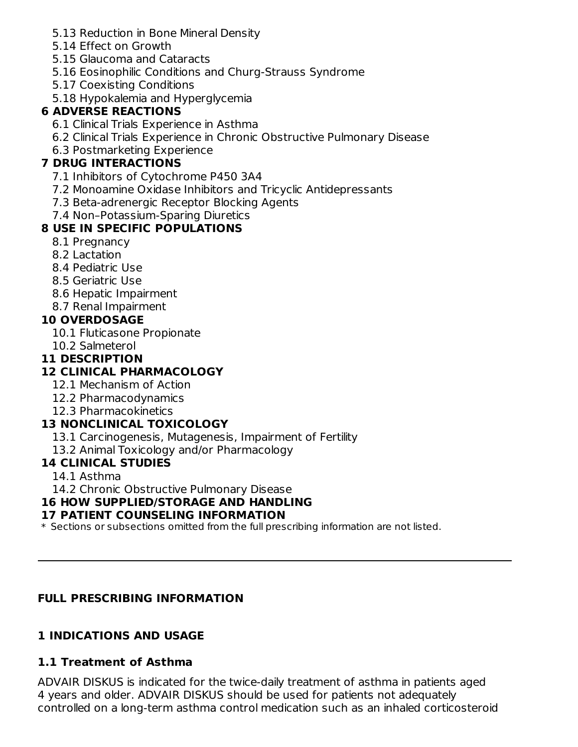- 5.13 Reduction in Bone Mineral Density
- 5.14 Effect on Growth
- 5.15 Glaucoma and Cataracts
- 5.16 Eosinophilic Conditions and Churg-Strauss Syndrome
- 5.17 Coexisting Conditions
- 5.18 Hypokalemia and Hyperglycemia

## **6 ADVERSE REACTIONS**

- 6.1 Clinical Trials Experience in Asthma
- 6.2 Clinical Trials Experience in Chronic Obstructive Pulmonary Disease
- 6.3 Postmarketing Experience

## **7 DRUG INTERACTIONS**

- 7.1 Inhibitors of Cytochrome P450 3A4
- 7.2 Monoamine Oxidase Inhibitors and Tricyclic Antidepressants
- 7.3 Beta-adrenergic Receptor Blocking Agents
- 7.4 Non–Potassium-Sparing Diuretics

## **8 USE IN SPECIFIC POPULATIONS**

- 8.1 Pregnancy
- 8.2 Lactation
- 8.4 Pediatric Use
- 8.5 Geriatric Use
- 8.6 Hepatic Impairment
- 8.7 Renal Impairment

## **10 OVERDOSAGE**

- 10.1 Fluticasone Propionate
- 10.2 Salmeterol

## **11 DESCRIPTION**

## **12 CLINICAL PHARMACOLOGY**

- 12.1 Mechanism of Action
- 12.2 Pharmacodynamics
- 12.3 Pharmacokinetics

## **13 NONCLINICAL TOXICOLOGY**

- 13.1 Carcinogenesis, Mutagenesis, Impairment of Fertility
- 13.2 Animal Toxicology and/or Pharmacology

## **14 CLINICAL STUDIES**

- 14.1 Asthma
- 14.2 Chronic Obstructive Pulmonary Disease

## **16 HOW SUPPLIED/STORAGE AND HANDLING**

## **17 PATIENT COUNSELING INFORMATION**

 $\ast$  Sections or subsections omitted from the full prescribing information are not listed.

## **FULL PRESCRIBING INFORMATION**

## **1 INDICATIONS AND USAGE**

## **1.1 Treatment of Asthma**

ADVAIR DISKUS is indicated for the twice-daily treatment of asthma in patients aged 4 years and older. ADVAIR DISKUS should be used for patients not adequately controlled on a long-term asthma control medication such as an inhaled corticosteroid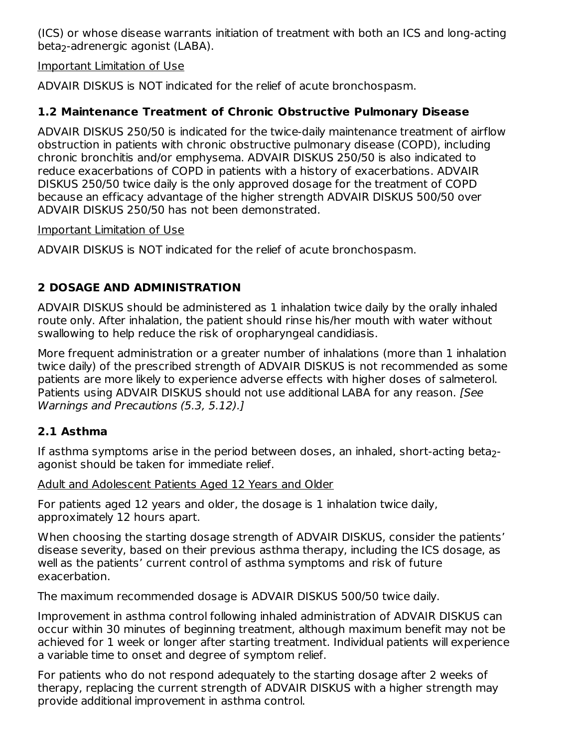(ICS) or whose disease warrants initiation of treatment with both an ICS and long-acting beta<sub>2</sub>-adrenergic agonist (LABA).

#### Important Limitation of Use

ADVAIR DISKUS is NOT indicated for the relief of acute bronchospasm.

### **1.2 Maintenance Treatment of Chronic Obstructive Pulmonary Disease**

ADVAIR DISKUS 250/50 is indicated for the twice-daily maintenance treatment of airflow obstruction in patients with chronic obstructive pulmonary disease (COPD), including chronic bronchitis and/or emphysema. ADVAIR DISKUS 250/50 is also indicated to reduce exacerbations of COPD in patients with a history of exacerbations. ADVAIR DISKUS 250/50 twice daily is the only approved dosage for the treatment of COPD because an efficacy advantage of the higher strength ADVAIR DISKUS 500/50 over ADVAIR DISKUS 250/50 has not been demonstrated.

#### Important Limitation of Use

ADVAIR DISKUS is NOT indicated for the relief of acute bronchospasm.

## **2 DOSAGE AND ADMINISTRATION**

ADVAIR DISKUS should be administered as 1 inhalation twice daily by the orally inhaled route only. After inhalation, the patient should rinse his/her mouth with water without swallowing to help reduce the risk of oropharyngeal candidiasis.

More frequent administration or a greater number of inhalations (more than 1 inhalation twice daily) of the prescribed strength of ADVAIR DISKUS is not recommended as some patients are more likely to experience adverse effects with higher doses of salmeterol. Patients using ADVAIR DISKUS should not use additional LABA for any reason. [See Warnings and Precautions (5.3, 5.12).]

## **2.1 Asthma**

If asthma symptoms arise in the period between doses, an inhaled, short-acting beta<sub>2</sub>agonist should be taken for immediate relief.

#### Adult and Adolescent Patients Aged 12 Years and Older

For patients aged 12 years and older, the dosage is 1 inhalation twice daily, approximately 12 hours apart.

When choosing the starting dosage strength of ADVAIR DISKUS, consider the patients' disease severity, based on their previous asthma therapy, including the ICS dosage, as well as the patients' current control of asthma symptoms and risk of future exacerbation.

The maximum recommended dosage is ADVAIR DISKUS 500/50 twice daily.

Improvement in asthma control following inhaled administration of ADVAIR DISKUS can occur within 30 minutes of beginning treatment, although maximum benefit may not be achieved for 1 week or longer after starting treatment. Individual patients will experience a variable time to onset and degree of symptom relief.

For patients who do not respond adequately to the starting dosage after 2 weeks of therapy, replacing the current strength of ADVAIR DISKUS with a higher strength may provide additional improvement in asthma control.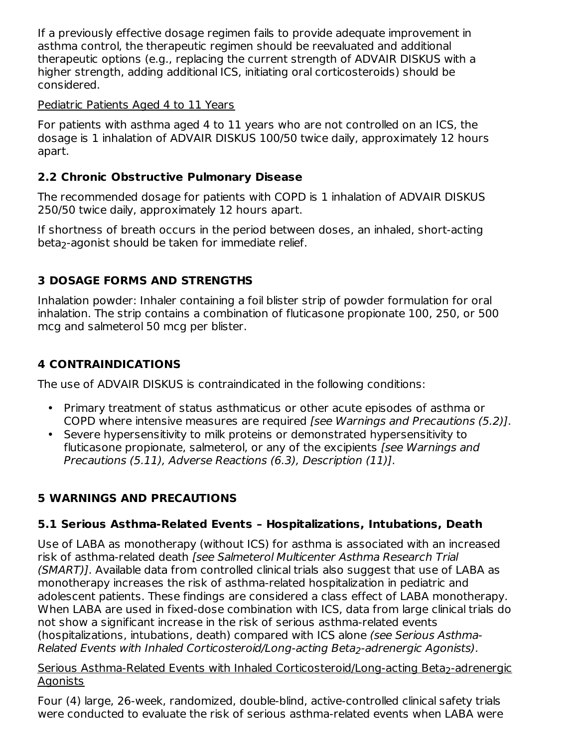If a previously effective dosage regimen fails to provide adequate improvement in asthma control, the therapeutic regimen should be reevaluated and additional therapeutic options (e.g., replacing the current strength of ADVAIR DISKUS with a higher strength, adding additional ICS, initiating oral corticosteroids) should be considered.

#### Pediatric Patients Aged 4 to 11 Years

For patients with asthma aged 4 to 11 years who are not controlled on an ICS, the dosage is 1 inhalation of ADVAIR DISKUS 100/50 twice daily, approximately 12 hours apart.

## **2.2 Chronic Obstructive Pulmonary Disease**

The recommended dosage for patients with COPD is 1 inhalation of ADVAIR DISKUS 250/50 twice daily, approximately 12 hours apart.

If shortness of breath occurs in the period between doses, an inhaled, short-acting beta<sub>2</sub>-agonist should be taken for immediate relief.

## **3 DOSAGE FORMS AND STRENGTHS**

Inhalation powder: Inhaler containing a foil blister strip of powder formulation for oral inhalation. The strip contains a combination of fluticasone propionate 100, 250, or 500 mcg and salmeterol 50 mcg per blister.

## **4 CONTRAINDICATIONS**

The use of ADVAIR DISKUS is contraindicated in the following conditions:

- Primary treatment of status asthmaticus or other acute episodes of asthma or COPD where intensive measures are required [see Warnings and Precautions (5.2)].
- Severe hypersensitivity to milk proteins or demonstrated hypersensitivity to fluticasone propionate, salmeterol, or any of the excipients [see Warnings and Precautions (5.11), Adverse Reactions (6.3), Description (11)].

## **5 WARNINGS AND PRECAUTIONS**

## **5.1 Serious Asthma-Related Events – Hospitalizations, Intubations, Death**

Use of LABA as monotherapy (without ICS) for asthma is associated with an increased risk of asthma-related death [see Salmeterol Multicenter Asthma Research Trial (SMART)]. Available data from controlled clinical trials also suggest that use of LABA as monotherapy increases the risk of asthma-related hospitalization in pediatric and adolescent patients. These findings are considered a class effect of LABA monotherapy. When LABA are used in fixed-dose combination with ICS, data from large clinical trials do not show a significant increase in the risk of serious asthma-related events (hospitalizations, intubations, death) compared with ICS alone (see Serious Asthma-Related Events with Inhaled Corticosteroid/Long-acting Beta<sub>2</sub>-adrenergic Agonists).

#### <u>Serious Asthma-Related Events with Inhaled Corticosteroid/Long-acting Beta<sub>2</sub>-adrenergic</u> Agonists

Four (4) large, 26-week, randomized, double-blind, active-controlled clinical safety trials were conducted to evaluate the risk of serious asthma-related events when LABA were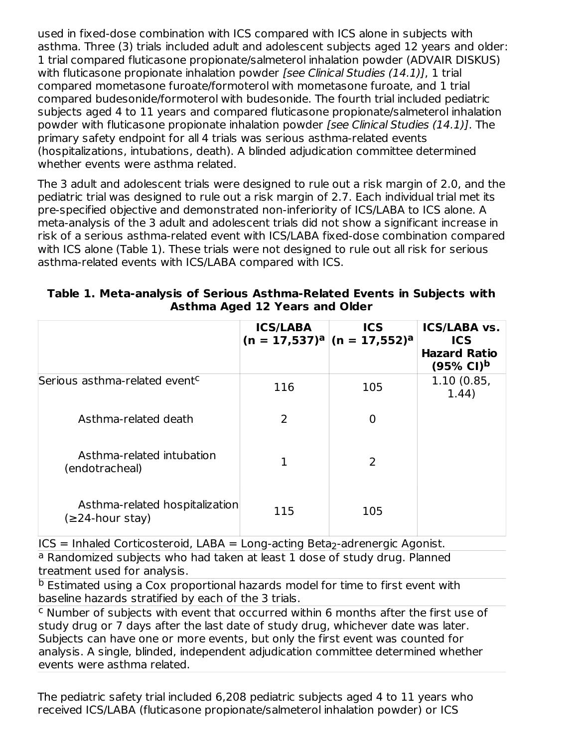used in fixed-dose combination with ICS compared with ICS alone in subjects with asthma. Three (3) trials included adult and adolescent subjects aged 12 years and older: 1 trial compared fluticasone propionate/salmeterol inhalation powder (ADVAIR DISKUS) with fluticasone propionate inhalation powder [see Clinical Studies (14.1)], 1 trial compared mometasone furoate/formoterol with mometasone furoate, and 1 trial compared budesonide/formoterol with budesonide. The fourth trial included pediatric subjects aged 4 to 11 years and compared fluticasone propionate/salmeterol inhalation powder with fluticasone propionate inhalation powder [see Clinical Studies (14.1)]. The primary safety endpoint for all 4 trials was serious asthma-related events (hospitalizations, intubations, death). A blinded adjudication committee determined whether events were asthma related.

The 3 adult and adolescent trials were designed to rule out a risk margin of 2.0, and the pediatric trial was designed to rule out a risk margin of 2.7. Each individual trial met its pre-specified objective and demonstrated non-inferiority of ICS/LABA to ICS alone. A meta-analysis of the 3 adult and adolescent trials did not show a significant increase in risk of a serious asthma-related event with ICS/LABA fixed-dose combination compared with ICS alone (Table 1). These trials were not designed to rule out all risk for serious asthma-related events with ICS/LABA compared with ICS.

|                                                   | <b>ICS/LABA</b><br>$(n = 17,537)a$ $(n = 17,552)a$ | <b>ICS</b>     | <b>ICS/LABA vs.</b><br><b>ICS</b><br><b>Hazard Ratio</b><br>$(95% Cl)^{b}$ |
|---------------------------------------------------|----------------------------------------------------|----------------|----------------------------------------------------------------------------|
| Serious asthma-related event <sup>c</sup>         | 116                                                | 105            | 1.10(0.85,<br>1.44)                                                        |
| Asthma-related death                              | 2                                                  | $\overline{0}$ |                                                                            |
| Asthma-related intubation<br>(endotracheal)       | 1                                                  | $\overline{2}$ |                                                                            |
| Asthma-related hospitalization<br>(≥24-hour stay) | 115                                                | 105            |                                                                            |

| Table 1. Meta-analysis of Serious Asthma-Related Events in Subjects with |  |
|--------------------------------------------------------------------------|--|
| <b>Asthma Aged 12 Years and Older</b>                                    |  |

 $ICS = Inhaled Corticosteroid, LABA = Long-acting Beta<sub>2</sub>-adrenergic Agonist.$ 

<sup>a</sup> Randomized subjects who had taken at least 1 dose of study drug. Planned treatment used for analysis.

<sup>b</sup> Estimated using a Cox proportional hazards model for time to first event with baseline hazards stratified by each of the 3 trials.

 $c$  Number of subjects with event that occurred within 6 months after the first use of study drug or 7 days after the last date of study drug, whichever date was later. Subjects can have one or more events, but only the first event was counted for analysis. A single, blinded, independent adjudication committee determined whether events were asthma related.

The pediatric safety trial included 6,208 pediatric subjects aged 4 to 11 years who received ICS/LABA (fluticasone propionate/salmeterol inhalation powder) or ICS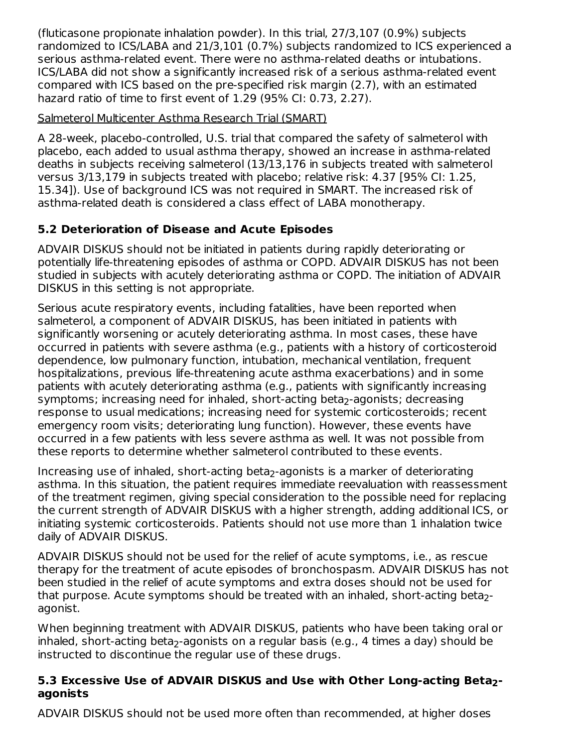(fluticasone propionate inhalation powder). In this trial, 27/3,107 (0.9%) subjects randomized to ICS/LABA and 21/3,101 (0.7%) subjects randomized to ICS experienced a serious asthma-related event. There were no asthma-related deaths or intubations. ICS/LABA did not show a significantly increased risk of a serious asthma-related event compared with ICS based on the pre-specified risk margin (2.7), with an estimated hazard ratio of time to first event of 1.29 (95% CI: 0.73, 2.27).

## Salmeterol Multicenter Asthma Research Trial (SMART)

A 28-week, placebo-controlled, U.S. trial that compared the safety of salmeterol with placebo, each added to usual asthma therapy, showed an increase in asthma-related deaths in subjects receiving salmeterol (13/13,176 in subjects treated with salmeterol versus 3/13,179 in subjects treated with placebo; relative risk: 4.37 [95% CI: 1.25, 15.34]). Use of background ICS was not required in SMART. The increased risk of asthma-related death is considered a class effect of LABA monotherapy.

## **5.2 Deterioration of Disease and Acute Episodes**

ADVAIR DISKUS should not be initiated in patients during rapidly deteriorating or potentially life-threatening episodes of asthma or COPD. ADVAIR DISKUS has not been studied in subjects with acutely deteriorating asthma or COPD. The initiation of ADVAIR DISKUS in this setting is not appropriate.

Serious acute respiratory events, including fatalities, have been reported when salmeterol, a component of ADVAIR DISKUS, has been initiated in patients with significantly worsening or acutely deteriorating asthma. In most cases, these have occurred in patients with severe asthma (e.g., patients with a history of corticosteroid dependence, low pulmonary function, intubation, mechanical ventilation, frequent hospitalizations, previous life-threatening acute asthma exacerbations) and in some patients with acutely deteriorating asthma (e.g., patients with significantly increasing symptoms; increasing need for inhaled, short-acting beta<sub>2</sub>-agonists; decreasing response to usual medications; increasing need for systemic corticosteroids; recent emergency room visits; deteriorating lung function). However, these events have occurred in a few patients with less severe asthma as well. It was not possible from these reports to determine whether salmeterol contributed to these events.

Increasing use of inhaled, short-acting beta<sub>2</sub>-agonists is a marker of deteriorating asthma. In this situation, the patient requires immediate reevaluation with reassessment of the treatment regimen, giving special consideration to the possible need for replacing the current strength of ADVAIR DISKUS with a higher strength, adding additional ICS, or initiating systemic corticosteroids. Patients should not use more than 1 inhalation twice daily of ADVAIR DISKUS.

ADVAIR DISKUS should not be used for the relief of acute symptoms, i.e., as rescue therapy for the treatment of acute episodes of bronchospasm. ADVAIR DISKUS has not been studied in the relief of acute symptoms and extra doses should not be used for that purpose. Acute symptoms should be treated with an inhaled, short-acting beta<sub>2</sub>agonist.

When beginning treatment with ADVAIR DISKUS, patients who have been taking oral or inhaled, short-acting beta<sub>2</sub>-agonists on a regular basis (e.g., 4 times a day) should be instructed to discontinue the regular use of these drugs.

## **5.3 Excessive Use of ADVAIR DISKUS and Use with Other Long-acting Beta - 2agonists**

ADVAIR DISKUS should not be used more often than recommended, at higher doses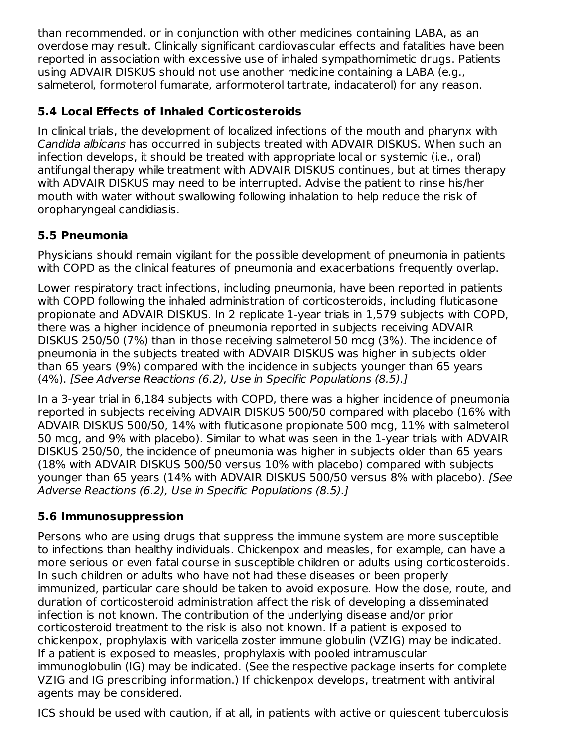than recommended, or in conjunction with other medicines containing LABA, as an overdose may result. Clinically significant cardiovascular effects and fatalities have been reported in association with excessive use of inhaled sympathomimetic drugs. Patients using ADVAIR DISKUS should not use another medicine containing a LABA (e.g., salmeterol, formoterol fumarate, arformoterol tartrate, indacaterol) for any reason.

## **5.4 Local Effects of Inhaled Corticosteroids**

In clinical trials, the development of localized infections of the mouth and pharynx with Candida albicans has occurred in subjects treated with ADVAIR DISKUS. When such an infection develops, it should be treated with appropriate local or systemic (i.e., oral) antifungal therapy while treatment with ADVAIR DISKUS continues, but at times therapy with ADVAIR DISKUS may need to be interrupted. Advise the patient to rinse his/her mouth with water without swallowing following inhalation to help reduce the risk of oropharyngeal candidiasis.

## **5.5 Pneumonia**

Physicians should remain vigilant for the possible development of pneumonia in patients with COPD as the clinical features of pneumonia and exacerbations frequently overlap.

Lower respiratory tract infections, including pneumonia, have been reported in patients with COPD following the inhaled administration of corticosteroids, including fluticasone propionate and ADVAIR DISKUS. In 2 replicate 1-year trials in 1,579 subjects with COPD, there was a higher incidence of pneumonia reported in subjects receiving ADVAIR DISKUS 250/50 (7%) than in those receiving salmeterol 50 mcg (3%). The incidence of pneumonia in the subjects treated with ADVAIR DISKUS was higher in subjects older than 65 years (9%) compared with the incidence in subjects younger than 65 years (4%). [See Adverse Reactions (6.2), Use in Specific Populations (8.5).]

In a 3-year trial in 6,184 subjects with COPD, there was a higher incidence of pneumonia reported in subjects receiving ADVAIR DISKUS 500/50 compared with placebo (16% with ADVAIR DISKUS 500/50, 14% with fluticasone propionate 500 mcg, 11% with salmeterol 50 mcg, and 9% with placebo). Similar to what was seen in the 1-year trials with ADVAIR DISKUS 250/50, the incidence of pneumonia was higher in subjects older than 65 years (18% with ADVAIR DISKUS 500/50 versus 10% with placebo) compared with subjects younger than 65 years (14% with ADVAIR DISKUS 500/50 versus 8% with placebo). [See Adverse Reactions (6.2), Use in Specific Populations (8.5).]

## **5.6 Immunosuppression**

Persons who are using drugs that suppress the immune system are more susceptible to infections than healthy individuals. Chickenpox and measles, for example, can have a more serious or even fatal course in susceptible children or adults using corticosteroids. In such children or adults who have not had these diseases or been properly immunized, particular care should be taken to avoid exposure. How the dose, route, and duration of corticosteroid administration affect the risk of developing a disseminated infection is not known. The contribution of the underlying disease and/or prior corticosteroid treatment to the risk is also not known. If a patient is exposed to chickenpox, prophylaxis with varicella zoster immune globulin (VZIG) may be indicated. If a patient is exposed to measles, prophylaxis with pooled intramuscular immunoglobulin (IG) may be indicated. (See the respective package inserts for complete VZIG and IG prescribing information.) If chickenpox develops, treatment with antiviral agents may be considered.

ICS should be used with caution, if at all, in patients with active or quiescent tuberculosis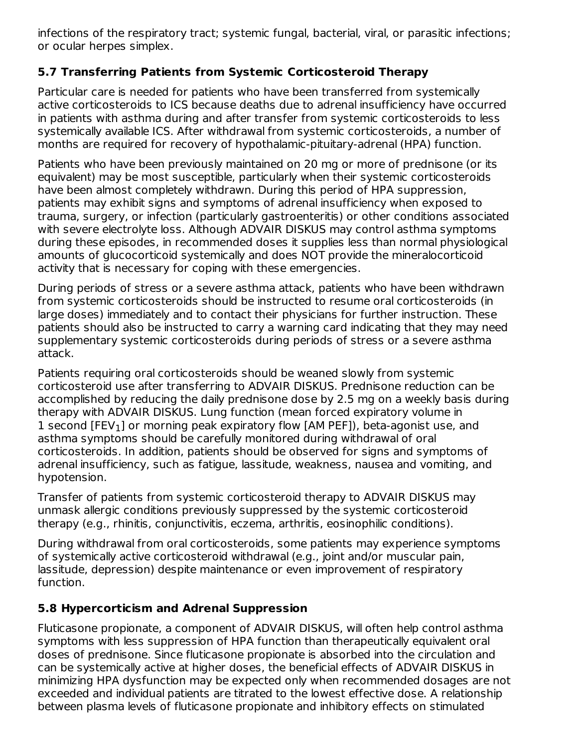infections of the respiratory tract; systemic fungal, bacterial, viral, or parasitic infections; or ocular herpes simplex.

## **5.7 Transferring Patients from Systemic Corticosteroid Therapy**

Particular care is needed for patients who have been transferred from systemically active corticosteroids to ICS because deaths due to adrenal insufficiency have occurred in patients with asthma during and after transfer from systemic corticosteroids to less systemically available ICS. After withdrawal from systemic corticosteroids, a number of months are required for recovery of hypothalamic-pituitary-adrenal (HPA) function.

Patients who have been previously maintained on 20 mg or more of prednisone (or its equivalent) may be most susceptible, particularly when their systemic corticosteroids have been almost completely withdrawn. During this period of HPA suppression, patients may exhibit signs and symptoms of adrenal insufficiency when exposed to trauma, surgery, or infection (particularly gastroenteritis) or other conditions associated with severe electrolyte loss. Although ADVAIR DISKUS may control asthma symptoms during these episodes, in recommended doses it supplies less than normal physiological amounts of glucocorticoid systemically and does NOT provide the mineralocorticoid activity that is necessary for coping with these emergencies.

During periods of stress or a severe asthma attack, patients who have been withdrawn from systemic corticosteroids should be instructed to resume oral corticosteroids (in large doses) immediately and to contact their physicians for further instruction. These patients should also be instructed to carry a warning card indicating that they may need supplementary systemic corticosteroids during periods of stress or a severe asthma attack.

Patients requiring oral corticosteroids should be weaned slowly from systemic corticosteroid use after transferring to ADVAIR DISKUS. Prednisone reduction can be accomplished by reducing the daily prednisone dose by 2.5 mg on a weekly basis during therapy with ADVAIR DISKUS. Lung function (mean forced expiratory volume in  $1$  second [FEV $_1$ ] or morning peak expiratory flow [AM PEF]), beta-agonist use, and asthma symptoms should be carefully monitored during withdrawal of oral corticosteroids. In addition, patients should be observed for signs and symptoms of adrenal insufficiency, such as fatigue, lassitude, weakness, nausea and vomiting, and hypotension.

Transfer of patients from systemic corticosteroid therapy to ADVAIR DISKUS may unmask allergic conditions previously suppressed by the systemic corticosteroid therapy (e.g., rhinitis, conjunctivitis, eczema, arthritis, eosinophilic conditions).

During withdrawal from oral corticosteroids, some patients may experience symptoms of systemically active corticosteroid withdrawal (e.g., joint and/or muscular pain, lassitude, depression) despite maintenance or even improvement of respiratory function.

## **5.8 Hypercorticism and Adrenal Suppression**

Fluticasone propionate, a component of ADVAIR DISKUS, will often help control asthma symptoms with less suppression of HPA function than therapeutically equivalent oral doses of prednisone. Since fluticasone propionate is absorbed into the circulation and can be systemically active at higher doses, the beneficial effects of ADVAIR DISKUS in minimizing HPA dysfunction may be expected only when recommended dosages are not exceeded and individual patients are titrated to the lowest effective dose. A relationship between plasma levels of fluticasone propionate and inhibitory effects on stimulated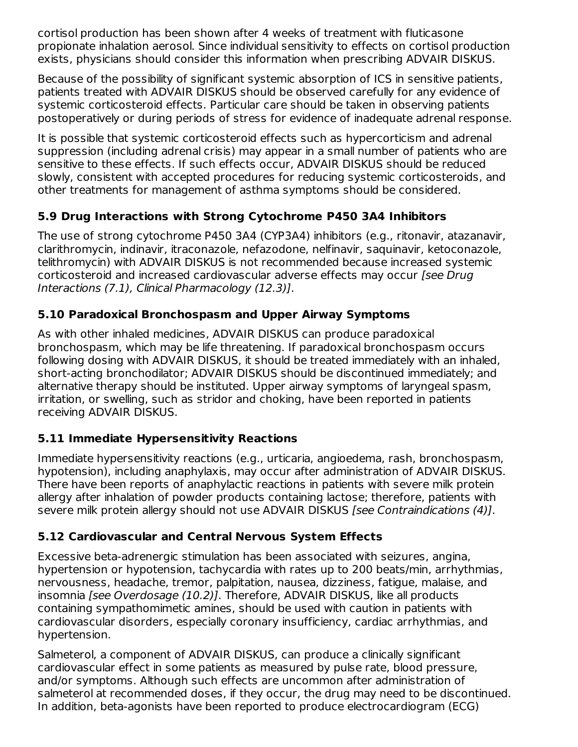cortisol production has been shown after 4 weeks of treatment with fluticasone propionate inhalation aerosol. Since individual sensitivity to effects on cortisol production exists, physicians should consider this information when prescribing ADVAIR DISKUS.

Because of the possibility of significant systemic absorption of ICS in sensitive patients, patients treated with ADVAIR DISKUS should be observed carefully for any evidence of systemic corticosteroid effects. Particular care should be taken in observing patients postoperatively or during periods of stress for evidence of inadequate adrenal response.

It is possible that systemic corticosteroid effects such as hypercorticism and adrenal suppression (including adrenal crisis) may appear in a small number of patients who are sensitive to these effects. If such effects occur, ADVAIR DISKUS should be reduced slowly, consistent with accepted procedures for reducing systemic corticosteroids, and other treatments for management of asthma symptoms should be considered.

## **5.9 Drug Interactions with Strong Cytochrome P450 3A4 Inhibitors**

The use of strong cytochrome P450 3A4 (CYP3A4) inhibitors (e.g., ritonavir, atazanavir, clarithromycin, indinavir, itraconazole, nefazodone, nelfinavir, saquinavir, ketoconazole, telithromycin) with ADVAIR DISKUS is not recommended because increased systemic corticosteroid and increased cardiovascular adverse effects may occur [see Drug Interactions (7.1), Clinical Pharmacology (12.3)].

## **5.10 Paradoxical Bronchospasm and Upper Airway Symptoms**

As with other inhaled medicines, ADVAIR DISKUS can produce paradoxical bronchospasm, which may be life threatening. If paradoxical bronchospasm occurs following dosing with ADVAIR DISKUS, it should be treated immediately with an inhaled, short-acting bronchodilator; ADVAIR DISKUS should be discontinued immediately; and alternative therapy should be instituted. Upper airway symptoms of laryngeal spasm, irritation, or swelling, such as stridor and choking, have been reported in patients receiving ADVAIR DISKUS.

## **5.11 Immediate Hypersensitivity Reactions**

Immediate hypersensitivity reactions (e.g., urticaria, angioedema, rash, bronchospasm, hypotension), including anaphylaxis, may occur after administration of ADVAIR DISKUS. There have been reports of anaphylactic reactions in patients with severe milk protein allergy after inhalation of powder products containing lactose; therefore, patients with severe milk protein allergy should not use ADVAIR DISKUS [see Contraindications (4)].

## **5.12 Cardiovascular and Central Nervous System Effects**

Excessive beta-adrenergic stimulation has been associated with seizures, angina, hypertension or hypotension, tachycardia with rates up to 200 beats/min, arrhythmias, nervousness, headache, tremor, palpitation, nausea, dizziness, fatigue, malaise, and insomnia [see Overdosage (10.2)]. Therefore, ADVAIR DISKUS, like all products containing sympathomimetic amines, should be used with caution in patients with cardiovascular disorders, especially coronary insufficiency, cardiac arrhythmias, and hypertension.

Salmeterol, a component of ADVAIR DISKUS, can produce a clinically significant cardiovascular effect in some patients as measured by pulse rate, blood pressure, and/or symptoms. Although such effects are uncommon after administration of salmeterol at recommended doses, if they occur, the drug may need to be discontinued. In addition, beta-agonists have been reported to produce electrocardiogram (ECG)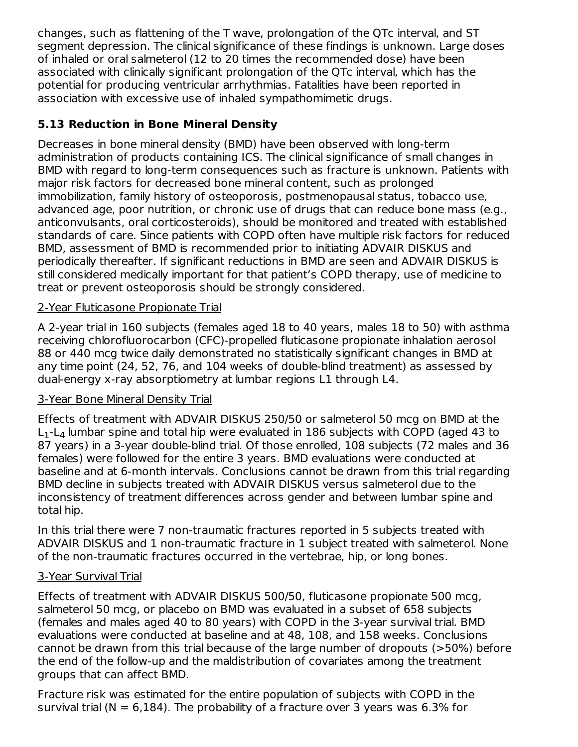changes, such as flattening of the T wave, prolongation of the QTc interval, and ST segment depression. The clinical significance of these findings is unknown. Large doses of inhaled or oral salmeterol (12 to 20 times the recommended dose) have been associated with clinically significant prolongation of the QTc interval, which has the potential for producing ventricular arrhythmias. Fatalities have been reported in association with excessive use of inhaled sympathomimetic drugs.

## **5.13 Reduction in Bone Mineral Density**

Decreases in bone mineral density (BMD) have been observed with long-term administration of products containing ICS. The clinical significance of small changes in BMD with regard to long-term consequences such as fracture is unknown. Patients with major risk factors for decreased bone mineral content, such as prolonged immobilization, family history of osteoporosis, postmenopausal status, tobacco use, advanced age, poor nutrition, or chronic use of drugs that can reduce bone mass (e.g., anticonvulsants, oral corticosteroids), should be monitored and treated with established standards of care. Since patients with COPD often have multiple risk factors for reduced BMD, assessment of BMD is recommended prior to initiating ADVAIR DISKUS and periodically thereafter. If significant reductions in BMD are seen and ADVAIR DISKUS is still considered medically important for that patient's COPD therapy, use of medicine to treat or prevent osteoporosis should be strongly considered.

## 2-Year Fluticasone Propionate Trial

A 2-year trial in 160 subjects (females aged 18 to 40 years, males 18 to 50) with asthma receiving chlorofluorocarbon (CFC)-propelled fluticasone propionate inhalation aerosol 88 or 440 mcg twice daily demonstrated no statistically significant changes in BMD at any time point (24, 52, 76, and 104 weeks of double-blind treatment) as assessed by dual-energy x-ray absorptiometry at lumbar regions L1 through L4.

## 3-Year Bone Mineral Density Trial

Effects of treatment with ADVAIR DISKUS 250/50 or salmeterol 50 mcg on BMD at the  $\mathsf{L}_1\text{-}\mathsf{L}_4$  lumbar spine and total hip were evaluated in 186 subjects with COPD (aged 43 to 87 years) in a 3-year double-blind trial. Of those enrolled, 108 subjects (72 males and 36 females) were followed for the entire 3 years. BMD evaluations were conducted at baseline and at 6-month intervals. Conclusions cannot be drawn from this trial regarding BMD decline in subjects treated with ADVAIR DISKUS versus salmeterol due to the inconsistency of treatment differences across gender and between lumbar spine and total hip.

In this trial there were 7 non-traumatic fractures reported in 5 subjects treated with ADVAIR DISKUS and 1 non-traumatic fracture in 1 subject treated with salmeterol. None of the non-traumatic fractures occurred in the vertebrae, hip, or long bones.

## 3-Year Survival Trial

Effects of treatment with ADVAIR DISKUS 500/50, fluticasone propionate 500 mcg, salmeterol 50 mcg, or placebo on BMD was evaluated in a subset of 658 subjects (females and males aged 40 to 80 years) with COPD in the 3-year survival trial. BMD evaluations were conducted at baseline and at 48, 108, and 158 weeks. Conclusions cannot be drawn from this trial because of the large number of dropouts (>50%) before the end of the follow-up and the maldistribution of covariates among the treatment groups that can affect BMD.

Fracture risk was estimated for the entire population of subjects with COPD in the survival trial ( $N = 6,184$ ). The probability of a fracture over 3 years was 6.3% for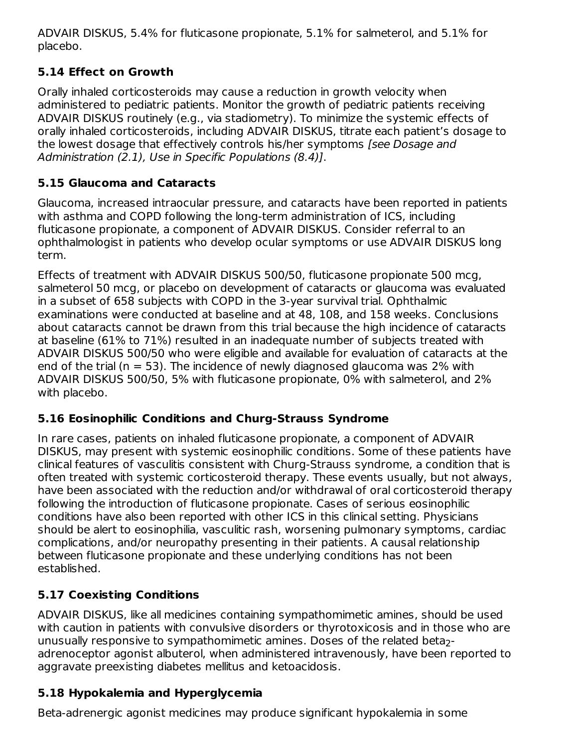ADVAIR DISKUS, 5.4% for fluticasone propionate, 5.1% for salmeterol, and 5.1% for placebo.

## **5.14 Effect on Growth**

Orally inhaled corticosteroids may cause a reduction in growth velocity when administered to pediatric patients. Monitor the growth of pediatric patients receiving ADVAIR DISKUS routinely (e.g., via stadiometry). To minimize the systemic effects of orally inhaled corticosteroids, including ADVAIR DISKUS, titrate each patient's dosage to the lowest dosage that effectively controls his/her symptoms [see Dosage and Administration (2.1), Use in Specific Populations (8.4)].

## **5.15 Glaucoma and Cataracts**

Glaucoma, increased intraocular pressure, and cataracts have been reported in patients with asthma and COPD following the long-term administration of ICS, including fluticasone propionate, a component of ADVAIR DISKUS. Consider referral to an ophthalmologist in patients who develop ocular symptoms or use ADVAIR DISKUS long term.

Effects of treatment with ADVAIR DISKUS 500/50, fluticasone propionate 500 mcg, salmeterol 50 mcg, or placebo on development of cataracts or glaucoma was evaluated in a subset of 658 subjects with COPD in the 3-year survival trial. Ophthalmic examinations were conducted at baseline and at 48, 108, and 158 weeks. Conclusions about cataracts cannot be drawn from this trial because the high incidence of cataracts at baseline (61% to 71%) resulted in an inadequate number of subjects treated with ADVAIR DISKUS 500/50 who were eligible and available for evaluation of cataracts at the end of the trial ( $n = 53$ ). The incidence of newly diagnosed glaucoma was 2% with ADVAIR DISKUS 500/50, 5% with fluticasone propionate, 0% with salmeterol, and 2% with placebo.

## **5.16 Eosinophilic Conditions and Churg-Strauss Syndrome**

In rare cases, patients on inhaled fluticasone propionate, a component of ADVAIR DISKUS, may present with systemic eosinophilic conditions. Some of these patients have clinical features of vasculitis consistent with Churg-Strauss syndrome, a condition that is often treated with systemic corticosteroid therapy. These events usually, but not always, have been associated with the reduction and/or withdrawal of oral corticosteroid therapy following the introduction of fluticasone propionate. Cases of serious eosinophilic conditions have also been reported with other ICS in this clinical setting. Physicians should be alert to eosinophilia, vasculitic rash, worsening pulmonary symptoms, cardiac complications, and/or neuropathy presenting in their patients. A causal relationship between fluticasone propionate and these underlying conditions has not been established.

## **5.17 Coexisting Conditions**

ADVAIR DISKUS, like all medicines containing sympathomimetic amines, should be used with caution in patients with convulsive disorders or thyrotoxicosis and in those who are unusually responsive to sympathomimetic amines. Doses of the related beta $_2\text{-}$ adrenoceptor agonist albuterol, when administered intravenously, have been reported to aggravate preexisting diabetes mellitus and ketoacidosis.

## **5.18 Hypokalemia and Hyperglycemia**

Beta-adrenergic agonist medicines may produce significant hypokalemia in some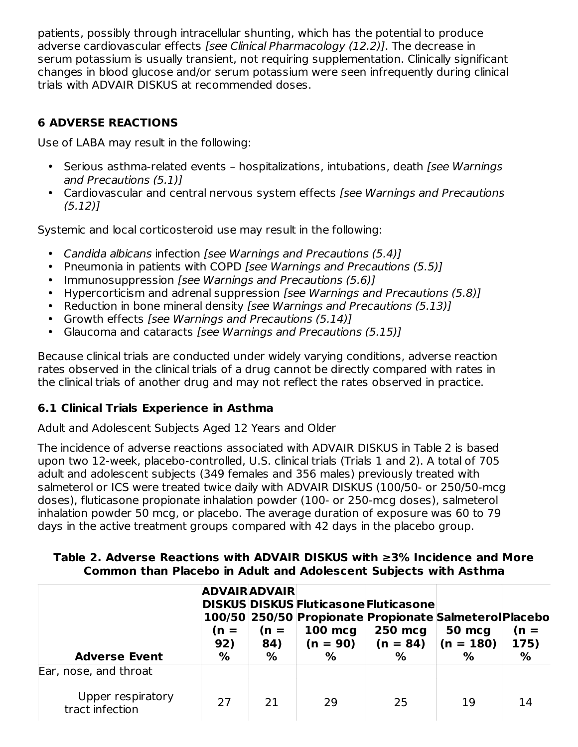patients, possibly through intracellular shunting, which has the potential to produce adverse cardiovascular effects [see Clinical Pharmacology (12.2)]. The decrease in serum potassium is usually transient, not requiring supplementation. Clinically significant changes in blood glucose and/or serum potassium were seen infrequently during clinical trials with ADVAIR DISKUS at recommended doses.

## **6 ADVERSE REACTIONS**

Use of LABA may result in the following:

- Serious asthma-related events hospitalizations, intubations, death [see Warnings and Precautions (5.1)]
- Cardiovascular and central nervous system effects [see Warnings and Precautions  $(5.12)$

Systemic and local corticosteroid use may result in the following:

- Candida albicans infection [see Warnings and Precautions (5.4)]
- Pneumonia in patients with COPD [see Warnings and Precautions (5.5)]
- Immunosuppression [see Warnings and Precautions (5.6)]
- Hypercorticism and adrenal suppression [see Warnings and Precautions (5.8)]
- Reduction in bone mineral density [see Warnings and Precautions (5.13)]
- Growth effects [see Warnings and Precautions (5.14)]
- Glaucoma and cataracts [see Warnings and Precautions (5.15)]

Because clinical trials are conducted under widely varying conditions, adverse reaction rates observed in the clinical trials of a drug cannot be directly compared with rates in the clinical trials of another drug and may not reflect the rates observed in practice.

## **6.1 Clinical Trials Experience in Asthma**

#### Adult and Adolescent Subjects Aged 12 Years and Older

The incidence of adverse reactions associated with ADVAIR DISKUS in Table 2 is based upon two 12-week, placebo-controlled, U.S. clinical trials (Trials 1 and 2). A total of 705 adult and adolescent subjects (349 females and 356 males) previously treated with salmeterol or ICS were treated twice daily with ADVAIR DISKUS (100/50- or 250/50-mcg doses), fluticasone propionate inhalation powder (100- or 250-mcg doses), salmeterol inhalation powder 50 mcg, or placebo. The average duration of exposure was 60 to 79 days in the active treatment groups compared with 42 days in the placebo group.

#### **Table 2. Adverse Reactions with ADVAIR DISKUS with ≥3% Incidence and More Common than Placebo in Adult and Adolescent Subjects with Asthma**

| <b>Adverse Event</b>                 | (n =<br>92)<br>% | <b>ADVAIR ADVAIR</b><br>$(n =$<br>84)<br>$\%$ | 100 mcg<br>$(n = 90)$<br>$\%$ | DISKUS DISKUS Fluticasone Fluticasone<br>100/50 250/50 Propionate Propionate Salmeterol Placebo<br>250 mcg<br>$(n = 84)$<br>$\%$ | 50 mcg<br>$(n = 180)$<br>% | $(n =$<br>175)<br>% |
|--------------------------------------|------------------|-----------------------------------------------|-------------------------------|----------------------------------------------------------------------------------------------------------------------------------|----------------------------|---------------------|
| Ear, nose, and throat                |                  |                                               |                               |                                                                                                                                  |                            |                     |
| Upper respiratory<br>tract infection | 27               | 21                                            | 29                            | 25                                                                                                                               | 19                         | 14                  |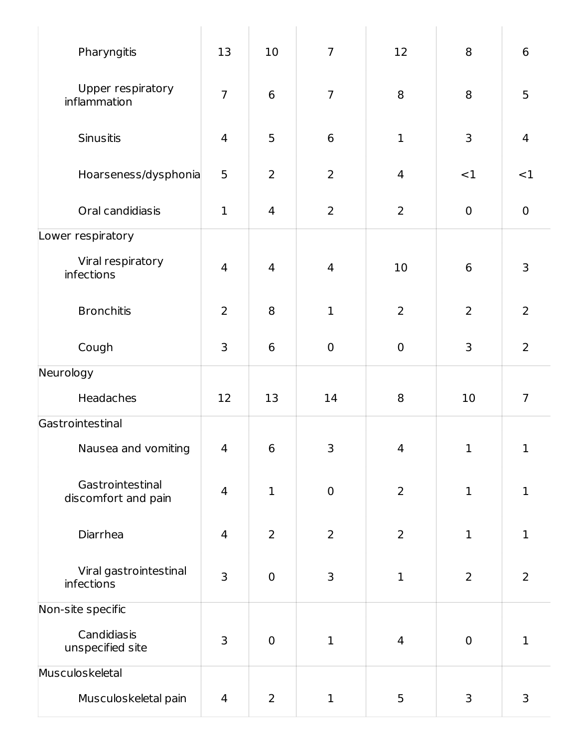| Pharyngitis                             | 13                       | 10             | $\overline{7}$  | 12                 | 8              | 6              |
|-----------------------------------------|--------------------------|----------------|-----------------|--------------------|----------------|----------------|
| Upper respiratory<br>inflammation       | $\overline{7}$           | 6              | $\overline{7}$  | 8                  | 8              | 5              |
| Sinusitis                               | $\overline{\mathcal{A}}$ | 5              | $6\phantom{1}6$ | $\mathbf 1$        | 3              | $\overline{4}$ |
| Hoarseness/dysphonia                    | 5                        | $\overline{2}$ | $\overline{2}$  | $\overline{4}$     | <1             | <1             |
| Oral candidiasis                        | $\mathbf{1}$             | 4              | $\overline{2}$  | $\overline{2}$     | $\mathbf 0$    | $\mathbf 0$    |
| Lower respiratory                       |                          |                |                 |                    |                |                |
| Viral respiratory<br>infections         | $\overline{4}$           | 4              | $\overline{4}$  | 10                 | 6              | 3              |
| <b>Bronchitis</b>                       | $\overline{2}$           | 8              | $\mathbf{1}$    | $\overline{2}$     | $\overline{2}$ | $\overline{2}$ |
| Cough                                   | 3                        | 6              | $\mathbf 0$     | $\boldsymbol{0}$   | 3              | $\overline{2}$ |
| Neurology                               |                          |                |                 |                    |                |                |
| Headaches                               | 12                       | 13             | 14              | 8                  | 10             | $\overline{7}$ |
| Gastrointestinal                        |                          |                |                 |                    |                |                |
| Nausea and vomiting                     | $\mathbf{\Lambda}$       | 6              | 3               | $\mathbf{\Lambda}$ | $\mathbf{1}$   | $\mathbf 1$    |
| Gastrointestinal<br>discomfort and pain | $\overline{4}$           | $\mathbf{1}$   | $\mathbf 0$     | $\overline{2}$     | $\mathbf 1$    | $\mathbf{1}$   |
| Diarrhea                                | $\overline{4}$           | $\overline{2}$ | $\overline{2}$  | $\overline{2}$     | $\mathbf 1$    | $\mathbf{1}$   |
| Viral gastrointestinal<br>infections    | 3                        | $\mathbf 0$    | 3               | $\mathbf 1$        | $\overline{2}$ | $\overline{2}$ |
| Non-site specific                       |                          |                |                 |                    |                |                |
| Candidiasis<br>unspecified site         | 3                        | $\mathbf 0$    | $\mathbf 1$     | $\overline{4}$     | $\mathbf 0$    | $\mathbf{1}$   |
| Musculoskeletal                         |                          |                |                 |                    |                |                |
| Musculoskeletal pain                    | 4                        | $\overline{2}$ | $\mathbf 1$     | 5                  | $\mathsf{3}$   | 3              |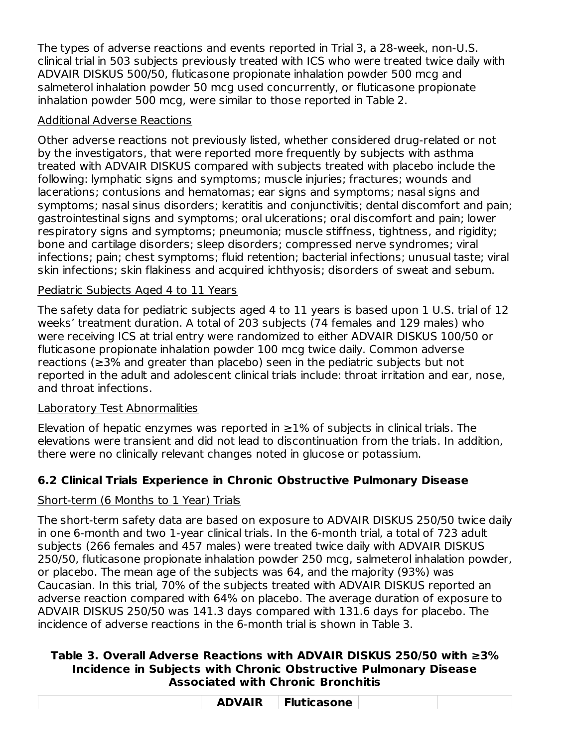The types of adverse reactions and events reported in Trial 3, a 28-week, non-U.S. clinical trial in 503 subjects previously treated with ICS who were treated twice daily with ADVAIR DISKUS 500/50, fluticasone propionate inhalation powder 500 mcg and salmeterol inhalation powder 50 mcg used concurrently, or fluticasone propionate inhalation powder 500 mcg, were similar to those reported in Table 2.

## Additional Adverse Reactions

Other adverse reactions not previously listed, whether considered drug-related or not by the investigators, that were reported more frequently by subjects with asthma treated with ADVAIR DISKUS compared with subjects treated with placebo include the following: lymphatic signs and symptoms; muscle injuries; fractures; wounds and lacerations; contusions and hematomas; ear signs and symptoms; nasal signs and symptoms; nasal sinus disorders; keratitis and conjunctivitis; dental discomfort and pain; gastrointestinal signs and symptoms; oral ulcerations; oral discomfort and pain; lower respiratory signs and symptoms; pneumonia; muscle stiffness, tightness, and rigidity; bone and cartilage disorders; sleep disorders; compressed nerve syndromes; viral infections; pain; chest symptoms; fluid retention; bacterial infections; unusual taste; viral skin infections; skin flakiness and acquired ichthyosis; disorders of sweat and sebum.

## Pediatric Subjects Aged 4 to 11 Years

The safety data for pediatric subjects aged 4 to 11 years is based upon 1 U.S. trial of 12 weeks' treatment duration. A total of 203 subjects (74 females and 129 males) who were receiving ICS at trial entry were randomized to either ADVAIR DISKUS 100/50 or fluticasone propionate inhalation powder 100 mcg twice daily. Common adverse reactions (≥3% and greater than placebo) seen in the pediatric subjects but not reported in the adult and adolescent clinical trials include: throat irritation and ear, nose, and throat infections.

## Laboratory Test Abnormalities

Elevation of hepatic enzymes was reported in  $\geq$ 1% of subjects in clinical trials. The elevations were transient and did not lead to discontinuation from the trials. In addition, there were no clinically relevant changes noted in glucose or potassium.

## **6.2 Clinical Trials Experience in Chronic Obstructive Pulmonary Disease**

## Short-term (6 Months to 1 Year) Trials

The short-term safety data are based on exposure to ADVAIR DISKUS 250/50 twice daily in one 6-month and two 1-year clinical trials. In the 6-month trial, a total of 723 adult subjects (266 females and 457 males) were treated twice daily with ADVAIR DISKUS 250/50, fluticasone propionate inhalation powder 250 mcg, salmeterol inhalation powder, or placebo. The mean age of the subjects was 64, and the majority (93%) was Caucasian. In this trial, 70% of the subjects treated with ADVAIR DISKUS reported an adverse reaction compared with 64% on placebo. The average duration of exposure to ADVAIR DISKUS 250/50 was 141.3 days compared with 131.6 days for placebo. The incidence of adverse reactions in the 6-month trial is shown in Table 3.

#### **Table 3. Overall Adverse Reactions with ADVAIR DISKUS 250/50 with ≥3% Incidence in Subjects with Chronic Obstructive Pulmonary Disease Associated with Chronic Bronchitis**

| <b>ADVAIR</b> | <b>Fluticasone</b> |  |
|---------------|--------------------|--|
|               |                    |  |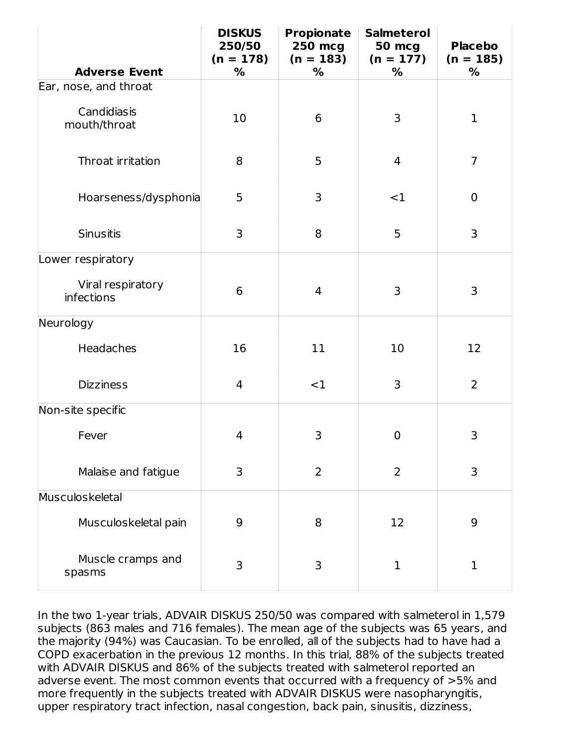|                                        | <b>DISKUS</b><br>250/50<br>$(n = 178)$ | <b>Propionate</b><br><b>250 mcg</b><br>$(n = 183)$ | <b>Salmeterol</b><br><b>50 mcg</b><br>$(n = 177)$ | <b>Placebo</b><br>$(n = 185)$ |
|----------------------------------------|----------------------------------------|----------------------------------------------------|---------------------------------------------------|-------------------------------|
| <b>Adverse Event</b>                   | %                                      | %                                                  | %                                                 | %                             |
| Ear, nose, and throat                  |                                        |                                                    |                                                   |                               |
| Candidiasis<br>mouth/throat            | 10                                     | 6                                                  | 3                                                 | $\mathbf{1}$                  |
| Throat irritation                      | 8                                      | 5                                                  | $\overline{4}$                                    | $\overline{7}$                |
| Hoarseness/dysphonia                   | 5                                      | 3                                                  | $<$ 1                                             | $\mathbf 0$                   |
| <b>Sinusitis</b>                       | 3                                      | 8                                                  | 5                                                 | 3                             |
| Lower respiratory                      |                                        |                                                    |                                                   |                               |
| Viral respiratory<br><b>infections</b> | 6                                      | 4                                                  | 3                                                 | 3                             |
| Neurology                              |                                        |                                                    |                                                   |                               |
| Headaches                              | 16                                     | 11                                                 | 10                                                | 12                            |
| <b>Dizziness</b>                       | 4                                      | <1                                                 | 3                                                 | $\overline{2}$                |
| Non-site specific                      |                                        |                                                    |                                                   |                               |
| Fever                                  | 4                                      | 3                                                  | $\mathbf 0$                                       | 3                             |
| Malaise and fatigue                    | 3                                      | $\overline{2}$                                     | $\overline{2}$                                    | 3                             |
| Musculoskeletal                        |                                        |                                                    |                                                   |                               |
| Musculoskeletal pain                   | 9                                      | 8                                                  | 12                                                | 9                             |
| Muscle cramps and<br>spasms            | 3                                      | 3                                                  | $\mathbf{1}$                                      | $\mathbf{1}$                  |

In the two 1-year trials, ADVAIR DISKUS 250/50 was compared with salmeterol in 1,579 subjects (863 males and 716 females). The mean age of the subjects was 65 years, and the majority (94%) was Caucasian. To be enrolled, all of the subjects had to have had a COPD exacerbation in the previous 12 months. In this trial, 88% of the subjects treated with ADVAIR DISKUS and 86% of the subjects treated with salmeterol reported an adverse event. The most common events that occurred with a frequency of >5% and more frequently in the subjects treated with ADVAIR DISKUS were nasopharyngitis, upper respiratory tract infection, nasal congestion, back pain, sinusitis, dizziness,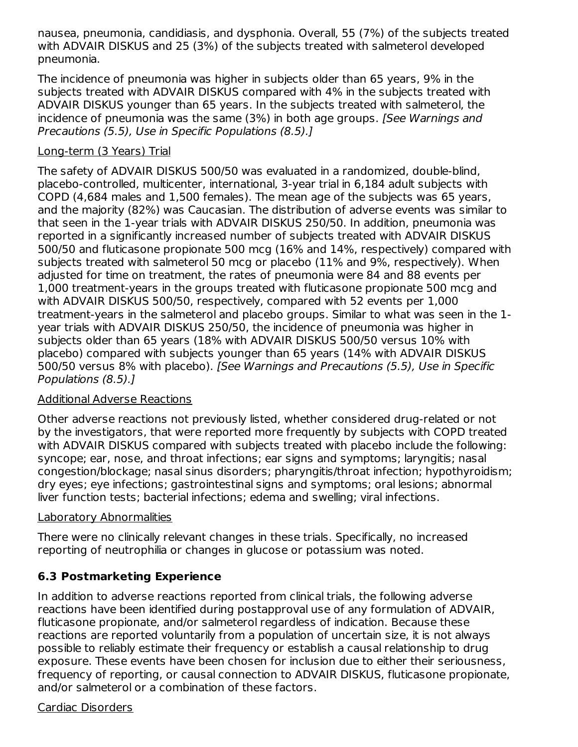nausea, pneumonia, candidiasis, and dysphonia. Overall, 55 (7%) of the subjects treated with ADVAIR DISKUS and 25 (3%) of the subjects treated with salmeterol developed pneumonia.

The incidence of pneumonia was higher in subjects older than 65 years, 9% in the subjects treated with ADVAIR DISKUS compared with 4% in the subjects treated with ADVAIR DISKUS younger than 65 years. In the subjects treated with salmeterol, the incidence of pneumonia was the same (3%) in both age groups. [See Warnings and Precautions (5.5), Use in Specific Populations (8.5).]

#### Long-term (3 Years) Trial

The safety of ADVAIR DISKUS 500/50 was evaluated in a randomized, double-blind, placebo-controlled, multicenter, international, 3-year trial in 6,184 adult subjects with COPD (4,684 males and 1,500 females). The mean age of the subjects was 65 years, and the majority (82%) was Caucasian. The distribution of adverse events was similar to that seen in the 1-year trials with ADVAIR DISKUS 250/50. In addition, pneumonia was reported in a significantly increased number of subjects treated with ADVAIR DISKUS 500/50 and fluticasone propionate 500 mcg (16% and 14%, respectively) compared with subjects treated with salmeterol 50 mcg or placebo (11% and 9%, respectively). When adjusted for time on treatment, the rates of pneumonia were 84 and 88 events per 1,000 treatment-years in the groups treated with fluticasone propionate 500 mcg and with ADVAIR DISKUS 500/50, respectively, compared with 52 events per 1,000 treatment-years in the salmeterol and placebo groups. Similar to what was seen in the 1 year trials with ADVAIR DISKUS 250/50, the incidence of pneumonia was higher in subjects older than 65 years (18% with ADVAIR DISKUS 500/50 versus 10% with placebo) compared with subjects younger than 65 years (14% with ADVAIR DISKUS 500/50 versus 8% with placebo). [See Warnings and Precautions (5.5), Use in Specific Populations (8.5).]

#### Additional Adverse Reactions

Other adverse reactions not previously listed, whether considered drug-related or not by the investigators, that were reported more frequently by subjects with COPD treated with ADVAIR DISKUS compared with subjects treated with placebo include the following: syncope; ear, nose, and throat infections; ear signs and symptoms; laryngitis; nasal congestion/blockage; nasal sinus disorders; pharyngitis/throat infection; hypothyroidism; dry eyes; eye infections; gastrointestinal signs and symptoms; oral lesions; abnormal liver function tests; bacterial infections; edema and swelling; viral infections.

#### Laboratory Abnormalities

There were no clinically relevant changes in these trials. Specifically, no increased reporting of neutrophilia or changes in glucose or potassium was noted.

## **6.3 Postmarketing Experience**

In addition to adverse reactions reported from clinical trials, the following adverse reactions have been identified during postapproval use of any formulation of ADVAIR, fluticasone propionate, and/or salmeterol regardless of indication. Because these reactions are reported voluntarily from a population of uncertain size, it is not always possible to reliably estimate their frequency or establish a causal relationship to drug exposure. These events have been chosen for inclusion due to either their seriousness, frequency of reporting, or causal connection to ADVAIR DISKUS, fluticasone propionate, and/or salmeterol or a combination of these factors.

#### Cardiac Disorders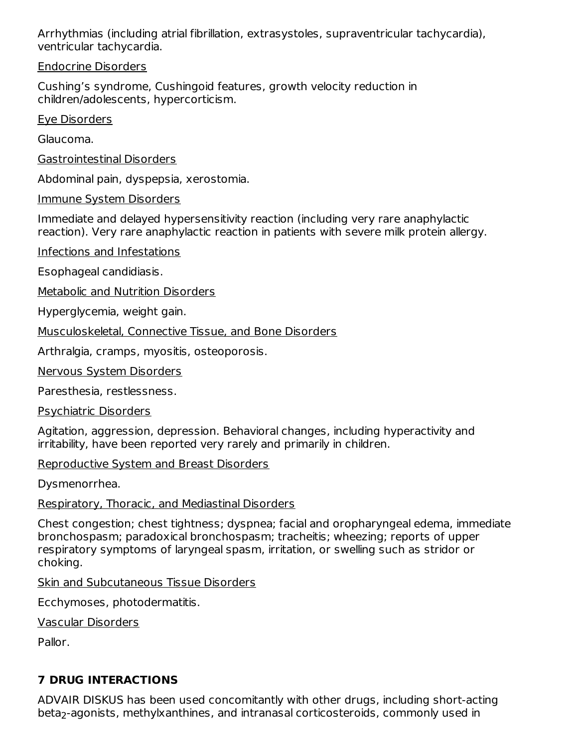Arrhythmias (including atrial fibrillation, extrasystoles, supraventricular tachycardia), ventricular tachycardia.

Endocrine Disorders

Cushing's syndrome, Cushingoid features, growth velocity reduction in children/adolescents, hypercorticism.

Eye Disorders

Glaucoma.

Gastrointestinal Disorders

Abdominal pain, dyspepsia, xerostomia.

Immune System Disorders

Immediate and delayed hypersensitivity reaction (including very rare anaphylactic reaction). Very rare anaphylactic reaction in patients with severe milk protein allergy.

Infections and Infestations

Esophageal candidiasis.

Metabolic and Nutrition Disorders

Hyperglycemia, weight gain.

Musculoskeletal, Connective Tissue, and Bone Disorders

Arthralgia, cramps, myositis, osteoporosis.

Nervous System Disorders

Paresthesia, restlessness.

Psychiatric Disorders

Agitation, aggression, depression. Behavioral changes, including hyperactivity and irritability, have been reported very rarely and primarily in children.

Reproductive System and Breast Disorders

Dysmenorrhea.

Respiratory, Thoracic, and Mediastinal Disorders

Chest congestion; chest tightness; dyspnea; facial and oropharyngeal edema, immediate bronchospasm; paradoxical bronchospasm; tracheitis; wheezing; reports of upper respiratory symptoms of laryngeal spasm, irritation, or swelling such as stridor or choking.

Skin and Subcutaneous Tissue Disorders

Ecchymoses, photodermatitis.

Vascular Disorders

Pallor.

## **7 DRUG INTERACTIONS**

ADVAIR DISKUS has been used concomitantly with other drugs, including short-acting beta<sub>2</sub>-agonists, methylxanthines, and intranasal corticosteroids, commonly used in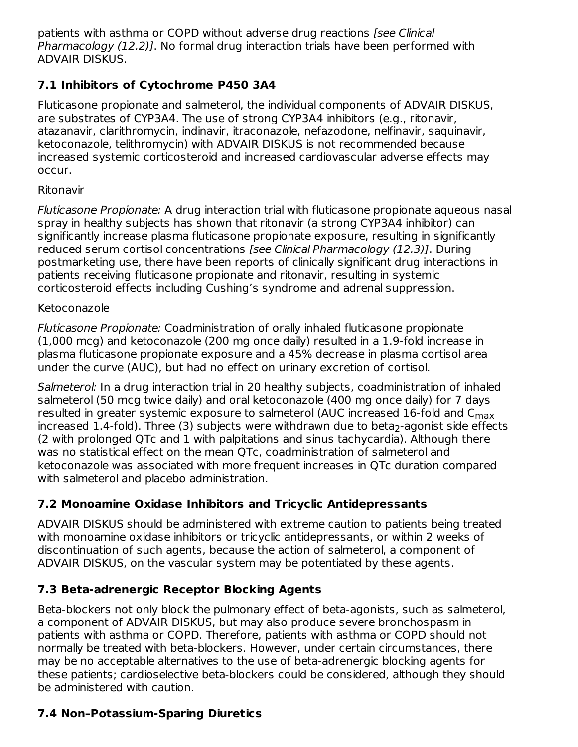patients with asthma or COPD without adverse drug reactions [see Clinical] Pharmacology (12.2)]. No formal drug interaction trials have been performed with ADVAIR DISKUS.

## **7.1 Inhibitors of Cytochrome P450 3A4**

Fluticasone propionate and salmeterol, the individual components of ADVAIR DISKUS, are substrates of CYP3A4. The use of strong CYP3A4 inhibitors (e.g., ritonavir, atazanavir, clarithromycin, indinavir, itraconazole, nefazodone, nelfinavir, saquinavir, ketoconazole, telithromycin) with ADVAIR DISKUS is not recommended because increased systemic corticosteroid and increased cardiovascular adverse effects may occur.

## Ritonavir

Fluticasone Propionate: A drug interaction trial with fluticasone propionate aqueous nasal spray in healthy subjects has shown that ritonavir (a strong CYP3A4 inhibitor) can significantly increase plasma fluticasone propionate exposure, resulting in significantly reduced serum cortisol concentrations [see Clinical Pharmacology (12.3)]. During postmarketing use, there have been reports of clinically significant drug interactions in patients receiving fluticasone propionate and ritonavir, resulting in systemic corticosteroid effects including Cushing's syndrome and adrenal suppression.

## Ketoconazole

Fluticasone Propionate: Coadministration of orally inhaled fluticasone propionate (1,000 mcg) and ketoconazole (200 mg once daily) resulted in a 1.9-fold increase in plasma fluticasone propionate exposure and a 45% decrease in plasma cortisol area under the curve (AUC), but had no effect on urinary excretion of cortisol.

Salmeterol: In a drug interaction trial in 20 healthy subjects, coadministration of inhaled salmeterol (50 mcg twice daily) and oral ketoconazole (400 mg once daily) for 7 days resulted in greater systemic exposure to salmeterol (AUC increased 16-fold and C<sub>max</sub> increased 1.4-fold). Three (3) subjects were withdrawn due to beta<sub>2</sub>-agonist side effects (2 with prolonged QTc and 1 with palpitations and sinus tachycardia). Although there was no statistical effect on the mean QTc, coadministration of salmeterol and ketoconazole was associated with more frequent increases in QTc duration compared with salmeterol and placebo administration.

## **7.2 Monoamine Oxidase Inhibitors and Tricyclic Antidepressants**

ADVAIR DISKUS should be administered with extreme caution to patients being treated with monoamine oxidase inhibitors or tricyclic antidepressants, or within 2 weeks of discontinuation of such agents, because the action of salmeterol, a component of ADVAIR DISKUS, on the vascular system may be potentiated by these agents.

## **7.3 Beta-adrenergic Receptor Blocking Agents**

Beta-blockers not only block the pulmonary effect of beta-agonists, such as salmeterol, a component of ADVAIR DISKUS, but may also produce severe bronchospasm in patients with asthma or COPD. Therefore, patients with asthma or COPD should not normally be treated with beta-blockers. However, under certain circumstances, there may be no acceptable alternatives to the use of beta-adrenergic blocking agents for these patients; cardioselective beta-blockers could be considered, although they should be administered with caution.

## **7.4 Non–Potassium-Sparing Diuretics**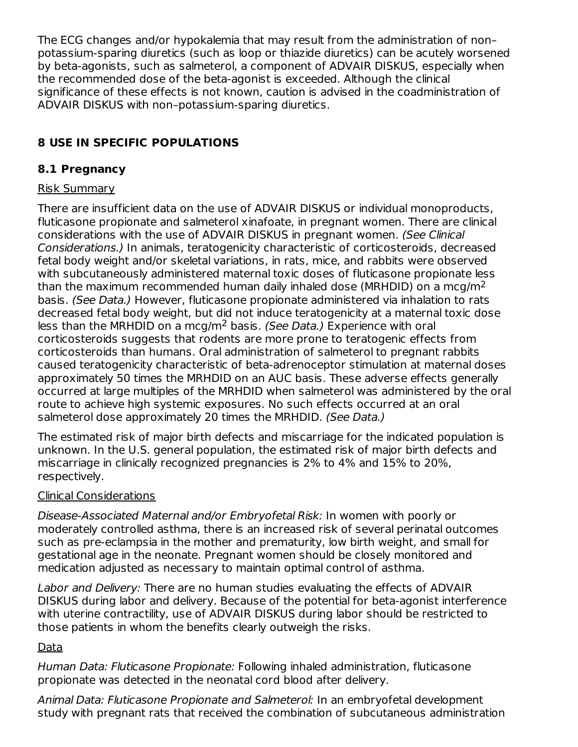The ECG changes and/or hypokalemia that may result from the administration of non– potassium-sparing diuretics (such as loop or thiazide diuretics) can be acutely worsened by beta-agonists, such as salmeterol, a component of ADVAIR DISKUS, especially when the recommended dose of the beta-agonist is exceeded. Although the clinical significance of these effects is not known, caution is advised in the coadministration of ADVAIR DISKUS with non–potassium-sparing diuretics.

## **8 USE IN SPECIFIC POPULATIONS**

## **8.1 Pregnancy**

## Risk Summary

There are insufficient data on the use of ADVAIR DISKUS or individual monoproducts, fluticasone propionate and salmeterol xinafoate, in pregnant women. There are clinical considerations with the use of ADVAIR DISKUS in pregnant women. (See Clinical Considerations.) In animals, teratogenicity characteristic of corticosteroids, decreased fetal body weight and/or skeletal variations, in rats, mice, and rabbits were observed with subcutaneously administered maternal toxic doses of fluticasone propionate less than the maximum recommended human daily inhaled dose (MRHDID) on a mcg/m<sup>2</sup> basis. (See Data.) However, fluticasone propionate administered via inhalation to rats decreased fetal body weight, but did not induce teratogenicity at a maternal toxic dose less than the MRHDID on a mcg/m<sup>2</sup> basis. (See Data.) Experience with oral corticosteroids suggests that rodents are more prone to teratogenic effects from corticosteroids than humans. Oral administration of salmeterol to pregnant rabbits caused teratogenicity characteristic of beta-adrenoceptor stimulation at maternal doses approximately 50 times the MRHDID on an AUC basis. These adverse effects generally occurred at large multiples of the MRHDID when salmeterol was administered by the oral route to achieve high systemic exposures. No such effects occurred at an oral salmeterol dose approximately 20 times the MRHDID. (See Data.)

The estimated risk of major birth defects and miscarriage for the indicated population is unknown. In the U.S. general population, the estimated risk of major birth defects and miscarriage in clinically recognized pregnancies is 2% to 4% and 15% to 20%, respectively.

## Clinical Considerations

Disease-Associated Maternal and/or Embryofetal Risk: In women with poorly or moderately controlled asthma, there is an increased risk of several perinatal outcomes such as pre-eclampsia in the mother and prematurity, low birth weight, and small for gestational age in the neonate. Pregnant women should be closely monitored and medication adjusted as necessary to maintain optimal control of asthma.

Labor and Delivery: There are no human studies evaluating the effects of ADVAIR DISKUS during labor and delivery. Because of the potential for beta-agonist interference with uterine contractility, use of ADVAIR DISKUS during labor should be restricted to those patients in whom the benefits clearly outweigh the risks.

## Data

Human Data: Fluticasone Propionate: Following inhaled administration, fluticasone propionate was detected in the neonatal cord blood after delivery.

Animal Data: Fluticasone Propionate and Salmeterol: In an embryofetal development study with pregnant rats that received the combination of subcutaneous administration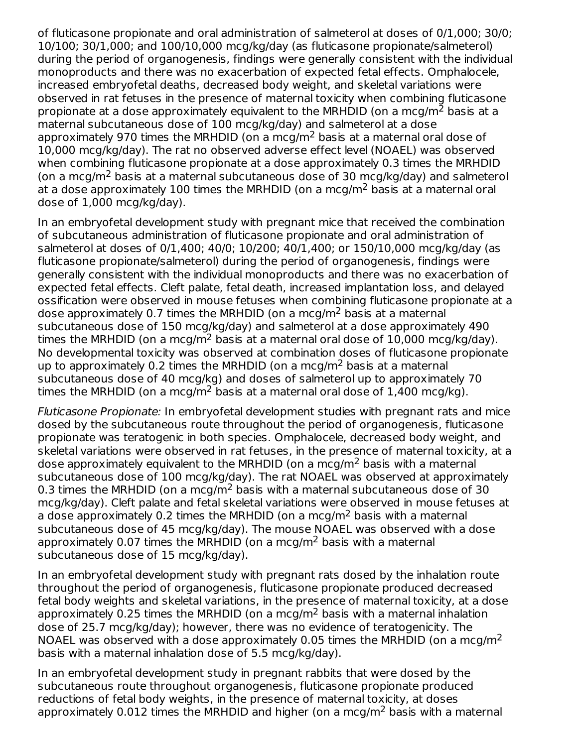of fluticasone propionate and oral administration of salmeterol at doses of 0/1,000; 30/0; 10/100; 30/1,000; and 100/10,000 mcg/kg/day (as fluticasone propionate/salmeterol) during the period of organogenesis, findings were generally consistent with the individual monoproducts and there was no exacerbation of expected fetal effects. Omphalocele, increased embryofetal deaths, decreased body weight, and skeletal variations were observed in rat fetuses in the presence of maternal toxicity when combining fluticasone propionate at a dose approximately equivalent to the MRHDID (on a mcg/m<sup>2</sup> basis at a maternal subcutaneous dose of 100 mcg/kg/day) and salmeterol at a dose approximately 970 times the MRHDID (on a mcg/m<sup>2</sup> basis at a maternal oral dose of 10,000 mcg/kg/day). The rat no observed adverse effect level (NOAEL) was observed when combining fluticasone propionate at a dose approximately 0.3 times the MRHDID (on a mcg/m<sup>2</sup> basis at a maternal subcutaneous dose of 30 mcg/kg/day) and salmeterol at a dose approximately 100 times the MRHDID (on a mcg/m<sup>2</sup> basis at a maternal oral dose of 1,000 mcg/kg/day).

In an embryofetal development study with pregnant mice that received the combination of subcutaneous administration of fluticasone propionate and oral administration of salmeterol at doses of 0/1,400; 40/0; 10/200; 40/1,400; or 150/10,000 mcg/kg/day (as fluticasone propionate/salmeterol) during the period of organogenesis, findings were generally consistent with the individual monoproducts and there was no exacerbation of expected fetal effects. Cleft palate, fetal death, increased implantation loss, and delayed ossification were observed in mouse fetuses when combining fluticasone propionate at a dose approximately 0.7 times the MRHDID (on a mcg/m<sup>2</sup> basis at a maternal subcutaneous dose of 150 mcg/kg/day) and salmeterol at a dose approximately 490 times the MRHDID (on a mcg/m<sup>2</sup> basis at a maternal oral dose of  $10,000$  mcg/kg/day). No developmental toxicity was observed at combination doses of fluticasone propionate up to approximately 0.2 times the MRHDID (on a mcg/m<sup>2</sup> basis at a maternal subcutaneous dose of 40 mcg/kg) and doses of salmeterol up to approximately 70 times the MRHDID (on a mcg/m<sup>2</sup> basis at a maternal oral dose of  $1,400$  mcg/kg).

Fluticasone Propionate: In embryofetal development studies with pregnant rats and mice dosed by the subcutaneous route throughout the period of organogenesis, fluticasone propionate was teratogenic in both species. Omphalocele, decreased body weight, and skeletal variations were observed in rat fetuses, in the presence of maternal toxicity, at a dose approximately equivalent to the MRHDID (on a mcg/m<sup>2</sup> basis with a maternal subcutaneous dose of 100 mcg/kg/day). The rat NOAEL was observed at approximately 0.3 times the MRHDID (on a mcg/m<sup>2</sup> basis with a maternal subcutaneous dose of 30 mcg/kg/day). Cleft palate and fetal skeletal variations were observed in mouse fetuses at a dose approximately 0.2 times the MRHDID (on a mcg/m<sup>2</sup> basis with a maternal subcutaneous dose of 45 mcg/kg/day). The mouse NOAEL was observed with a dose approximately 0.07 times the MRHDID (on a mcg/m<sup>2</sup> basis with a maternal subcutaneous dose of 15 mcg/kg/day).

In an embryofetal development study with pregnant rats dosed by the inhalation route throughout the period of organogenesis, fluticasone propionate produced decreased fetal body weights and skeletal variations, in the presence of maternal toxicity, at a dose approximately 0.25 times the MRHDID (on a mcg/m<sup>2</sup> basis with a maternal inhalation dose of 25.7 mcg/kg/day); however, there was no evidence of teratogenicity. The NOAEL was observed with a dose approximately 0.05 times the MRHDID (on a mcg/m<sup>2</sup> basis with a maternal inhalation dose of 5.5 mcg/kg/day).

In an embryofetal development study in pregnant rabbits that were dosed by the subcutaneous route throughout organogenesis, fluticasone propionate produced reductions of fetal body weights, in the presence of maternal toxicity, at doses approximately 0.012 times the MRHDID and higher (on a mcg/m<sup>2</sup> basis with a maternal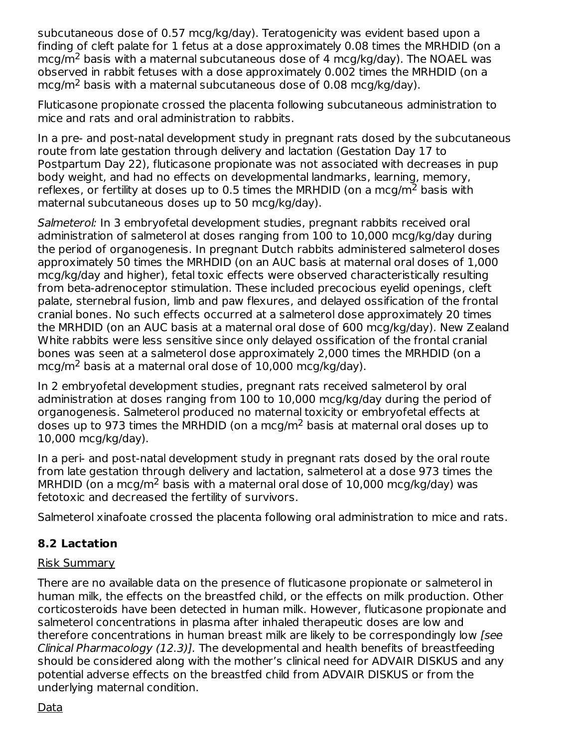subcutaneous dose of 0.57 mcg/kg/day). Teratogenicity was evident based upon a finding of cleft palate for 1 fetus at a dose approximately 0.08 times the MRHDID (on a  $mcg/m<sup>2</sup>$  basis with a maternal subcutaneous dose of 4 mcg/kg/day). The NOAEL was observed in rabbit fetuses with a dose approximately 0.002 times the MRHDID (on a  $mcg/m<sup>2</sup>$  basis with a maternal subcutaneous dose of 0.08 mcg/kg/day).

Fluticasone propionate crossed the placenta following subcutaneous administration to mice and rats and oral administration to rabbits.

In a pre- and post-natal development study in pregnant rats dosed by the subcutaneous route from late gestation through delivery and lactation (Gestation Day 17 to Postpartum Day 22), fluticasone propionate was not associated with decreases in pup body weight, and had no effects on developmental landmarks, learning, memory, reflexes, or fertility at doses up to 0.5 times the MRHDID (on a mcg/m<sup>2</sup> basis with maternal subcutaneous doses up to 50 mcg/kg/day).

Salmeterol: In 3 embryofetal development studies, pregnant rabbits received oral administration of salmeterol at doses ranging from 100 to 10,000 mcg/kg/day during the period of organogenesis. In pregnant Dutch rabbits administered salmeterol doses approximately 50 times the MRHDID (on an AUC basis at maternal oral doses of 1,000 mcg/kg/day and higher), fetal toxic effects were observed characteristically resulting from beta-adrenoceptor stimulation. These included precocious eyelid openings, cleft palate, sternebral fusion, limb and paw flexures, and delayed ossification of the frontal cranial bones. No such effects occurred at a salmeterol dose approximately 20 times the MRHDID (on an AUC basis at a maternal oral dose of 600 mcg/kg/day). New Zealand White rabbits were less sensitive since only delayed ossification of the frontal cranial bones was seen at a salmeterol dose approximately 2,000 times the MRHDID (on a  $mcg/m<sup>2</sup>$  basis at a maternal oral dose of 10,000 mcg/kg/day).

In 2 embryofetal development studies, pregnant rats received salmeterol by oral administration at doses ranging from 100 to 10,000 mcg/kg/day during the period of organogenesis. Salmeterol produced no maternal toxicity or embryofetal effects at doses up to 973 times the MRHDID (on a mcg/m<sup>2</sup> basis at maternal oral doses up to 10,000 mcg/kg/day).

In a peri- and post-natal development study in pregnant rats dosed by the oral route from late gestation through delivery and lactation, salmeterol at a dose 973 times the MRHDID (on a mcg/m<sup>2</sup> basis with a maternal oral dose of  $10,000$  mcg/kg/day) was fetotoxic and decreased the fertility of survivors.

Salmeterol xinafoate crossed the placenta following oral administration to mice and rats.

## **8.2 Lactation**

## Risk Summary

There are no available data on the presence of fluticasone propionate or salmeterol in human milk, the effects on the breastfed child, or the effects on milk production. Other corticosteroids have been detected in human milk. However, fluticasone propionate and salmeterol concentrations in plasma after inhaled therapeutic doses are low and therefore concentrations in human breast milk are likely to be correspondingly low [see Clinical Pharmacology (12.3)]. The developmental and health benefits of breastfeeding should be considered along with the mother's clinical need for ADVAIR DISKUS and any potential adverse effects on the breastfed child from ADVAIR DISKUS or from the underlying maternal condition.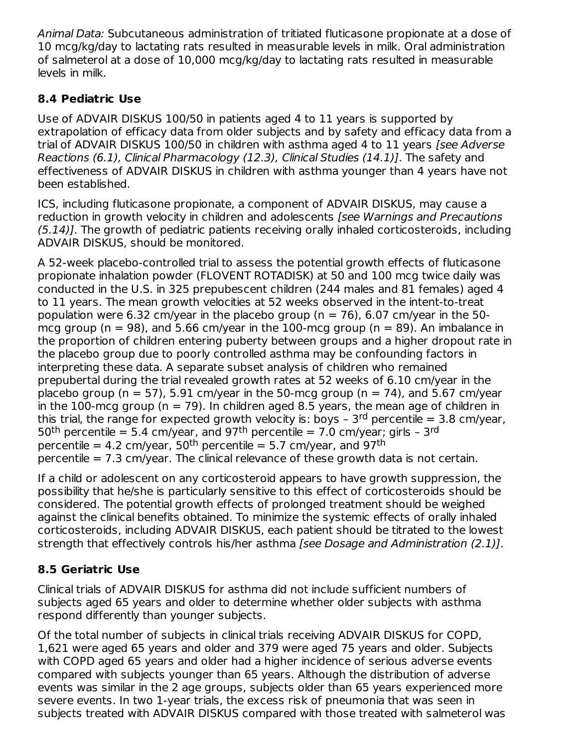Animal Data: Subcutaneous administration of tritiated fluticasone propionate at a dose of 10 mcg/kg/day to lactating rats resulted in measurable levels in milk. Oral administration of salmeterol at a dose of 10,000 mcg/kg/day to lactating rats resulted in measurable levels in milk.

## **8.4 Pediatric Use**

Use of ADVAIR DISKUS 100/50 in patients aged 4 to 11 years is supported by extrapolation of efficacy data from older subjects and by safety and efficacy data from a trial of ADVAIR DISKUS 100/50 in children with asthma aged 4 to 11 years [see Adverse Reactions (6.1), Clinical Pharmacology (12.3), Clinical Studies (14.1)]. The safety and effectiveness of ADVAIR DISKUS in children with asthma younger than 4 years have not been established.

ICS, including fluticasone propionate, a component of ADVAIR DISKUS, may cause a reduction in growth velocity in children and adolescents [see Warnings and Precautions (5.14)]. The growth of pediatric patients receiving orally inhaled corticosteroids, including ADVAIR DISKUS, should be monitored.

A 52-week placebo-controlled trial to assess the potential growth effects of fluticasone propionate inhalation powder (FLOVENT ROTADISK) at 50 and 100 mcg twice daily was conducted in the U.S. in 325 prepubescent children (244 males and 81 females) aged 4 to 11 years. The mean growth velocities at 52 weeks observed in the intent-to-treat population were 6.32 cm/year in the placebo group ( $n = 76$ ), 6.07 cm/year in the 50mcg group ( $n = 98$ ), and 5.66 cm/year in the 100-mcg group ( $n = 89$ ). An imbalance in the proportion of children entering puberty between groups and a higher dropout rate in the placebo group due to poorly controlled asthma may be confounding factors in interpreting these data. A separate subset analysis of children who remained prepubertal during the trial revealed growth rates at 52 weeks of 6.10 cm/year in the placebo group ( $n = 57$ ), 5.91 cm/year in the 50-mcg group ( $n = 74$ ), and 5.67 cm/year in the 100-mcg group ( $n = 79$ ). In children aged 8.5 years, the mean age of children in this trial, the range for expected growth velocity is: boys - 3<sup>rd</sup> percentile = 3.8 cm/year, 50<sup>th</sup> percentile = 5.4 cm/year, and 97<sup>th</sup> percentile = 7.0 cm/year; girls - 3<sup>rd</sup> percentile = 4.2 cm/year, 50<sup>th</sup> percentile = 5.7 cm/year, and 97<sup>th</sup> percentile = 7.3 cm/year. The clinical relevance of these growth data is not certain.

If a child or adolescent on any corticosteroid appears to have growth suppression, the possibility that he/she is particularly sensitive to this effect of corticosteroids should be considered. The potential growth effects of prolonged treatment should be weighed against the clinical benefits obtained. To minimize the systemic effects of orally inhaled corticosteroids, including ADVAIR DISKUS, each patient should be titrated to the lowest strength that effectively controls his/her asthma [see Dosage and Administration (2.1)].

## **8.5 Geriatric Use**

Clinical trials of ADVAIR DISKUS for asthma did not include sufficient numbers of subjects aged 65 years and older to determine whether older subjects with asthma respond differently than younger subjects.

Of the total number of subjects in clinical trials receiving ADVAIR DISKUS for COPD, 1,621 were aged 65 years and older and 379 were aged 75 years and older. Subjects with COPD aged 65 years and older had a higher incidence of serious adverse events compared with subjects younger than 65 years. Although the distribution of adverse events was similar in the 2 age groups, subjects older than 65 years experienced more severe events. In two 1-year trials, the excess risk of pneumonia that was seen in subjects treated with ADVAIR DISKUS compared with those treated with salmeterol was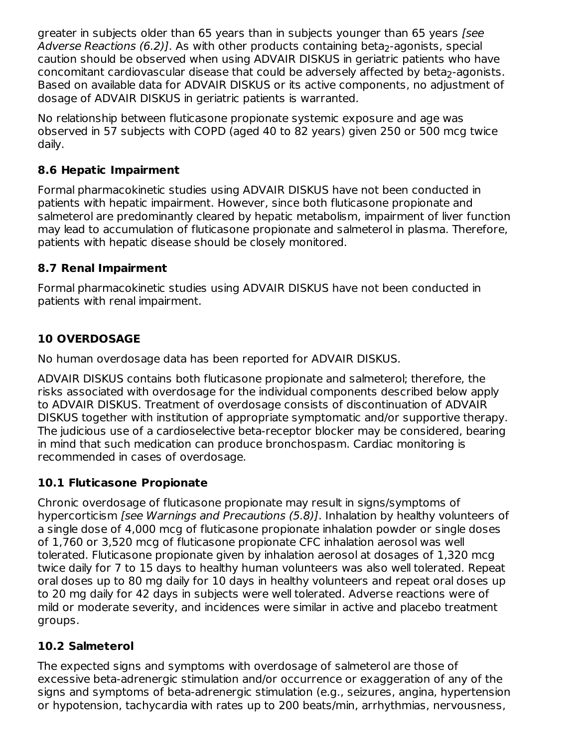greater in subjects older than 65 years than in subjects younger than 65 years (see A*dverse Reactions (6.2)].* As with other products containing beta<sub>2</sub>-agonists, special caution should be observed when using ADVAIR DISKUS in geriatric patients who have concomitant cardiovascular disease that could be adversely affected by beta<sub>2</sub>-agonists. Based on available data for ADVAIR DISKUS or its active components, no adjustment of dosage of ADVAIR DISKUS in geriatric patients is warranted.

No relationship between fluticasone propionate systemic exposure and age was observed in 57 subjects with COPD (aged 40 to 82 years) given 250 or 500 mcg twice daily.

## **8.6 Hepatic Impairment**

Formal pharmacokinetic studies using ADVAIR DISKUS have not been conducted in patients with hepatic impairment. However, since both fluticasone propionate and salmeterol are predominantly cleared by hepatic metabolism, impairment of liver function may lead to accumulation of fluticasone propionate and salmeterol in plasma. Therefore, patients with hepatic disease should be closely monitored.

## **8.7 Renal Impairment**

Formal pharmacokinetic studies using ADVAIR DISKUS have not been conducted in patients with renal impairment.

## **10 OVERDOSAGE**

No human overdosage data has been reported for ADVAIR DISKUS.

ADVAIR DISKUS contains both fluticasone propionate and salmeterol; therefore, the risks associated with overdosage for the individual components described below apply to ADVAIR DISKUS. Treatment of overdosage consists of discontinuation of ADVAIR DISKUS together with institution of appropriate symptomatic and/or supportive therapy. The judicious use of a cardioselective beta-receptor blocker may be considered, bearing in mind that such medication can produce bronchospasm. Cardiac monitoring is recommended in cases of overdosage.

## **10.1 Fluticasone Propionate**

Chronic overdosage of fluticasone propionate may result in signs/symptoms of hypercorticism [see Warnings and Precautions (5.8)]. Inhalation by healthy volunteers of a single dose of 4,000 mcg of fluticasone propionate inhalation powder or single doses of 1,760 or 3,520 mcg of fluticasone propionate CFC inhalation aerosol was well tolerated. Fluticasone propionate given by inhalation aerosol at dosages of 1,320 mcg twice daily for 7 to 15 days to healthy human volunteers was also well tolerated. Repeat oral doses up to 80 mg daily for 10 days in healthy volunteers and repeat oral doses up to 20 mg daily for 42 days in subjects were well tolerated. Adverse reactions were of mild or moderate severity, and incidences were similar in active and placebo treatment groups.

## **10.2 Salmeterol**

The expected signs and symptoms with overdosage of salmeterol are those of excessive beta-adrenergic stimulation and/or occurrence or exaggeration of any of the signs and symptoms of beta-adrenergic stimulation (e.g., seizures, angina, hypertension or hypotension, tachycardia with rates up to 200 beats/min, arrhythmias, nervousness,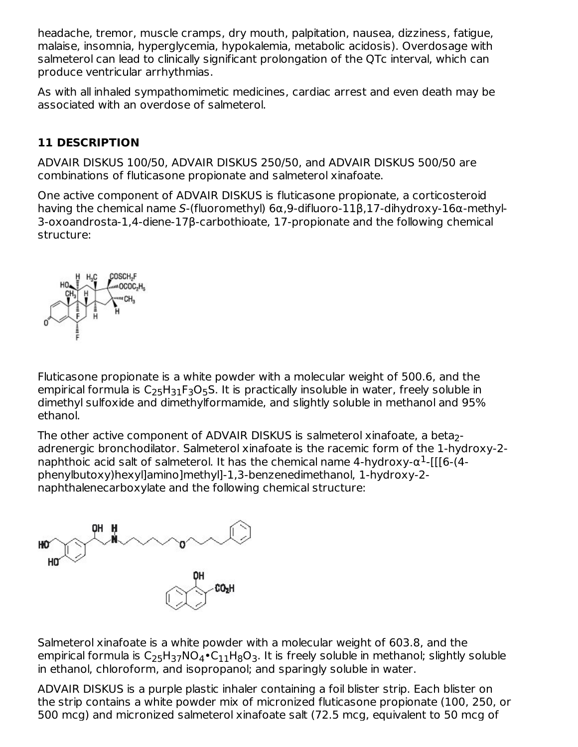headache, tremor, muscle cramps, dry mouth, palpitation, nausea, dizziness, fatigue, malaise, insomnia, hyperglycemia, hypokalemia, metabolic acidosis). Overdosage with salmeterol can lead to clinically significant prolongation of the QTc interval, which can produce ventricular arrhythmias.

As with all inhaled sympathomimetic medicines, cardiac arrest and even death may be associated with an overdose of salmeterol.

## **11 DESCRIPTION**

ADVAIR DISKUS 100/50, ADVAIR DISKUS 250/50, and ADVAIR DISKUS 500/50 are combinations of fluticasone propionate and salmeterol xinafoate.

One active component of ADVAIR DISKUS is fluticasone propionate, a corticosteroid having the chemical name S-(fluoromethyl) 6α,9-difluoro-11β,17-dihydroxy-16α-methyl-3-oxoandrosta-1,4-diene-17β-carbothioate, 17-propionate and the following chemical structure:



Fluticasone propionate is a white powder with a molecular weight of 500.6, and the empirical formula is  $\mathsf{C}_{25}\mathsf{H}_{31}\mathsf{F}_3\mathsf{O}_5\mathsf{S}.$  It is practically insoluble in water, freely soluble in dimethyl sulfoxide and dimethylformamide, and slightly soluble in methanol and 95% ethanol.

The other active component of ADVAIR DISKUS is salmeterol xinafoate, a beta $_2\text{-}$ adrenergic bronchodilator. Salmeterol xinafoate is the racemic form of the 1-hydroxy-2 naphthoic acid salt of salmeterol. It has the chemical name 4-hydroxy- $\alpha^1$ -[[[6-(4phenylbutoxy)hexyl]amino]methyl]-1,3-benzenedimethanol, 1-hydroxy-2 naphthalenecarboxylate and the following chemical structure:



Salmeterol xinafoate is a white powder with a molecular weight of 603.8, and the empirical formula is C<sub>25</sub>H<sub>37</sub>NO<sub>4</sub>•C $_{11}$ H<sub>8</sub>O<sub>3</sub>. It is freely soluble in methanol; slightly soluble in ethanol, chloroform, and isopropanol; and sparingly soluble in water.

ADVAIR DISKUS is a purple plastic inhaler containing a foil blister strip. Each blister on the strip contains a white powder mix of micronized fluticasone propionate (100, 250, or 500 mcg) and micronized salmeterol xinafoate salt (72.5 mcg, equivalent to 50 mcg of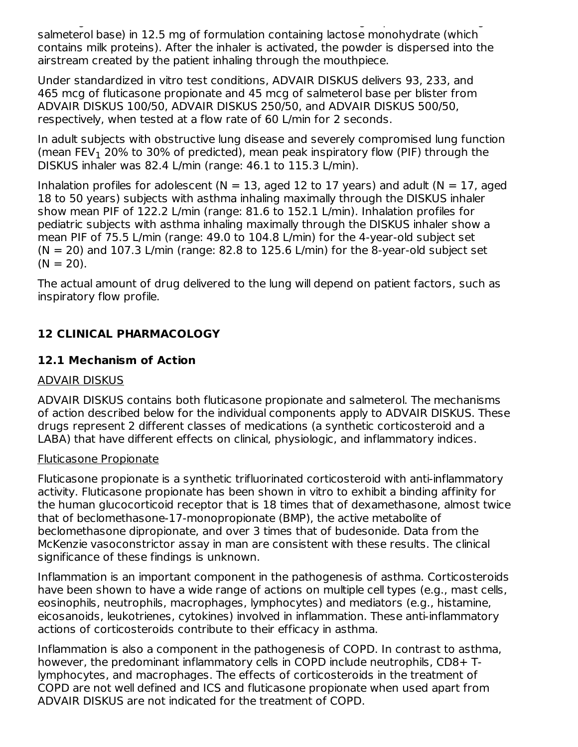500 mcg) and micronized salmeterol xinafoate salt (72.5 mcg, equivalent to 50 mcg of salmeterol base) in 12.5 mg of formulation containing lactose monohydrate (which contains milk proteins). After the inhaler is activated, the powder is dispersed into the airstream created by the patient inhaling through the mouthpiece.

Under standardized in vitro test conditions, ADVAIR DISKUS delivers 93, 233, and 465 mcg of fluticasone propionate and 45 mcg of salmeterol base per blister from ADVAIR DISKUS 100/50, ADVAIR DISKUS 250/50, and ADVAIR DISKUS 500/50, respectively, when tested at a flow rate of 60 L/min for 2 seconds.

In adult subjects with obstructive lung disease and severely compromised lung function (mean  $FEV<sub>1</sub>$  20% to 30% of predicted), mean peak inspiratory flow (PIF) through the DISKUS inhaler was 82.4 L/min (range: 46.1 to 115.3 L/min).

Inhalation profiles for adolescent ( $N = 13$ , aged 12 to 17 years) and adult ( $N = 17$ , aged 18 to 50 years) subjects with asthma inhaling maximally through the DISKUS inhaler show mean PIF of 122.2 L/min (range: 81.6 to 152.1 L/min). Inhalation profiles for pediatric subjects with asthma inhaling maximally through the DISKUS inhaler show a mean PIF of 75.5 L/min (range: 49.0 to 104.8 L/min) for the 4-year-old subject set  $(N = 20)$  and 107.3 L/min (range: 82.8 to 125.6 L/min) for the 8-year-old subject set  $(N = 20)$ .

The actual amount of drug delivered to the lung will depend on patient factors, such as inspiratory flow profile.

## **12 CLINICAL PHARMACOLOGY**

## **12.1 Mechanism of Action**

#### ADVAIR DISKUS

ADVAIR DISKUS contains both fluticasone propionate and salmeterol. The mechanisms of action described below for the individual components apply to ADVAIR DISKUS. These drugs represent 2 different classes of medications (a synthetic corticosteroid and a LABA) that have different effects on clinical, physiologic, and inflammatory indices.

#### Fluticasone Propionate

Fluticasone propionate is a synthetic trifluorinated corticosteroid with anti-inflammatory activity. Fluticasone propionate has been shown in vitro to exhibit a binding affinity for the human glucocorticoid receptor that is 18 times that of dexamethasone, almost twice that of beclomethasone-17-monopropionate (BMP), the active metabolite of beclomethasone dipropionate, and over 3 times that of budesonide. Data from the McKenzie vasoconstrictor assay in man are consistent with these results. The clinical significance of these findings is unknown.

Inflammation is an important component in the pathogenesis of asthma. Corticosteroids have been shown to have a wide range of actions on multiple cell types (e.g., mast cells, eosinophils, neutrophils, macrophages, lymphocytes) and mediators (e.g., histamine, eicosanoids, leukotrienes, cytokines) involved in inflammation. These anti-inflammatory actions of corticosteroids contribute to their efficacy in asthma.

Inflammation is also a component in the pathogenesis of COPD. In contrast to asthma, however, the predominant inflammatory cells in COPD include neutrophils, CD8+ Tlymphocytes, and macrophages. The effects of corticosteroids in the treatment of COPD are not well defined and ICS and fluticasone propionate when used apart from ADVAIR DISKUS are not indicated for the treatment of COPD.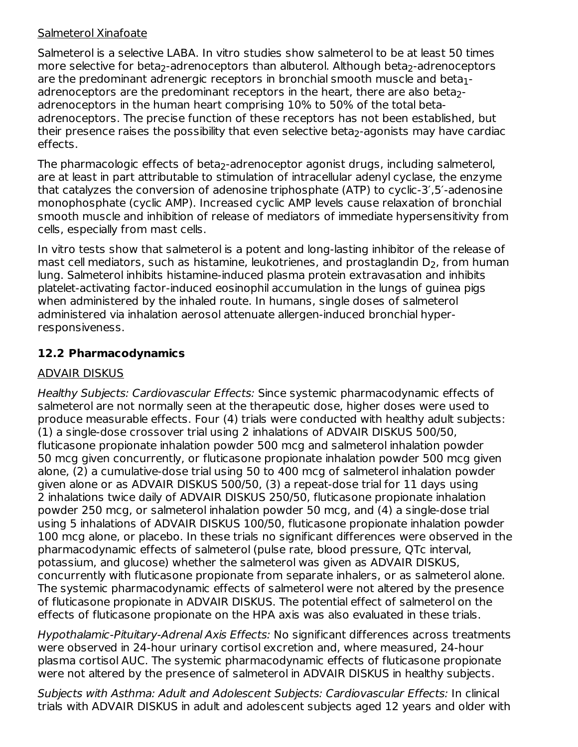### Salmeterol Xinafoate

Salmeterol is a selective LABA. In vitro studies show salmeterol to be at least 50 times more selective for beta<sub>2</sub>-adrenoceptors than albuterol. Although beta<sub>2</sub>-adrenoceptors are the predominant adrenergic receptors in bronchial smooth muscle and beta $_{\rm 1}$ adrenoceptors are the predominant receptors in the heart, there are also beta $_2\text{-}$ adrenoceptors in the human heart comprising 10% to 50% of the total betaadrenoceptors. The precise function of these receptors has not been established, but their presence raises the possibility that even selective beta $_2$ -agonists may have cardiac effects.

The pharmacologic effects of beta<sub>2</sub>-adrenoceptor agonist drugs, including salmeterol, are at least in part attributable to stimulation of intracellular adenyl cyclase, the enzyme that catalyzes the conversion of adenosine triphosphate (ATP) to cyclic-3′,5′-adenosine monophosphate (cyclic AMP). Increased cyclic AMP levels cause relaxation of bronchial smooth muscle and inhibition of release of mediators of immediate hypersensitivity from cells, especially from mast cells.

In vitro tests show that salmeterol is a potent and long-lasting inhibitor of the release of mast cell mediators, such as histamine, leukotrienes, and prostaglandin  $\mathsf{D}_2$ , from human lung. Salmeterol inhibits histamine-induced plasma protein extravasation and inhibits platelet-activating factor-induced eosinophil accumulation in the lungs of guinea pigs when administered by the inhaled route. In humans, single doses of salmeterol administered via inhalation aerosol attenuate allergen-induced bronchial hyperresponsiveness.

## **12.2 Pharmacodynamics**

## ADVAIR DISKUS

Healthy Subjects: Cardiovascular Effects: Since systemic pharmacodynamic effects of salmeterol are not normally seen at the therapeutic dose, higher doses were used to produce measurable effects. Four (4) trials were conducted with healthy adult subjects: (1) a single-dose crossover trial using 2 inhalations of ADVAIR DISKUS 500/50, fluticasone propionate inhalation powder 500 mcg and salmeterol inhalation powder 50 mcg given concurrently, or fluticasone propionate inhalation powder 500 mcg given alone, (2) a cumulative-dose trial using 50 to 400 mcg of salmeterol inhalation powder given alone or as ADVAIR DISKUS 500/50, (3) a repeat-dose trial for 11 days using 2 inhalations twice daily of ADVAIR DISKUS 250/50, fluticasone propionate inhalation powder 250 mcg, or salmeterol inhalation powder 50 mcg, and (4) a single-dose trial using 5 inhalations of ADVAIR DISKUS 100/50, fluticasone propionate inhalation powder 100 mcg alone, or placebo. In these trials no significant differences were observed in the pharmacodynamic effects of salmeterol (pulse rate, blood pressure, QTc interval, potassium, and glucose) whether the salmeterol was given as ADVAIR DISKUS, concurrently with fluticasone propionate from separate inhalers, or as salmeterol alone. The systemic pharmacodynamic effects of salmeterol were not altered by the presence of fluticasone propionate in ADVAIR DISKUS. The potential effect of salmeterol on the effects of fluticasone propionate on the HPA axis was also evaluated in these trials.

Hypothalamic-Pituitary-Adrenal Axis Effects: No significant differences across treatments were observed in 24-hour urinary cortisol excretion and, where measured, 24-hour plasma cortisol AUC. The systemic pharmacodynamic effects of fluticasone propionate were not altered by the presence of salmeterol in ADVAIR DISKUS in healthy subjects.

Subjects with Asthma: Adult and Adolescent Subjects: Cardiovascular Effects: In clinical trials with ADVAIR DISKUS in adult and adolescent subjects aged 12 years and older with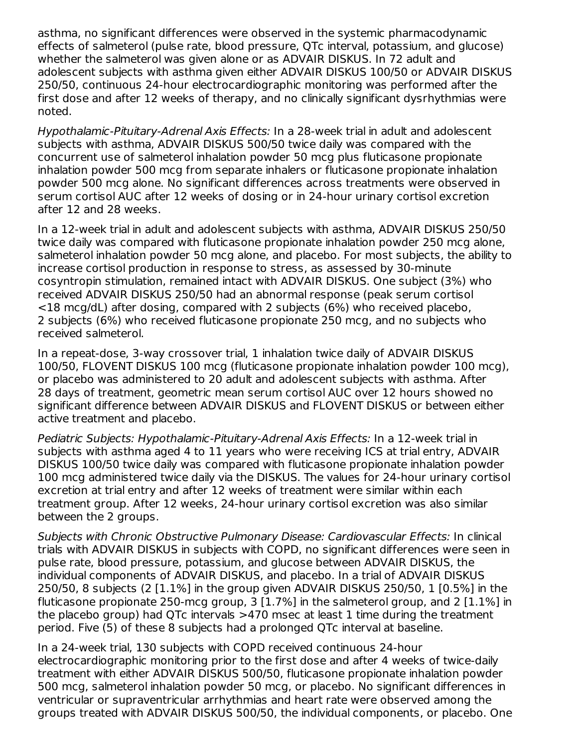asthma, no significant differences were observed in the systemic pharmacodynamic effects of salmeterol (pulse rate, blood pressure, QTc interval, potassium, and glucose) whether the salmeterol was given alone or as ADVAIR DISKUS. In 72 adult and adolescent subjects with asthma given either ADVAIR DISKUS 100/50 or ADVAIR DISKUS 250/50, continuous 24-hour electrocardiographic monitoring was performed after the first dose and after 12 weeks of therapy, and no clinically significant dysrhythmias were noted.

Hypothalamic-Pituitary-Adrenal Axis Effects: In a 28-week trial in adult and adolescent subjects with asthma, ADVAIR DISKUS 500/50 twice daily was compared with the concurrent use of salmeterol inhalation powder 50 mcg plus fluticasone propionate inhalation powder 500 mcg from separate inhalers or fluticasone propionate inhalation powder 500 mcg alone. No significant differences across treatments were observed in serum cortisol AUC after 12 weeks of dosing or in 24-hour urinary cortisol excretion after 12 and 28 weeks.

In a 12-week trial in adult and adolescent subjects with asthma, ADVAIR DISKUS 250/50 twice daily was compared with fluticasone propionate inhalation powder 250 mcg alone, salmeterol inhalation powder 50 mcg alone, and placebo. For most subjects, the ability to increase cortisol production in response to stress, as assessed by 30-minute cosyntropin stimulation, remained intact with ADVAIR DISKUS. One subject (3%) who received ADVAIR DISKUS 250/50 had an abnormal response (peak serum cortisol <18 mcg/dL) after dosing, compared with 2 subjects (6%) who received placebo, 2 subjects (6%) who received fluticasone propionate 250 mcg, and no subjects who received salmeterol.

In a repeat-dose, 3-way crossover trial, 1 inhalation twice daily of ADVAIR DISKUS 100/50, FLOVENT DISKUS 100 mcg (fluticasone propionate inhalation powder 100 mcg), or placebo was administered to 20 adult and adolescent subjects with asthma. After 28 days of treatment, geometric mean serum cortisol AUC over 12 hours showed no significant difference between ADVAIR DISKUS and FLOVENT DISKUS or between either active treatment and placebo.

Pediatric Subjects: Hypothalamic-Pituitary-Adrenal Axis Effects: In a 12-week trial in subjects with asthma aged 4 to 11 years who were receiving ICS at trial entry, ADVAIR DISKUS 100/50 twice daily was compared with fluticasone propionate inhalation powder 100 mcg administered twice daily via the DISKUS. The values for 24-hour urinary cortisol excretion at trial entry and after 12 weeks of treatment were similar within each treatment group. After 12 weeks, 24-hour urinary cortisol excretion was also similar between the 2 groups.

Subjects with Chronic Obstructive Pulmonary Disease: Cardiovascular Effects: In clinical trials with ADVAIR DISKUS in subjects with COPD, no significant differences were seen in pulse rate, blood pressure, potassium, and glucose between ADVAIR DISKUS, the individual components of ADVAIR DISKUS, and placebo. In a trial of ADVAIR DISKUS 250/50, 8 subjects (2 [1.1%] in the group given ADVAIR DISKUS 250/50, 1 [0.5%] in the fluticasone propionate 250-mcg group, 3 [1.7%] in the salmeterol group, and 2 [1.1%] in the placebo group) had QTc intervals >470 msec at least 1 time during the treatment period. Five (5) of these 8 subjects had a prolonged QTc interval at baseline.

In a 24-week trial, 130 subjects with COPD received continuous 24-hour electrocardiographic monitoring prior to the first dose and after 4 weeks of twice-daily treatment with either ADVAIR DISKUS 500/50, fluticasone propionate inhalation powder 500 mcg, salmeterol inhalation powder 50 mcg, or placebo. No significant differences in ventricular or supraventricular arrhythmias and heart rate were observed among the groups treated with ADVAIR DISKUS 500/50, the individual components, or placebo. One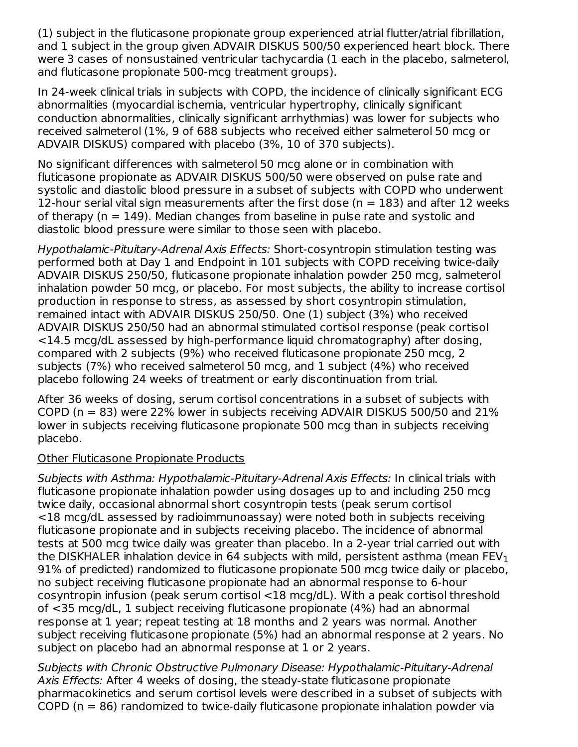(1) subject in the fluticasone propionate group experienced atrial flutter/atrial fibrillation, and 1 subject in the group given ADVAIR DISKUS 500/50 experienced heart block. There were 3 cases of nonsustained ventricular tachycardia (1 each in the placebo, salmeterol, and fluticasone propionate 500-mcg treatment groups).

In 24-week clinical trials in subjects with COPD, the incidence of clinically significant ECG abnormalities (myocardial ischemia, ventricular hypertrophy, clinically significant conduction abnormalities, clinically significant arrhythmias) was lower for subjects who received salmeterol (1%, 9 of 688 subjects who received either salmeterol 50 mcg or ADVAIR DISKUS) compared with placebo (3%, 10 of 370 subjects).

No significant differences with salmeterol 50 mcg alone or in combination with fluticasone propionate as ADVAIR DISKUS 500/50 were observed on pulse rate and systolic and diastolic blood pressure in a subset of subjects with COPD who underwent 12-hour serial vital sign measurements after the first dose ( $n = 183$ ) and after 12 weeks of therapy ( $n = 149$ ). Median changes from baseline in pulse rate and systolic and diastolic blood pressure were similar to those seen with placebo.

Hypothalamic-Pituitary-Adrenal Axis Effects: Short-cosyntropin stimulation testing was performed both at Day 1 and Endpoint in 101 subjects with COPD receiving twice-daily ADVAIR DISKUS 250/50, fluticasone propionate inhalation powder 250 mcg, salmeterol inhalation powder 50 mcg, or placebo. For most subjects, the ability to increase cortisol production in response to stress, as assessed by short cosyntropin stimulation, remained intact with ADVAIR DISKUS 250/50. One (1) subject (3%) who received ADVAIR DISKUS 250/50 had an abnormal stimulated cortisol response (peak cortisol <14.5 mcg/dL assessed by high-performance liquid chromatography) after dosing, compared with 2 subjects (9%) who received fluticasone propionate 250 mcg, 2 subjects (7%) who received salmeterol 50 mcg, and 1 subject (4%) who received placebo following 24 weeks of treatment or early discontinuation from trial.

After 36 weeks of dosing, serum cortisol concentrations in a subset of subjects with COPD ( $n = 83$ ) were 22% lower in subjects receiving ADVAIR DISKUS 500/50 and 21% lower in subjects receiving fluticasone propionate 500 mcg than in subjects receiving placebo.

#### Other Fluticasone Propionate Products

Subjects with Asthma: Hypothalamic-Pituitary-Adrenal Axis Effects: In clinical trials with fluticasone propionate inhalation powder using dosages up to and including 250 mcg twice daily, occasional abnormal short cosyntropin tests (peak serum cortisol <18 mcg/dL assessed by radioimmunoassay) were noted both in subjects receiving fluticasone propionate and in subjects receiving placebo. The incidence of abnormal tests at 500 mcg twice daily was greater than placebo. In a 2-year trial carried out with the DISKHALER inhalation device in 64 subjects with mild, persistent asthma (mean FEV $_{\rm 1}$ 91% of predicted) randomized to fluticasone propionate 500 mcg twice daily or placebo, no subject receiving fluticasone propionate had an abnormal response to 6-hour cosyntropin infusion (peak serum cortisol <18 mcg/dL). With a peak cortisol threshold of <35 mcg/dL, 1 subject receiving fluticasone propionate (4%) had an abnormal response at 1 year; repeat testing at 18 months and 2 years was normal. Another subject receiving fluticasone propionate (5%) had an abnormal response at 2 years. No subject on placebo had an abnormal response at 1 or 2 years.

Subjects with Chronic Obstructive Pulmonary Disease: Hypothalamic-Pituitary-Adrenal Axis Effects: After 4 weeks of dosing, the steady-state fluticasone propionate pharmacokinetics and serum cortisol levels were described in a subset of subjects with COPD (n = 86) randomized to twice-daily fluticasone propionate inhalation powder via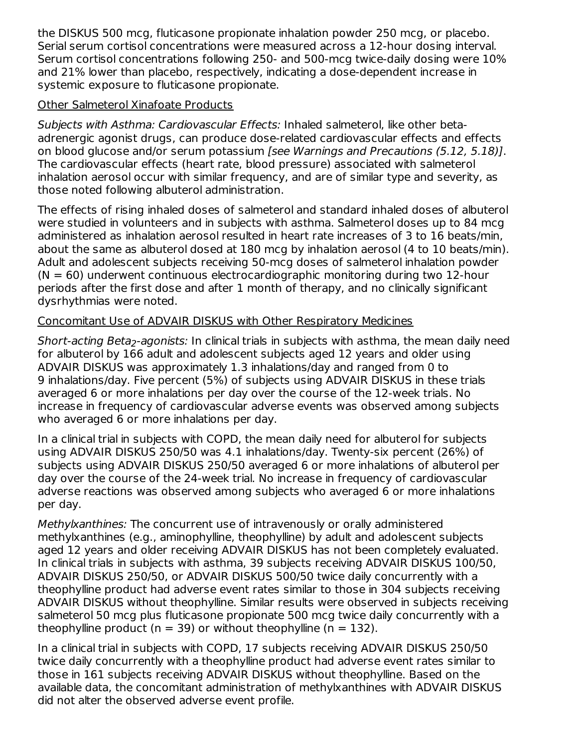the DISKUS 500 mcg, fluticasone propionate inhalation powder 250 mcg, or placebo. Serial serum cortisol concentrations were measured across a 12-hour dosing interval. Serum cortisol concentrations following 250- and 500-mcg twice-daily dosing were 10% and 21% lower than placebo, respectively, indicating a dose-dependent increase in systemic exposure to fluticasone propionate.

#### Other Salmeterol Xinafoate Products

Subjects with Asthma: Cardiovascular Effects: Inhaled salmeterol, like other betaadrenergic agonist drugs, can produce dose-related cardiovascular effects and effects on blood glucose and/or serum potassium [see Warnings and Precautions (5.12, 5.18)]. The cardiovascular effects (heart rate, blood pressure) associated with salmeterol inhalation aerosol occur with similar frequency, and are of similar type and severity, as those noted following albuterol administration.

The effects of rising inhaled doses of salmeterol and standard inhaled doses of albuterol were studied in volunteers and in subjects with asthma. Salmeterol doses up to 84 mcg administered as inhalation aerosol resulted in heart rate increases of 3 to 16 beats/min, about the same as albuterol dosed at 180 mcg by inhalation aerosol (4 to 10 beats/min). Adult and adolescent subjects receiving 50-mcg doses of salmeterol inhalation powder  $(N = 60)$  underwent continuous electrocardiographic monitoring during two 12-hour periods after the first dose and after 1 month of therapy, and no clinically significant dysrhythmias were noted.

## Concomitant Use of ADVAIR DISKUS with Other Respiratory Medicines

*Short-acting Beta<sub>2</sub>-agonists:* In clinical trials in subjects with asthma, the mean daily need for albuterol by 166 adult and adolescent subjects aged 12 years and older using ADVAIR DISKUS was approximately 1.3 inhalations/day and ranged from 0 to 9 inhalations/day. Five percent (5%) of subjects using ADVAIR DISKUS in these trials averaged 6 or more inhalations per day over the course of the 12-week trials. No increase in frequency of cardiovascular adverse events was observed among subjects who averaged 6 or more inhalations per day.

In a clinical trial in subjects with COPD, the mean daily need for albuterol for subjects using ADVAIR DISKUS 250/50 was 4.1 inhalations/day. Twenty-six percent (26%) of subjects using ADVAIR DISKUS 250/50 averaged 6 or more inhalations of albuterol per day over the course of the 24-week trial. No increase in frequency of cardiovascular adverse reactions was observed among subjects who averaged 6 or more inhalations per day.

Methylxanthines: The concurrent use of intravenously or orally administered methylxanthines (e.g., aminophylline, theophylline) by adult and adolescent subjects aged 12 years and older receiving ADVAIR DISKUS has not been completely evaluated. In clinical trials in subjects with asthma, 39 subjects receiving ADVAIR DISKUS 100/50, ADVAIR DISKUS 250/50, or ADVAIR DISKUS 500/50 twice daily concurrently with a theophylline product had adverse event rates similar to those in 304 subjects receiving ADVAIR DISKUS without theophylline. Similar results were observed in subjects receiving salmeterol 50 mcg plus fluticasone propionate 500 mcg twice daily concurrently with a theophylline product ( $n = 39$ ) or without theophylline ( $n = 132$ ).

In a clinical trial in subjects with COPD, 17 subjects receiving ADVAIR DISKUS 250/50 twice daily concurrently with a theophylline product had adverse event rates similar to those in 161 subjects receiving ADVAIR DISKUS without theophylline. Based on the available data, the concomitant administration of methylxanthines with ADVAIR DISKUS did not alter the observed adverse event profile.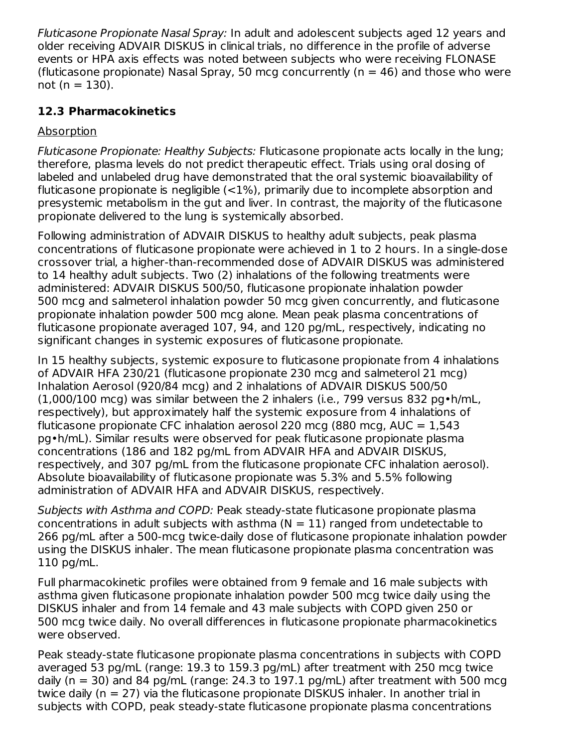Fluticasone Propionate Nasal Spray: In adult and adolescent subjects aged 12 years and older receiving ADVAIR DISKUS in clinical trials, no difference in the profile of adverse events or HPA axis effects was noted between subjects who were receiving FLONASE (fluticasone propionate) Nasal Spray, 50 mcg concurrently ( $n = 46$ ) and those who were not ( $n = 130$ ).

## **12.3 Pharmacokinetics**

## Absorption

Fluticasone Propionate: Healthy Subjects: Fluticasone propionate acts locally in the lung; therefore, plasma levels do not predict therapeutic effect. Trials using oral dosing of labeled and unlabeled drug have demonstrated that the oral systemic bioavailability of fluticasone propionate is negligible  $\left($  < 1%), primarily due to incomplete absorption and presystemic metabolism in the gut and liver. In contrast, the majority of the fluticasone propionate delivered to the lung is systemically absorbed.

Following administration of ADVAIR DISKUS to healthy adult subjects, peak plasma concentrations of fluticasone propionate were achieved in 1 to 2 hours. In a single-dose crossover trial, a higher-than-recommended dose of ADVAIR DISKUS was administered to 14 healthy adult subjects. Two (2) inhalations of the following treatments were administered: ADVAIR DISKUS 500/50, fluticasone propionate inhalation powder 500 mcg and salmeterol inhalation powder 50 mcg given concurrently, and fluticasone propionate inhalation powder 500 mcg alone. Mean peak plasma concentrations of fluticasone propionate averaged 107, 94, and 120 pg/mL, respectively, indicating no significant changes in systemic exposures of fluticasone propionate.

In 15 healthy subjects, systemic exposure to fluticasone propionate from 4 inhalations of ADVAIR HFA 230/21 (fluticasone propionate 230 mcg and salmeterol 21 mcg) Inhalation Aerosol (920/84 mcg) and 2 inhalations of ADVAIR DISKUS 500/50 (1,000/100 mcg) was similar between the 2 inhalers (i.e., 799 versus 832 pg•h/mL, respectively), but approximately half the systemic exposure from 4 inhalations of fluticasone propionate CFC inhalation aerosol 220 mcg (880 mcg, AUC =  $1,543$ ) pg•h/mL). Similar results were observed for peak fluticasone propionate plasma concentrations (186 and 182 pg/mL from ADVAIR HFA and ADVAIR DISKUS, respectively, and 307 pg/mL from the fluticasone propionate CFC inhalation aerosol). Absolute bioavailability of fluticasone propionate was 5.3% and 5.5% following administration of ADVAIR HFA and ADVAIR DISKUS, respectively.

Subjects with Asthma and COPD: Peak steady-state fluticasone propionate plasma concentrations in adult subjects with asthma ( $N = 11$ ) ranged from undetectable to 266 pg/mL after a 500-mcg twice-daily dose of fluticasone propionate inhalation powder using the DISKUS inhaler. The mean fluticasone propionate plasma concentration was 110 pg/mL.

Full pharmacokinetic profiles were obtained from 9 female and 16 male subjects with asthma given fluticasone propionate inhalation powder 500 mcg twice daily using the DISKUS inhaler and from 14 female and 43 male subjects with COPD given 250 or 500 mcg twice daily. No overall differences in fluticasone propionate pharmacokinetics were observed.

Peak steady-state fluticasone propionate plasma concentrations in subjects with COPD averaged 53 pg/mL (range: 19.3 to 159.3 pg/mL) after treatment with 250 mcg twice daily ( $n = 30$ ) and 84 pg/mL (range: 24.3 to 197.1 pg/mL) after treatment with 500 mcg twice daily (n = 27) via the fluticasone propionate DISKUS inhaler. In another trial in subjects with COPD, peak steady-state fluticasone propionate plasma concentrations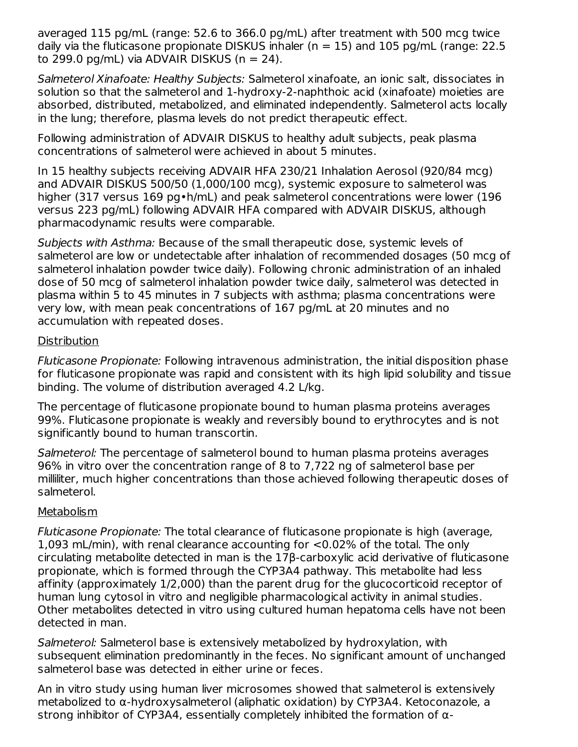averaged 115 pg/mL (range: 52.6 to 366.0 pg/mL) after treatment with 500 mcg twice daily via the fluticasone propionate DISKUS inhaler ( $n = 15$ ) and 105 pg/mL (range: 22.5 to 299.0 pg/mL) via ADVAIR DISKUS ( $n = 24$ ).

Salmeterol Xinafoate: Healthy Subjects: Salmeterol xinafoate, an ionic salt, dissociates in solution so that the salmeterol and 1-hydroxy-2-naphthoic acid (xinafoate) moieties are absorbed, distributed, metabolized, and eliminated independently. Salmeterol acts locally in the lung; therefore, plasma levels do not predict therapeutic effect.

Following administration of ADVAIR DISKUS to healthy adult subjects, peak plasma concentrations of salmeterol were achieved in about 5 minutes.

In 15 healthy subjects receiving ADVAIR HFA 230/21 Inhalation Aerosol (920/84 mcg) and ADVAIR DISKUS 500/50 (1,000/100 mcg), systemic exposure to salmeterol was higher (317 versus 169 pg•h/mL) and peak salmeterol concentrations were lower (196 versus 223 pg/mL) following ADVAIR HFA compared with ADVAIR DISKUS, although pharmacodynamic results were comparable.

Subjects with Asthma: Because of the small therapeutic dose, systemic levels of salmeterol are low or undetectable after inhalation of recommended dosages (50 mcg of salmeterol inhalation powder twice daily). Following chronic administration of an inhaled dose of 50 mcg of salmeterol inhalation powder twice daily, salmeterol was detected in plasma within 5 to 45 minutes in 7 subjects with asthma; plasma concentrations were very low, with mean peak concentrations of 167 pg/mL at 20 minutes and no accumulation with repeated doses.

#### **Distribution**

Fluticasone Propionate: Following intravenous administration, the initial disposition phase for fluticasone propionate was rapid and consistent with its high lipid solubility and tissue binding. The volume of distribution averaged 4.2 L/kg.

The percentage of fluticasone propionate bound to human plasma proteins averages 99%. Fluticasone propionate is weakly and reversibly bound to erythrocytes and is not significantly bound to human transcortin.

Salmeterol: The percentage of salmeterol bound to human plasma proteins averages 96% in vitro over the concentration range of 8 to 7,722 ng of salmeterol base per milliliter, much higher concentrations than those achieved following therapeutic doses of salmeterol.

## Metabolism

Fluticasone Propionate: The total clearance of fluticasone propionate is high (average, 1,093 mL/min), with renal clearance accounting for <0.02% of the total. The only circulating metabolite detected in man is the 17β-carboxylic acid derivative of fluticasone propionate, which is formed through the CYP3A4 pathway. This metabolite had less affinity (approximately 1/2,000) than the parent drug for the glucocorticoid receptor of human lung cytosol in vitro and negligible pharmacological activity in animal studies. Other metabolites detected in vitro using cultured human hepatoma cells have not been detected in man.

Salmeterol: Salmeterol base is extensively metabolized by hydroxylation, with subsequent elimination predominantly in the feces. No significant amount of unchanged salmeterol base was detected in either urine or feces.

An in vitro study using human liver microsomes showed that salmeterol is extensively metabolized to α-hydroxysalmeterol (aliphatic oxidation) by CYP3A4. Ketoconazole, a strong inhibitor of CYP3A4, essentially completely inhibited the formation of  $\alpha$ -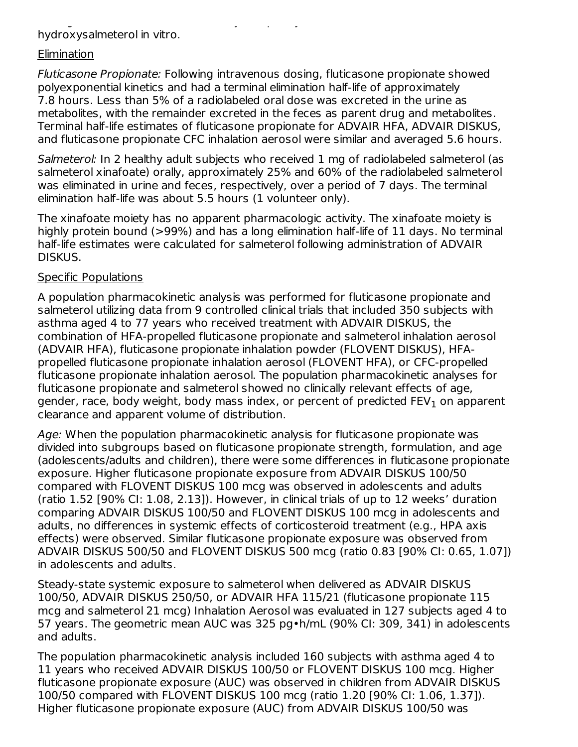strong inhibitor of CYP3A4, essentially completely inhibited the formation of αhydroxysalmeterol in vitro.

#### **Elimination**

Fluticasone Propionate: Following intravenous dosing, fluticasone propionate showed polyexponential kinetics and had a terminal elimination half-life of approximately 7.8 hours. Less than 5% of a radiolabeled oral dose was excreted in the urine as metabolites, with the remainder excreted in the feces as parent drug and metabolites. Terminal half-life estimates of fluticasone propionate for ADVAIR HFA, ADVAIR DISKUS, and fluticasone propionate CFC inhalation aerosol were similar and averaged 5.6 hours.

Salmeterol: In 2 healthy adult subjects who received 1 mg of radiolabeled salmeterol (as salmeterol xinafoate) orally, approximately 25% and 60% of the radiolabeled salmeterol was eliminated in urine and feces, respectively, over a period of 7 days. The terminal elimination half-life was about 5.5 hours (1 volunteer only).

The xinafoate moiety has no apparent pharmacologic activity. The xinafoate moiety is highly protein bound (>99%) and has a long elimination half-life of 11 days. No terminal half-life estimates were calculated for salmeterol following administration of ADVAIR DISKUS.

#### Specific Populations

A population pharmacokinetic analysis was performed for fluticasone propionate and salmeterol utilizing data from 9 controlled clinical trials that included 350 subjects with asthma aged 4 to 77 years who received treatment with ADVAIR DISKUS, the combination of HFA-propelled fluticasone propionate and salmeterol inhalation aerosol (ADVAIR HFA), fluticasone propionate inhalation powder (FLOVENT DISKUS), HFApropelled fluticasone propionate inhalation aerosol (FLOVENT HFA), or CFC-propelled fluticasone propionate inhalation aerosol. The population pharmacokinetic analyses for fluticasone propionate and salmeterol showed no clinically relevant effects of age, gender, race, body weight, body mass index, or percent of predicted FEV $_{\rm 1}$  on apparent clearance and apparent volume of distribution.

Age: When the population pharmacokinetic analysis for fluticasone propionate was divided into subgroups based on fluticasone propionate strength, formulation, and age (adolescents/adults and children), there were some differences in fluticasone propionate exposure. Higher fluticasone propionate exposure from ADVAIR DISKUS 100/50 compared with FLOVENT DISKUS 100 mcg was observed in adolescents and adults (ratio 1.52 [90% CI: 1.08, 2.13]). However, in clinical trials of up to 12 weeks' duration comparing ADVAIR DISKUS 100/50 and FLOVENT DISKUS 100 mcg in adolescents and adults, no differences in systemic effects of corticosteroid treatment (e.g., HPA axis effects) were observed. Similar fluticasone propionate exposure was observed from ADVAIR DISKUS 500/50 and FLOVENT DISKUS 500 mcg (ratio 0.83 [90% CI: 0.65, 1.07]) in adolescents and adults.

Steady-state systemic exposure to salmeterol when delivered as ADVAIR DISKUS 100/50, ADVAIR DISKUS 250/50, or ADVAIR HFA 115/21 (fluticasone propionate 115 mcg and salmeterol 21 mcg) Inhalation Aerosol was evaluated in 127 subjects aged 4 to 57 years. The geometric mean AUC was 325 pg•h/mL (90% CI: 309, 341) in adolescents and adults.

The population pharmacokinetic analysis included 160 subjects with asthma aged 4 to 11 years who received ADVAIR DISKUS 100/50 or FLOVENT DISKUS 100 mcg. Higher fluticasone propionate exposure (AUC) was observed in children from ADVAIR DISKUS 100/50 compared with FLOVENT DISKUS 100 mcg (ratio 1.20 [90% CI: 1.06, 1.37]). Higher fluticasone propionate exposure (AUC) from ADVAIR DISKUS 100/50 was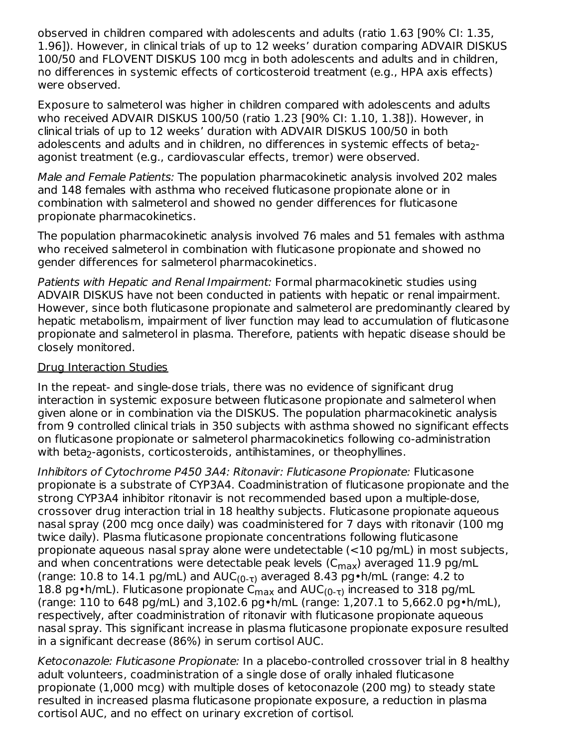observed in children compared with adolescents and adults (ratio 1.63 [90% CI: 1.35, 1.96]). However, in clinical trials of up to 12 weeks' duration comparing ADVAIR DISKUS 100/50 and FLOVENT DISKUS 100 mcg in both adolescents and adults and in children, no differences in systemic effects of corticosteroid treatment (e.g., HPA axis effects) were observed.

Exposure to salmeterol was higher in children compared with adolescents and adults who received ADVAIR DISKUS 100/50 (ratio 1.23 [90% CI: 1.10, 1.38]). However, in clinical trials of up to 12 weeks' duration with ADVAIR DISKUS 100/50 in both adolescents and adults and in children, no differences in systemic effects of beta<sub>2</sub>agonist treatment (e.g., cardiovascular effects, tremor) were observed.

Male and Female Patients: The population pharmacokinetic analysis involved 202 males and 148 females with asthma who received fluticasone propionate alone or in combination with salmeterol and showed no gender differences for fluticasone propionate pharmacokinetics.

The population pharmacokinetic analysis involved 76 males and 51 females with asthma who received salmeterol in combination with fluticasone propionate and showed no gender differences for salmeterol pharmacokinetics.

Patients with Hepatic and Renal Impairment: Formal pharmacokinetic studies using ADVAIR DISKUS have not been conducted in patients with hepatic or renal impairment. However, since both fluticasone propionate and salmeterol are predominantly cleared by hepatic metabolism, impairment of liver function may lead to accumulation of fluticasone propionate and salmeterol in plasma. Therefore, patients with hepatic disease should be closely monitored.

#### Drug Interaction Studies

In the repeat- and single-dose trials, there was no evidence of significant drug interaction in systemic exposure between fluticasone propionate and salmeterol when given alone or in combination via the DISKUS. The population pharmacokinetic analysis from 9 controlled clinical trials in 350 subjects with asthma showed no significant effects on fluticasone propionate or salmeterol pharmacokinetics following co-administration with beta<sub>2</sub>-agonists, corticosteroids, antihistamines, or theophyllines.

Inhibitors of Cytochrome P450 3A4: Ritonavir: Fluticasone Propionate: Fluticasone propionate is a substrate of CYP3A4. Coadministration of fluticasone propionate and the strong CYP3A4 inhibitor ritonavir is not recommended based upon a multiple-dose, crossover drug interaction trial in 18 healthy subjects. Fluticasone propionate aqueous nasal spray (200 mcg once daily) was coadministered for 7 days with ritonavir (100 mg twice daily). Plasma fluticasone propionate concentrations following fluticasone propionate aqueous nasal spray alone were undetectable (<10 pg/mL) in most subjects, and when concentrations were detectable peak levels ( $\mathsf{C}_{\mathsf{max}}$ ) averaged 11.9 pg/mL (range: 10.8 to 14.1 pg/mL) and  $AUC_{(0-\tau)}$  averaged 8.43 pg•h/mL (range: 4.2 to 18.8 pg•h/mL). Fluticasone propionate C $_{\sf max}$  and AUC $_{(0\text{-}\tau)}$  increased to 318 pg/mL (range: 110 to 648 pg/mL) and 3,102.6 pg•h/mL (range: 1,207.1 to 5,662.0 pg•h/mL), respectively, after coadministration of ritonavir with fluticasone propionate aqueous nasal spray. This significant increase in plasma fluticasone propionate exposure resulted in a significant decrease (86%) in serum cortisol AUC.

Ketoconazole: Fluticasone Propionate: In a placebo-controlled crossover trial in 8 healthy adult volunteers, coadministration of a single dose of orally inhaled fluticasone propionate (1,000 mcg) with multiple doses of ketoconazole (200 mg) to steady state resulted in increased plasma fluticasone propionate exposure, a reduction in plasma cortisol AUC, and no effect on urinary excretion of cortisol.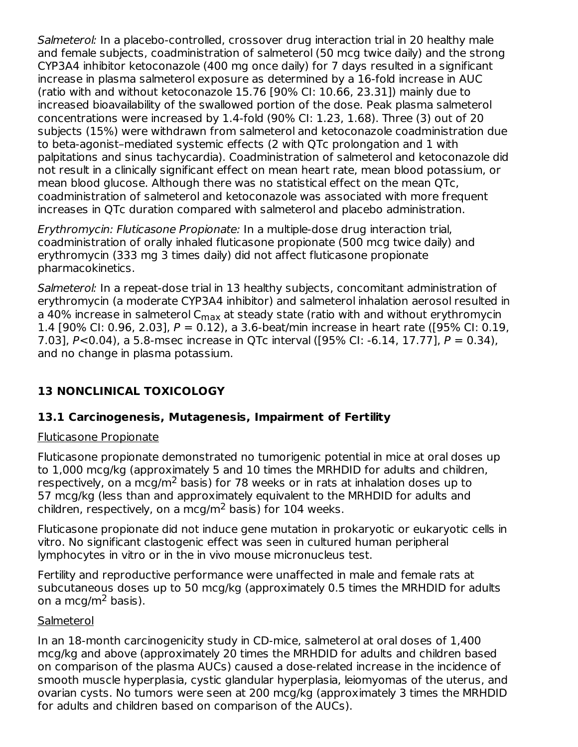Salmeterol: In a placebo-controlled, crossover drug interaction trial in 20 healthy male and female subjects, coadministration of salmeterol (50 mcg twice daily) and the strong CYP3A4 inhibitor ketoconazole (400 mg once daily) for 7 days resulted in a significant increase in plasma salmeterol exposure as determined by a 16-fold increase in AUC (ratio with and without ketoconazole 15.76 [90% CI: 10.66, 23.31]) mainly due to increased bioavailability of the swallowed portion of the dose. Peak plasma salmeterol concentrations were increased by 1.4-fold (90% CI: 1.23, 1.68). Three (3) out of 20 subjects (15%) were withdrawn from salmeterol and ketoconazole coadministration due to beta-agonist–mediated systemic effects (2 with QTc prolongation and 1 with palpitations and sinus tachycardia). Coadministration of salmeterol and ketoconazole did not result in a clinically significant effect on mean heart rate, mean blood potassium, or mean blood glucose. Although there was no statistical effect on the mean QTc, coadministration of salmeterol and ketoconazole was associated with more frequent increases in QTc duration compared with salmeterol and placebo administration.

Erythromycin: Fluticasone Propionate: In a multiple-dose drug interaction trial, coadministration of orally inhaled fluticasone propionate (500 mcg twice daily) and erythromycin (333 mg 3 times daily) did not affect fluticasone propionate pharmacokinetics.

Salmeterol: In a repeat-dose trial in 13 healthy subjects, concomitant administration of erythromycin (a moderate CYP3A4 inhibitor) and salmeterol inhalation aerosol resulted in a 40% increase in salmeterol C<sub>max</sub> at steady state (ratio with and without erythromycin 1.4 [90% CI: 0.96, 2.03],  $P = 0.12$ ), a 3.6-beat/min increase in heart rate ([95% CI: 0.19, 7.03], P<0.04), a 5.8-msec increase in QTc interval ([95% CI: -6.14, 17.77], P = 0.34), and no change in plasma potassium.

## **13 NONCLINICAL TOXICOLOGY**

## **13.1 Carcinogenesis, Mutagenesis, Impairment of Fertility**

#### Fluticasone Propionate

Fluticasone propionate demonstrated no tumorigenic potential in mice at oral doses up to 1,000 mcg/kg (approximately 5 and 10 times the MRHDID for adults and children, respectively, on a mcg/m<sup>2</sup> basis) for 78 weeks or in rats at inhalation doses up to 57 mcg/kg (less than and approximately equivalent to the MRHDID for adults and children, respectively, on a mcg/m<sup>2</sup> basis) for 104 weeks.

Fluticasone propionate did not induce gene mutation in prokaryotic or eukaryotic cells in vitro. No significant clastogenic effect was seen in cultured human peripheral lymphocytes in vitro or in the in vivo mouse micronucleus test.

Fertility and reproductive performance were unaffected in male and female rats at subcutaneous doses up to 50 mcg/kg (approximately 0.5 times the MRHDID for adults on a mcg/m<sup>2</sup> basis).

#### **Salmeterol**

In an 18-month carcinogenicity study in CD-mice, salmeterol at oral doses of 1,400 mcg/kg and above (approximately 20 times the MRHDID for adults and children based on comparison of the plasma AUCs) caused a dose-related increase in the incidence of smooth muscle hyperplasia, cystic glandular hyperplasia, leiomyomas of the uterus, and ovarian cysts. No tumors were seen at 200 mcg/kg (approximately 3 times the MRHDID for adults and children based on comparison of the AUCs).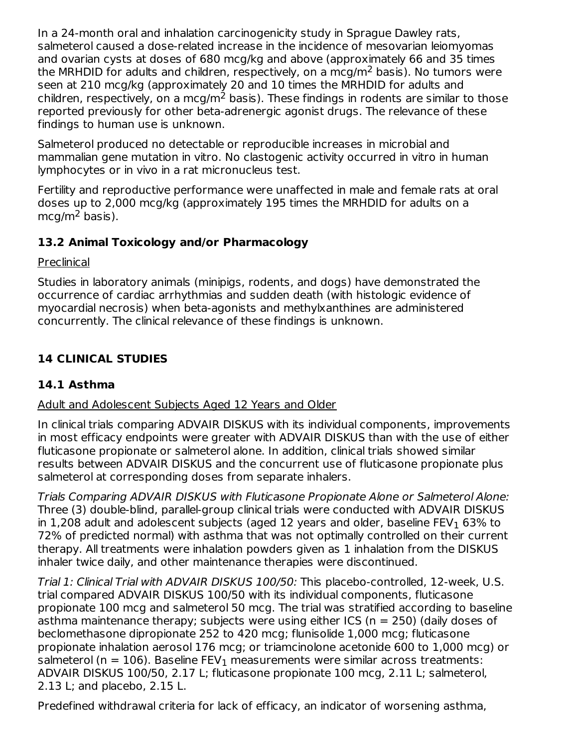In a 24-month oral and inhalation carcinogenicity study in Sprague Dawley rats, salmeterol caused a dose-related increase in the incidence of mesovarian leiomyomas and ovarian cysts at doses of 680 mcg/kg and above (approximately 66 and 35 times the MRHDID for adults and children, respectively, on a mcg/m $^2$  basis). No tumors were seen at 210 mcg/kg (approximately 20 and 10 times the MRHDID for adults and children, respectively, on a mcg/m $^2$  basis). These findings in rodents are similar to those reported previously for other beta-adrenergic agonist drugs. The relevance of these findings to human use is unknown.

Salmeterol produced no detectable or reproducible increases in microbial and mammalian gene mutation in vitro. No clastogenic activity occurred in vitro in human lymphocytes or in vivo in a rat micronucleus test.

Fertility and reproductive performance were unaffected in male and female rats at oral doses up to 2,000 mcg/kg (approximately 195 times the MRHDID for adults on a  $mcg/m<sup>2</sup>$  basis).

## **13.2 Animal Toxicology and/or Pharmacology**

Preclinical

Studies in laboratory animals (minipigs, rodents, and dogs) have demonstrated the occurrence of cardiac arrhythmias and sudden death (with histologic evidence of myocardial necrosis) when beta-agonists and methylxanthines are administered concurrently. The clinical relevance of these findings is unknown.

## **14 CLINICAL STUDIES**

## **14.1 Asthma**

## Adult and Adolescent Subjects Aged 12 Years and Older

In clinical trials comparing ADVAIR DISKUS with its individual components, improvements in most efficacy endpoints were greater with ADVAIR DISKUS than with the use of either fluticasone propionate or salmeterol alone. In addition, clinical trials showed similar results between ADVAIR DISKUS and the concurrent use of fluticasone propionate plus salmeterol at corresponding doses from separate inhalers.

Trials Comparing ADVAIR DISKUS with Fluticasone Propionate Alone or Salmeterol Alone: Three (3) double-blind, parallel-group clinical trials were conducted with ADVAIR DISKUS in 1,208 adult and adolescent subjects (aged 12 years and older, baseline FEV $_{\rm 1}$  63% to 72% of predicted normal) with asthma that was not optimally controlled on their current therapy. All treatments were inhalation powders given as 1 inhalation from the DISKUS inhaler twice daily, and other maintenance therapies were discontinued.

Trial 1: Clinical Trial with ADVAIR DISKUS 100/50: This placebo-controlled, 12-week, U.S. trial compared ADVAIR DISKUS 100/50 with its individual components, fluticasone propionate 100 mcg and salmeterol 50 mcg. The trial was stratified according to baseline asthma maintenance therapy; subjects were using either ICS ( $n = 250$ ) (daily doses of beclomethasone dipropionate 252 to 420 mcg; flunisolide 1,000 mcg; fluticasone propionate inhalation aerosol 176 mcg; or triamcinolone acetonide 600 to 1,000 mcg) or salmeterol (n = 106). Baseline FEV $_{\rm 1}$  measurements were similar across treatments: ADVAIR DISKUS 100/50, 2.17 L; fluticasone propionate 100 mcg, 2.11 L; salmeterol, 2.13 L; and placebo, 2.15 L.

Predefined withdrawal criteria for lack of efficacy, an indicator of worsening asthma,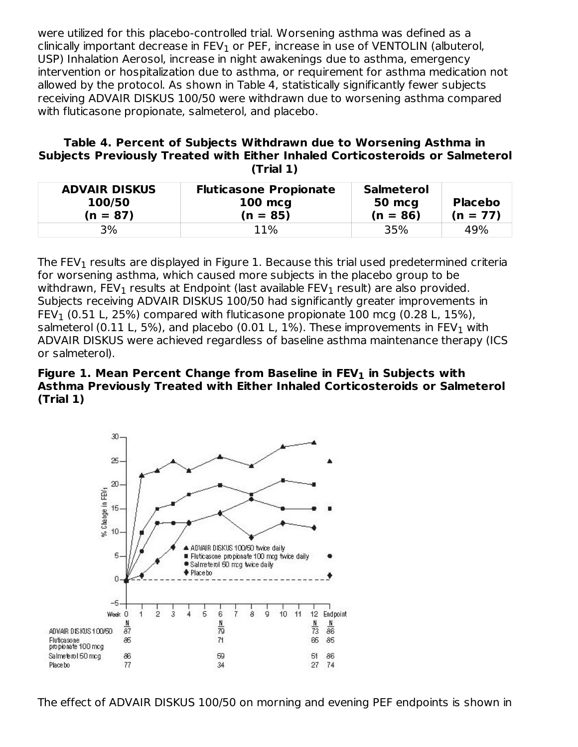were utilized for this placebo-controlled trial. Worsening asthma was defined as a clinically important decrease in FEV $_{\rm 1}$  or PEF, increase in use of VENTOLIN (albuterol, USP) Inhalation Aerosol, increase in night awakenings due to asthma, emergency intervention or hospitalization due to asthma, or requirement for asthma medication not allowed by the protocol. As shown in Table 4, statistically significantly fewer subjects receiving ADVAIR DISKUS 100/50 were withdrawn due to worsening asthma compared with fluticasone propionate, salmeterol, and placebo.

#### **Table 4. Percent of Subjects Withdrawn due to Worsening Asthma in Subjects Previously Treated with Either Inhaled Corticosteroids or Salmeterol (Trial 1)**

| <b>ADVAIR DISKUS</b><br>100/50<br>$(n = 87)$ | <b>Fluticasone Propionate</b><br><b>100 mcg</b><br>$(n = 85)$ | <b>Salmeterol</b><br>50 mcg<br>$(n = 86)$ | <b>Placebo</b><br>$(n = 77)$ |
|----------------------------------------------|---------------------------------------------------------------|-------------------------------------------|------------------------------|
| 3%                                           | 11%                                                           | 35%                                       | 49%                          |

The FEV $_{\rm 1}$  results are displayed in Figure 1. Because this trial used predetermined criteria for worsening asthma, which caused more subjects in the placebo group to be withdrawn, FEV $_{\rm 1}$  results at Endpoint (last available FEV $_{\rm 1}$  result) are also provided. Subjects receiving ADVAIR DISKUS 100/50 had significantly greater improvements in FEV $_1$  (0.51 L, 25%) compared with fluticasone propionate 100 mcg (0.28 L, 15%), salmeterol (0.11 L, 5%), and placebo (0.01 L, 1%). These improvements in FEV $_{\rm 1}$  with ADVAIR DISKUS were achieved regardless of baseline asthma maintenance therapy (ICS or salmeterol).

#### **Figure 1. Mean Percent Change from Baseline in FEV in Subjects with 1Asthma Previously Treated with Either Inhaled Corticosteroids or Salmeterol (Trial 1)**



The effect of ADVAIR DISKUS 100/50 on morning and evening PEF endpoints is shown in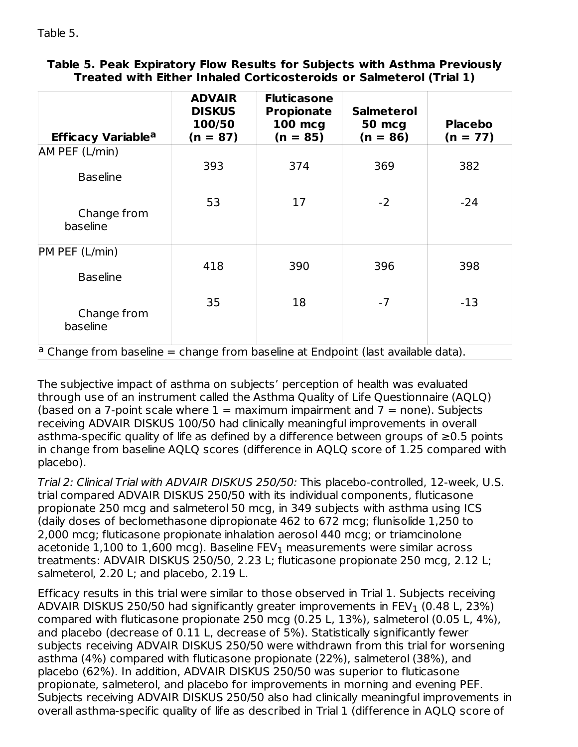|  |                                                                     |  |  | Table 5. Peak Expiratory Flow Results for Subjects with Asthma Previously |
|--|---------------------------------------------------------------------|--|--|---------------------------------------------------------------------------|
|  | Treated with Either Inhaled Corticosteroids or Salmeterol (Trial 1) |  |  |                                                                           |

| <b>Efficacy Variable<sup>a</sup></b>                                                        | <b>ADVAIR</b><br><b>DISKUS</b><br>100/50<br>$(n = 87)$ | <b>Fluticasone</b><br><b>Propionate</b><br><b>100 mcg</b><br>$(n = 85)$ | <b>Salmeterol</b><br><b>50 mcg</b><br>$(n = 86)$ | <b>Placebo</b><br>$(n = 77)$ |
|---------------------------------------------------------------------------------------------|--------------------------------------------------------|-------------------------------------------------------------------------|--------------------------------------------------|------------------------------|
| AM PEF (L/min)                                                                              |                                                        |                                                                         |                                                  |                              |
| <b>Baseline</b>                                                                             | 393                                                    | 374                                                                     | 369                                              | 382                          |
| Change from<br>baseline                                                                     | 53                                                     | 17                                                                      | $-2$                                             | $-24$                        |
| PM PEF (L/min)                                                                              |                                                        |                                                                         |                                                  |                              |
| <b>Baseline</b>                                                                             | 418                                                    | 390                                                                     | 396                                              | 398                          |
| Change from<br>baseline                                                                     | 35                                                     | 18                                                                      | $-7$                                             | $-13$                        |
| <sup>a</sup> Change from baseline = change from baseline at Endpoint (last available data). |                                                        |                                                                         |                                                  |                              |

The subjective impact of asthma on subjects' perception of health was evaluated through use of an instrument called the Asthma Quality of Life Questionnaire (AQLQ) (based on a 7-point scale where  $1 =$  maximum impairment and  $7 =$  none). Subjects receiving ADVAIR DISKUS 100/50 had clinically meaningful improvements in overall asthma-specific quality of life as defined by a difference between groups of ≥0.5 points in change from baseline AQLQ scores (difference in AQLQ score of 1.25 compared with placebo).

Trial 2: Clinical Trial with ADVAIR DISKUS 250/50: This placebo-controlled, 12-week, U.S. trial compared ADVAIR DISKUS 250/50 with its individual components, fluticasone propionate 250 mcg and salmeterol 50 mcg, in 349 subjects with asthma using ICS (daily doses of beclomethasone dipropionate 462 to 672 mcg; flunisolide 1,250 to 2,000 mcg; fluticasone propionate inhalation aerosol 440 mcg; or triamcinolone acetonide  $1,\!100$  to  $1,\!600$  mcg). Baseline FEV $_1$  measurements were similar across treatments: ADVAIR DISKUS 250/50, 2.23 L; fluticasone propionate 250 mcg, 2.12 L; salmeterol, 2.20 L; and placebo, 2.19 L.

Efficacy results in this trial were similar to those observed in Trial 1. Subjects receiving ADVAIR DISKUS 250/50 had significantly greater improvements in FEV $_{\rm 1}$  (0.48 L, 23%) compared with fluticasone propionate 250 mcg (0.25 L, 13%), salmeterol (0.05 L, 4%), and placebo (decrease of 0.11 L, decrease of 5%). Statistically significantly fewer subjects receiving ADVAIR DISKUS 250/50 were withdrawn from this trial for worsening asthma (4%) compared with fluticasone propionate (22%), salmeterol (38%), and placebo (62%). In addition, ADVAIR DISKUS 250/50 was superior to fluticasone propionate, salmeterol, and placebo for improvements in morning and evening PEF. Subjects receiving ADVAIR DISKUS 250/50 also had clinically meaningful improvements in overall asthma-specific quality of life as described in Trial 1 (difference in AQLQ score of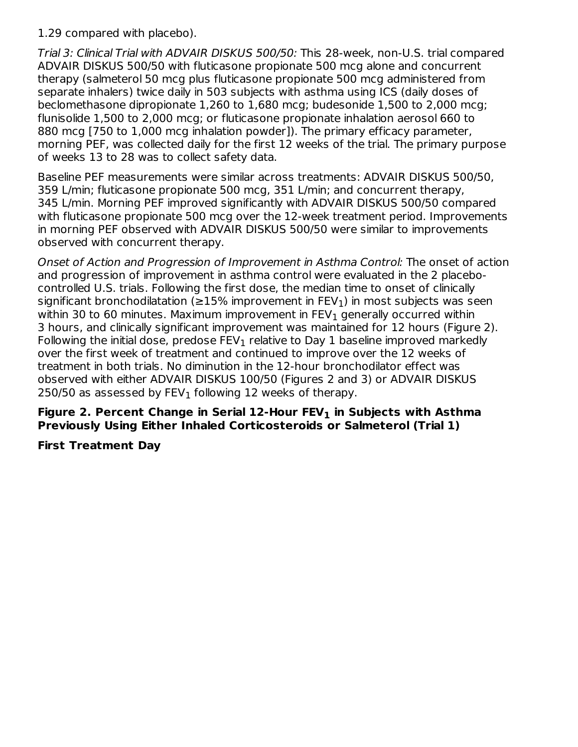1.29 compared with placebo).

Trial 3: Clinical Trial with ADVAIR DISKUS 500/50: This 28-week, non-U.S. trial compared ADVAIR DISKUS 500/50 with fluticasone propionate 500 mcg alone and concurrent therapy (salmeterol 50 mcg plus fluticasone propionate 500 mcg administered from separate inhalers) twice daily in 503 subjects with asthma using ICS (daily doses of beclomethasone dipropionate 1,260 to 1,680 mcg; budesonide 1,500 to 2,000 mcg; flunisolide 1,500 to 2,000 mcg; or fluticasone propionate inhalation aerosol 660 to 880 mcg [750 to 1,000 mcg inhalation powder]). The primary efficacy parameter, morning PEF, was collected daily for the first 12 weeks of the trial. The primary purpose of weeks 13 to 28 was to collect safety data.

Baseline PEF measurements were similar across treatments: ADVAIR DISKUS 500/50, 359 L/min; fluticasone propionate 500 mcg, 351 L/min; and concurrent therapy, 345 L/min. Morning PEF improved significantly with ADVAIR DISKUS 500/50 compared with fluticasone propionate 500 mcg over the 12-week treatment period. Improvements in morning PEF observed with ADVAIR DISKUS 500/50 were similar to improvements observed with concurrent therapy.

Onset of Action and Progression of Improvement in Asthma Control: The onset of action and progression of improvement in asthma control were evaluated in the 2 placebocontrolled U.S. trials. Following the first dose, the median time to onset of clinically significant bronchodilatation (≥15% improvement in FEV $_1$ ) in most subjects was seen within 30 to 60 minutes. Maximum improvement in FEV $_{\rm 1}$  generally occurred within 3 hours, and clinically significant improvement was maintained for 12 hours (Figure 2). Following the initial dose, predose  $\mathsf{FEV}_1$  relative to Day 1 baseline improved markedly over the first week of treatment and continued to improve over the 12 weeks of treatment in both trials. No diminution in the 12-hour bronchodilator effect was observed with either ADVAIR DISKUS 100/50 (Figures 2 and 3) or ADVAIR DISKUS 250/50 as assessed by  $\mathsf{FEV}_1$  following 12 weeks of therapy.

#### **Figure 2. Percent Change in Serial 12-Hour FEV in Subjects with Asthma 1Previously Using Either Inhaled Corticosteroids or Salmeterol (Trial 1)**

#### **First Treatment Day**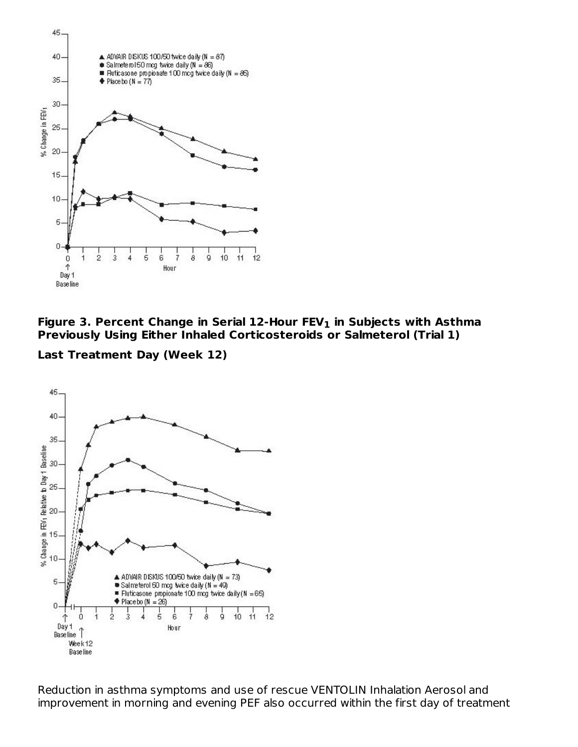



**Last Treatment Day (Week 12)**



Reduction in asthma symptoms and use of rescue VENTOLIN Inhalation Aerosol and improvement in morning and evening PEF also occurred within the first day of treatment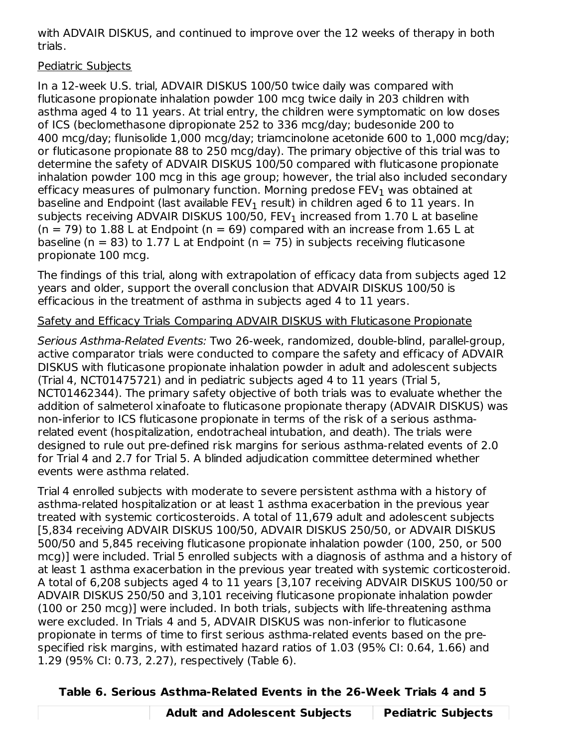with ADVAIR DISKUS, and continued to improve over the 12 weeks of therapy in both trials.

## Pediatric Subjects

In a 12-week U.S. trial, ADVAIR DISKUS 100/50 twice daily was compared with fluticasone propionate inhalation powder 100 mcg twice daily in 203 children with asthma aged 4 to 11 years. At trial entry, the children were symptomatic on low doses of ICS (beclomethasone dipropionate 252 to 336 mcg/day; budesonide 200 to 400 mcg/day; flunisolide 1,000 mcg/day; triamcinolone acetonide 600 to 1,000 mcg/day; or fluticasone propionate 88 to 250 mcg/day). The primary objective of this trial was to determine the safety of ADVAIR DISKUS 100/50 compared with fluticasone propionate inhalation powder 100 mcg in this age group; however, the trial also included secondary efficacy measures of pulmonary function. Morning predose FEV $_{\rm 1}$  was obtained at baseline and Endpoint (last available FEV $_{\rm 1}$  result) in children aged 6 to  ${\rm 11}$  years. In subjects receiving ADVAIR DISKUS 100/50, FEV $_{\rm 1}$  increased from 1.70 L at baseline  $(n = 79)$  to 1.88 L at Endpoint  $(n = 69)$  compared with an increase from 1.65 L at baseline ( $n = 83$ ) to 1.77 L at Endpoint ( $n = 75$ ) in subjects receiving fluticasone propionate 100 mcg.

The findings of this trial, along with extrapolation of efficacy data from subjects aged 12 years and older, support the overall conclusion that ADVAIR DISKUS 100/50 is efficacious in the treatment of asthma in subjects aged 4 to 11 years.

## Safety and Efficacy Trials Comparing ADVAIR DISKUS with Fluticasone Propionate

Serious Asthma-Related Events: Two 26-week, randomized, double-blind, parallel-group, active comparator trials were conducted to compare the safety and efficacy of ADVAIR DISKUS with fluticasone propionate inhalation powder in adult and adolescent subjects (Trial 4, NCT01475721) and in pediatric subjects aged 4 to 11 years (Trial 5, NCT01462344). The primary safety objective of both trials was to evaluate whether the addition of salmeterol xinafoate to fluticasone propionate therapy (ADVAIR DISKUS) was non-inferior to ICS fluticasone propionate in terms of the risk of a serious asthmarelated event (hospitalization, endotracheal intubation, and death). The trials were designed to rule out pre-defined risk margins for serious asthma-related events of 2.0 for Trial 4 and 2.7 for Trial 5. A blinded adjudication committee determined whether events were asthma related.

Trial 4 enrolled subjects with moderate to severe persistent asthma with a history of asthma-related hospitalization or at least 1 asthma exacerbation in the previous year treated with systemic corticosteroids. A total of 11,679 adult and adolescent subjects [5,834 receiving ADVAIR DISKUS 100/50, ADVAIR DISKUS 250/50, or ADVAIR DISKUS 500/50 and 5,845 receiving fluticasone propionate inhalation powder (100, 250, or 500 mcg)] were included. Trial 5 enrolled subjects with a diagnosis of asthma and a history of at least 1 asthma exacerbation in the previous year treated with systemic corticosteroid. A total of 6,208 subjects aged 4 to 11 years [3,107 receiving ADVAIR DISKUS 100/50 or ADVAIR DISKUS 250/50 and 3,101 receiving fluticasone propionate inhalation powder (100 or 250 mcg)] were included. In both trials, subjects with life-threatening asthma were excluded. In Trials 4 and 5, ADVAIR DISKUS was non-inferior to fluticasone propionate in terms of time to first serious asthma-related events based on the prespecified risk margins, with estimated hazard ratios of 1.03 (95% CI: 0.64, 1.66) and 1.29 (95% CI: 0.73, 2.27), respectively (Table 6).

## **Table 6. Serious Asthma-Related Events in the 26-Week Trials 4 and 5**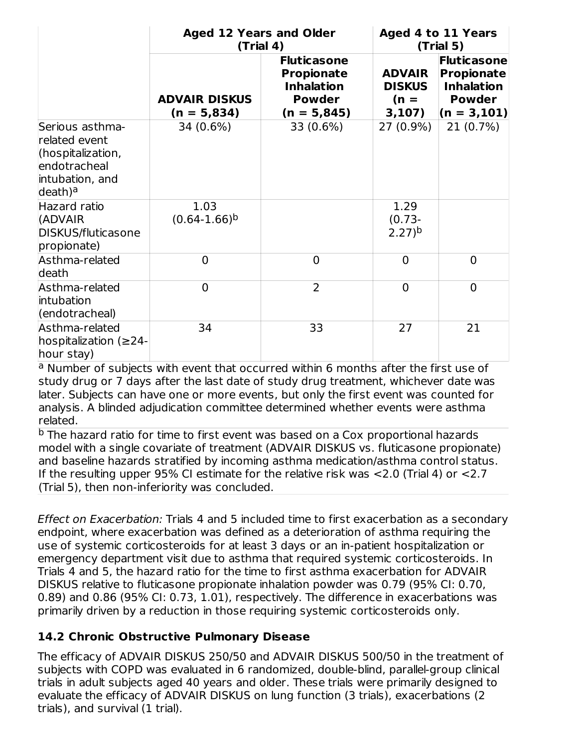|                                                                                                                 | <b>Aged 12 Years and Older</b><br>(Trial 4) |                                                                                                | Aged 4 to 11 Years<br>(Trial 5)                    |                                                                                          |  |
|-----------------------------------------------------------------------------------------------------------------|---------------------------------------------|------------------------------------------------------------------------------------------------|----------------------------------------------------|------------------------------------------------------------------------------------------|--|
|                                                                                                                 | <b>ADVAIR DISKUS</b><br>$(n = 5,834)$       | <b>Fluticasone</b><br><b>Propionate</b><br><b>Inhalation</b><br><b>Powder</b><br>$(n = 5,845)$ | <b>ADVAIR</b><br><b>DISKUS</b><br>$(n =$<br>3,107) | Fluticasone<br><b>Propionate</b><br><b>Inhalation</b><br><b>Powder</b><br>$(n = 3, 101)$ |  |
| Serious asthma-<br>related event<br>(hospitalization,<br>endotracheal<br>intubation, and<br>death) <sup>a</sup> | 34 (0.6%)                                   | 33 (0.6%)                                                                                      | $27(0.9\%)$                                        | $21(0.7\%)$                                                                              |  |
| Hazard ratio<br>(ADVAIR<br>DISKUS/fluticasone<br>propionate)                                                    | 1.03<br>$(0.64-1.66)^{b}$                   |                                                                                                | 1.29<br>$(0.73 -$<br>$2.27$ <sup>b</sup>           |                                                                                          |  |
| Asthma-related<br>death                                                                                         | $\overline{0}$                              | $\Omega$                                                                                       | $\Omega$                                           | $\Omega$                                                                                 |  |
| Asthma-related<br>intubation<br>(endotracheal)                                                                  | $\overline{0}$                              | $\overline{2}$                                                                                 | $\overline{0}$                                     | $\Omega$                                                                                 |  |
| Asthma-related<br>hospitalization ( $\geq$ 24-<br>hour stay)                                                    | 34                                          | 33                                                                                             | 27                                                 | 21                                                                                       |  |

<sup>a</sup> Number of subjects with event that occurred within 6 months after the first use of study drug or 7 days after the last date of study drug treatment, whichever date was later. Subjects can have one or more events, but only the first event was counted for analysis. A blinded adjudication committee determined whether events were asthma related.

<sup>b</sup> The hazard ratio for time to first event was based on a Cox proportional hazards model with a single covariate of treatment (ADVAIR DISKUS vs. fluticasone propionate) and baseline hazards stratified by incoming asthma medication/asthma control status. If the resulting upper 95% CI estimate for the relative risk was <2.0 (Trial 4) or <2.7 (Trial 5), then non-inferiority was concluded.

Effect on Exacerbation: Trials 4 and 5 included time to first exacerbation as a secondary endpoint, where exacerbation was defined as a deterioration of asthma requiring the use of systemic corticosteroids for at least 3 days or an in-patient hospitalization or emergency department visit due to asthma that required systemic corticosteroids. In Trials 4 and 5, the hazard ratio for the time to first asthma exacerbation for ADVAIR DISKUS relative to fluticasone propionate inhalation powder was 0.79 (95% CI: 0.70, 0.89) and 0.86 (95% CI: 0.73, 1.01), respectively. The difference in exacerbations was primarily driven by a reduction in those requiring systemic corticosteroids only.

## **14.2 Chronic Obstructive Pulmonary Disease**

The efficacy of ADVAIR DISKUS 250/50 and ADVAIR DISKUS 500/50 in the treatment of subjects with COPD was evaluated in 6 randomized, double-blind, parallel-group clinical trials in adult subjects aged 40 years and older. These trials were primarily designed to evaluate the efficacy of ADVAIR DISKUS on lung function (3 trials), exacerbations (2 trials), and survival (1 trial).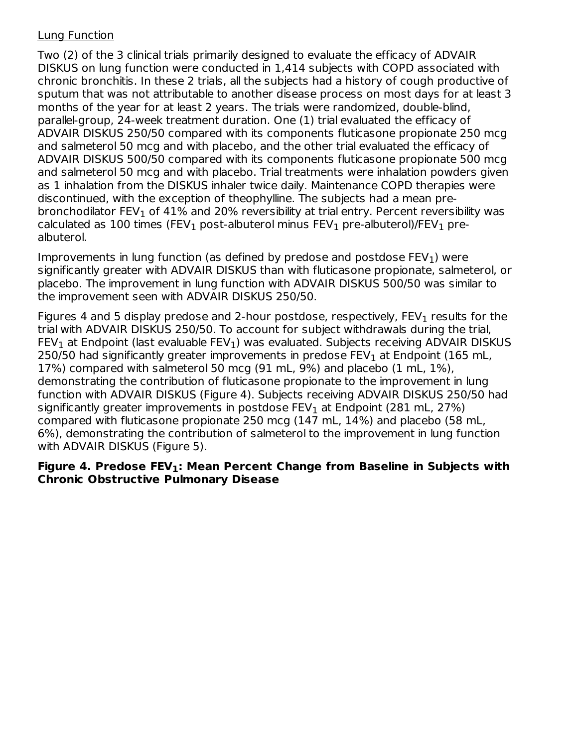#### Lung Function

Two (2) of the 3 clinical trials primarily designed to evaluate the efficacy of ADVAIR DISKUS on lung function were conducted in 1,414 subjects with COPD associated with chronic bronchitis. In these 2 trials, all the subjects had a history of cough productive of sputum that was not attributable to another disease process on most days for at least 3 months of the year for at least 2 years. The trials were randomized, double-blind, parallel-group, 24-week treatment duration. One (1) trial evaluated the efficacy of ADVAIR DISKUS 250/50 compared with its components fluticasone propionate 250 mcg and salmeterol 50 mcg and with placebo, and the other trial evaluated the efficacy of ADVAIR DISKUS 500/50 compared with its components fluticasone propionate 500 mcg and salmeterol 50 mcg and with placebo. Trial treatments were inhalation powders given as 1 inhalation from the DISKUS inhaler twice daily. Maintenance COPD therapies were discontinued, with the exception of theophylline. The subjects had a mean prebronchodilator FEV $_{\rm 1}$  of 41% and 20% reversibility at trial entry. Percent reversibility was calculated as 100 times (FEV $_{\rm 1}$  post-albuterol minus FEV $_{\rm 1}$  pre-albuterol)/FEV $_{\rm 1}$  prealbuterol.

Improvements in lung function (as defined by predose and postdose  $\mathsf{FEV}_1$ ) were significantly greater with ADVAIR DISKUS than with fluticasone propionate, salmeterol, or placebo. The improvement in lung function with ADVAIR DISKUS 500/50 was similar to the improvement seen with ADVAIR DISKUS 250/50.

Figures 4 and 5 display predose and 2-hour postdose, respectively,  $\textsf{FEV}_1$  results for the trial with ADVAIR DISKUS 250/50. To account for subject withdrawals during the trial,  $\mathsf{FEV}_1$  at Endpoint (last evaluable  $\mathsf{FEV}_1$ ) was evaluated. Subjects receiving ADVAIR DISKUS 250/50 had significantly greater improvements in predose FEV $_{\rm 1}$  at Endpoint (165 mL, 17%) compared with salmeterol 50 mcg (91 mL, 9%) and placebo (1 mL, 1%), demonstrating the contribution of fluticasone propionate to the improvement in lung function with ADVAIR DISKUS (Figure 4). Subjects receiving ADVAIR DISKUS 250/50 had significantly greater improvements in postdose FEV $_{\rm 1}$  at Endpoint (281 mL, 27%) compared with fluticasone propionate 250 mcg (147 mL, 14%) and placebo (58 mL, 6%), demonstrating the contribution of salmeterol to the improvement in lung function with ADVAIR DISKUS (Figure 5).

#### **Figure 4. Predose FEV : Mean Percent Change from Baseline in Subjects with 1Chronic Obstructive Pulmonary Disease**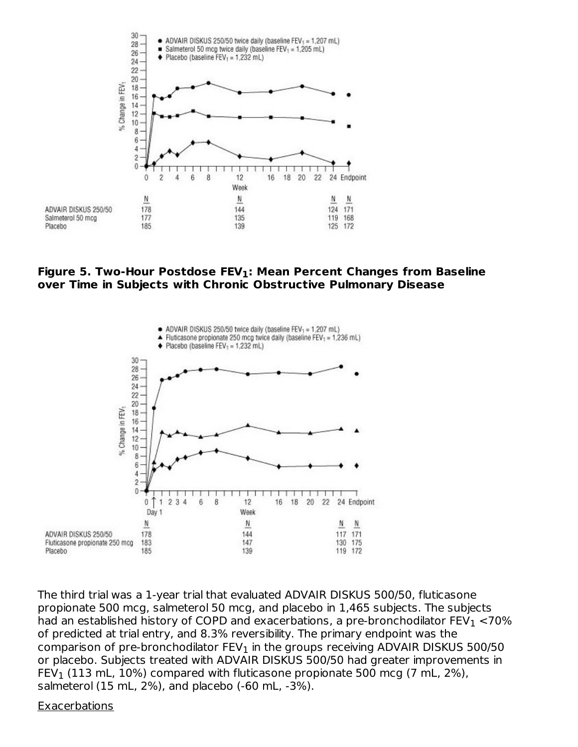

#### **Figure 5. Two-Hour Postdose FEV : Mean Percent Changes from Baseline 1 over Time in Subjects with Chronic Obstructive Pulmonary Disease**



The third trial was a 1-year trial that evaluated ADVAIR DISKUS 500/50, fluticasone propionate 500 mcg, salmeterol 50 mcg, and placebo in 1,465 subjects. The subjects had an established history of COPD and exacerbations, a pre-bronchodilator  $\mathsf{FEV}_1 <$ 70% of predicted at trial entry, and 8.3% reversibility. The primary endpoint was the comparison of pre-bronchodilator  $\mathsf{FEV}_1$  in the groups receiving ADVAIR DISKUS 500/50 or placebo. Subjects treated with ADVAIR DISKUS 500/50 had greater improvements in FEV $_1$  (113 mL, 10%) compared with fluticasone propionate 500 mcg (7 mL, 2%), salmeterol (15 mL, 2%), and placebo (-60 mL, -3%).

#### Exacerbations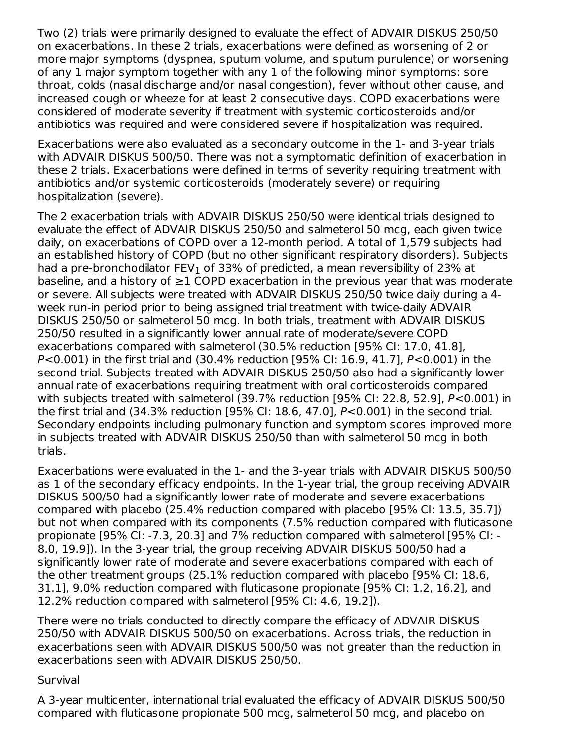Two (2) trials were primarily designed to evaluate the effect of ADVAIR DISKUS 250/50 on exacerbations. In these 2 trials, exacerbations were defined as worsening of 2 or more major symptoms (dyspnea, sputum volume, and sputum purulence) or worsening of any 1 major symptom together with any 1 of the following minor symptoms: sore throat, colds (nasal discharge and/or nasal congestion), fever without other cause, and increased cough or wheeze for at least 2 consecutive days. COPD exacerbations were considered of moderate severity if treatment with systemic corticosteroids and/or antibiotics was required and were considered severe if hospitalization was required.

Exacerbations were also evaluated as a secondary outcome in the 1- and 3-year trials with ADVAIR DISKUS 500/50. There was not a symptomatic definition of exacerbation in these 2 trials. Exacerbations were defined in terms of severity requiring treatment with antibiotics and/or systemic corticosteroids (moderately severe) or requiring hospitalization (severe).

The 2 exacerbation trials with ADVAIR DISKUS 250/50 were identical trials designed to evaluate the effect of ADVAIR DISKUS 250/50 and salmeterol 50 mcg, each given twice daily, on exacerbations of COPD over a 12-month period. A total of 1,579 subjects had an established history of COPD (but no other significant respiratory disorders). Subjects had a pre-bronchodilator FEV $_{\rm 1}$  of 33% of predicted, a mean reversibility of 23% at baseline, and a history of ≥1 COPD exacerbation in the previous year that was moderate or severe. All subjects were treated with ADVAIR DISKUS 250/50 twice daily during a 4 week run-in period prior to being assigned trial treatment with twice-daily ADVAIR DISKUS 250/50 or salmeterol 50 mcg. In both trials, treatment with ADVAIR DISKUS 250/50 resulted in a significantly lower annual rate of moderate/severe COPD exacerbations compared with salmeterol (30.5% reduction [95% CI: 17.0, 41.8], P<0.001) in the first trial and (30.4% reduction [95% CI: 16.9, 41.7], P<0.001) in the second trial. Subjects treated with ADVAIR DISKUS 250/50 also had a significantly lower annual rate of exacerbations requiring treatment with oral corticosteroids compared with subjects treated with salmeterol (39.7% reduction [95% CI: 22.8, 52.9], P<0.001) in the first trial and (34.3% reduction [95% CI: 18.6, 47.0], P<0.001) in the second trial. Secondary endpoints including pulmonary function and symptom scores improved more in subjects treated with ADVAIR DISKUS 250/50 than with salmeterol 50 mcg in both trials.

Exacerbations were evaluated in the 1- and the 3-year trials with ADVAIR DISKUS 500/50 as 1 of the secondary efficacy endpoints. In the 1-year trial, the group receiving ADVAIR DISKUS 500/50 had a significantly lower rate of moderate and severe exacerbations compared with placebo (25.4% reduction compared with placebo [95% CI: 13.5, 35.7]) but not when compared with its components (7.5% reduction compared with fluticasone propionate [95% CI: -7.3, 20.3] and 7% reduction compared with salmeterol [95% CI: - 8.0, 19.9]). In the 3-year trial, the group receiving ADVAIR DISKUS 500/50 had a significantly lower rate of moderate and severe exacerbations compared with each of the other treatment groups (25.1% reduction compared with placebo [95% CI: 18.6, 31.1], 9.0% reduction compared with fluticasone propionate [95% CI: 1.2, 16.2], and 12.2% reduction compared with salmeterol [95% CI: 4.6, 19.2]).

There were no trials conducted to directly compare the efficacy of ADVAIR DISKUS 250/50 with ADVAIR DISKUS 500/50 on exacerbations. Across trials, the reduction in exacerbations seen with ADVAIR DISKUS 500/50 was not greater than the reduction in exacerbations seen with ADVAIR DISKUS 250/50.

#### **Survival**

A 3-year multicenter, international trial evaluated the efficacy of ADVAIR DISKUS 500/50 compared with fluticasone propionate 500 mcg, salmeterol 50 mcg, and placebo on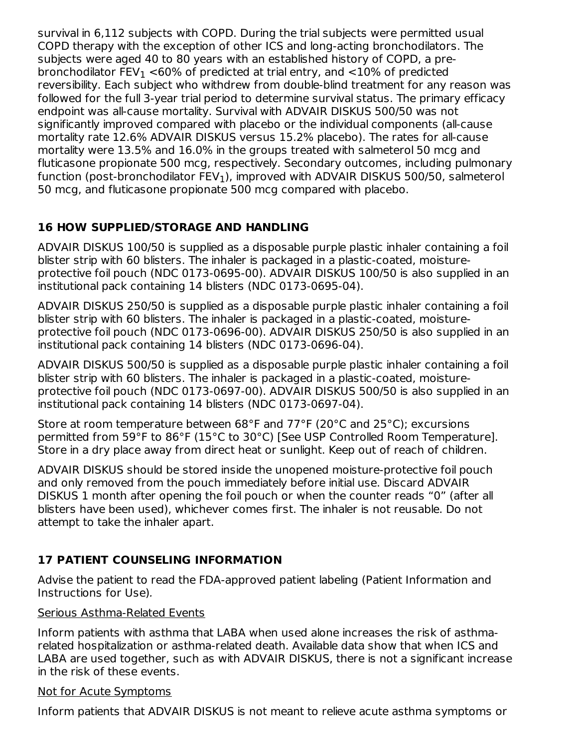survival in 6,112 subjects with COPD. During the trial subjects were permitted usual COPD therapy with the exception of other ICS and long-acting bronchodilators. The subjects were aged 40 to 80 years with an established history of COPD, a prebronchodilator FEV $_{\rm 1}$  <60% of predicted at trial entry, and <10% of predicted reversibility. Each subject who withdrew from double-blind treatment for any reason was followed for the full 3-year trial period to determine survival status. The primary efficacy endpoint was all-cause mortality. Survival with ADVAIR DISKUS 500/50 was not significantly improved compared with placebo or the individual components (all-cause mortality rate 12.6% ADVAIR DISKUS versus 15.2% placebo). The rates for all-cause mortality were 13.5% and 16.0% in the groups treated with salmeterol 50 mcg and fluticasone propionate 500 mcg, respectively. Secondary outcomes, including pulmonary function (post-bronchodilator FEV $_{\rm 1}$ ), improved with ADVAIR DISKUS 500/50, salmeterol 50 mcg, and fluticasone propionate 500 mcg compared with placebo.

## **16 HOW SUPPLIED/STORAGE AND HANDLING**

ADVAIR DISKUS 100/50 is supplied as a disposable purple plastic inhaler containing a foil blister strip with 60 blisters. The inhaler is packaged in a plastic-coated, moistureprotective foil pouch (NDC 0173-0695-00). ADVAIR DISKUS 100/50 is also supplied in an institutional pack containing 14 blisters (NDC 0173-0695-04).

ADVAIR DISKUS 250/50 is supplied as a disposable purple plastic inhaler containing a foil blister strip with 60 blisters. The inhaler is packaged in a plastic-coated, moistureprotective foil pouch (NDC 0173-0696-00). ADVAIR DISKUS 250/50 is also supplied in an institutional pack containing 14 blisters (NDC 0173-0696-04).

ADVAIR DISKUS 500/50 is supplied as a disposable purple plastic inhaler containing a foil blister strip with 60 blisters. The inhaler is packaged in a plastic-coated, moistureprotective foil pouch (NDC 0173-0697-00). ADVAIR DISKUS 500/50 is also supplied in an institutional pack containing 14 blisters (NDC 0173-0697-04).

Store at room temperature between 68°F and 77°F (20°C and 25°C); excursions permitted from 59°F to 86°F (15°C to 30°C) [See USP Controlled Room Temperature]. Store in a dry place away from direct heat or sunlight. Keep out of reach of children.

ADVAIR DISKUS should be stored inside the unopened moisture-protective foil pouch and only removed from the pouch immediately before initial use. Discard ADVAIR DISKUS 1 month after opening the foil pouch or when the counter reads "0" (after all blisters have been used), whichever comes first. The inhaler is not reusable. Do not attempt to take the inhaler apart.

## **17 PATIENT COUNSELING INFORMATION**

Advise the patient to read the FDA-approved patient labeling (Patient Information and Instructions for Use).

#### Serious Asthma-Related Events

Inform patients with asthma that LABA when used alone increases the risk of asthmarelated hospitalization or asthma-related death. Available data show that when ICS and LABA are used together, such as with ADVAIR DISKUS, there is not a significant increase in the risk of these events.

#### Not for Acute Symptoms

Inform patients that ADVAIR DISKUS is not meant to relieve acute asthma symptoms or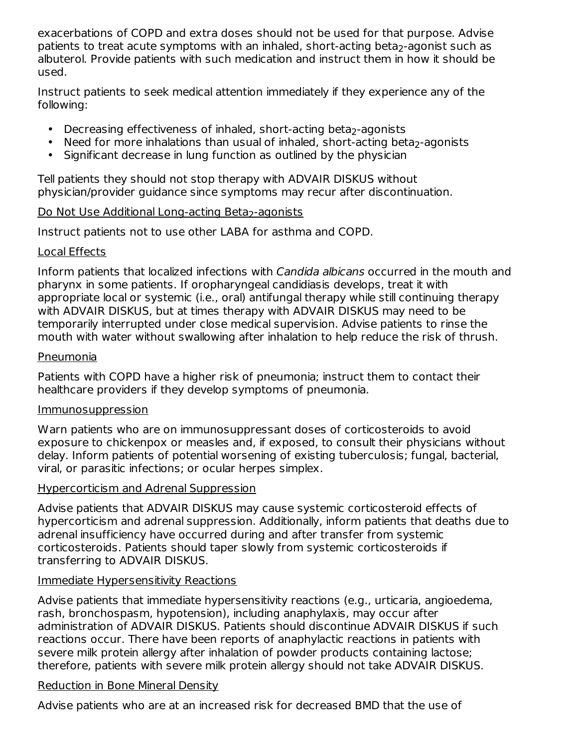exacerbations of COPD and extra doses should not be used for that purpose. Advise patients to treat acute symptoms with an inhaled, short-acting beta<sub>2</sub>-agonist such as albuterol. Provide patients with such medication and instruct them in how it should be used.

Instruct patients to seek medical attention immediately if they experience any of the following:

- Decreasing effectiveness of inhaled, short-acting beta<sub>2</sub>-agonists
- Need for more inhalations than usual of inhaled, short-acting beta<sub>2</sub>-agonists
- Significant decrease in lung function as outlined by the physician

Tell patients they should not stop therapy with ADVAIR DISKUS without physician/provider guidance since symptoms may recur after discontinuation.

## <u>Do Not Use Additional Long-acting Beta<sub>2</sub>-agonists</u>

Instruct patients not to use other LABA for asthma and COPD.

#### Local Effects

Inform patients that localized infections with Candida albicans occurred in the mouth and pharynx in some patients. If oropharyngeal candidiasis develops, treat it with appropriate local or systemic (i.e., oral) antifungal therapy while still continuing therapy with ADVAIR DISKUS, but at times therapy with ADVAIR DISKUS may need to be temporarily interrupted under close medical supervision. Advise patients to rinse the mouth with water without swallowing after inhalation to help reduce the risk of thrush.

#### Pneumonia

Patients with COPD have a higher risk of pneumonia; instruct them to contact their healthcare providers if they develop symptoms of pneumonia.

#### Immunosuppression

Warn patients who are on immunosuppressant doses of corticosteroids to avoid exposure to chickenpox or measles and, if exposed, to consult their physicians without delay. Inform patients of potential worsening of existing tuberculosis; fungal, bacterial, viral, or parasitic infections; or ocular herpes simplex.

#### Hypercorticism and Adrenal Suppression

Advise patients that ADVAIR DISKUS may cause systemic corticosteroid effects of hypercorticism and adrenal suppression. Additionally, inform patients that deaths due to adrenal insufficiency have occurred during and after transfer from systemic corticosteroids. Patients should taper slowly from systemic corticosteroids if transferring to ADVAIR DISKUS.

#### Immediate Hypersensitivity Reactions

Advise patients that immediate hypersensitivity reactions (e.g., urticaria, angioedema, rash, bronchospasm, hypotension), including anaphylaxis, may occur after administration of ADVAIR DISKUS. Patients should discontinue ADVAIR DISKUS if such reactions occur. There have been reports of anaphylactic reactions in patients with severe milk protein allergy after inhalation of powder products containing lactose; therefore, patients with severe milk protein allergy should not take ADVAIR DISKUS.

#### Reduction in Bone Mineral Density

Advise patients who are at an increased risk for decreased BMD that the use of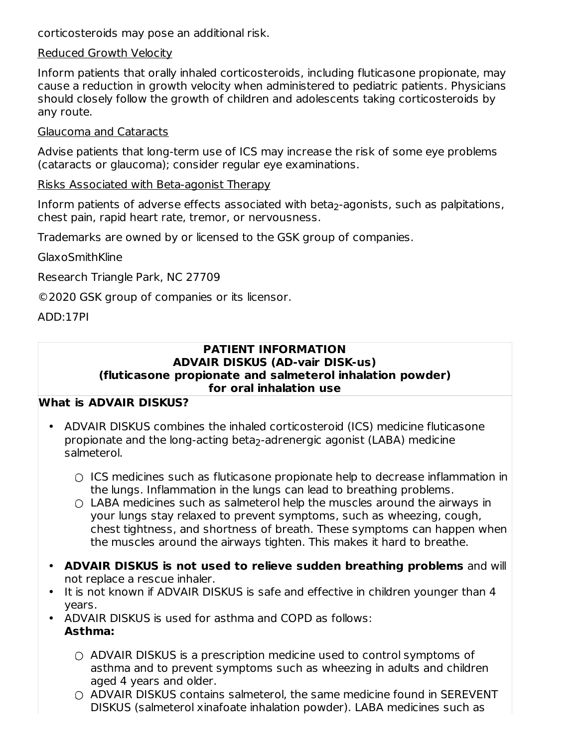corticosteroids may pose an additional risk.

#### Reduced Growth Velocity

Inform patients that orally inhaled corticosteroids, including fluticasone propionate, may cause a reduction in growth velocity when administered to pediatric patients. Physicians should closely follow the growth of children and adolescents taking corticosteroids by any route.

#### Glaucoma and Cataracts

Advise patients that long-term use of ICS may increase the risk of some eye problems (cataracts or glaucoma); consider regular eye examinations.

#### Risks Associated with Beta-agonist Therapy

Inform patients of adverse effects associated with beta $_2$ -agonists, such as palpitations, chest pain, rapid heart rate, tremor, or nervousness.

Trademarks are owned by or licensed to the GSK group of companies.

GlaxoSmithKline

Research Triangle Park, NC 27709

©2020 GSK group of companies or its licensor.

ADD:17PI

#### **PATIENT INFORMATION ADVAIR DISKUS (AD-vair DISK-us) (fluticasone propionate and salmeterol inhalation powder) for oral inhalation use**

#### **What is ADVAIR DISKUS?**

- ADVAIR DISKUS combines the inhaled corticosteroid (ICS) medicine fluticasone propionate and the long-acting beta $_2$ -adrenergic agonist (LABA) medicine salmeterol.
	- ICS medicines such as fluticasone propionate help to decrease inflammation in the lungs. Inflammation in the lungs can lead to breathing problems.
	- LABA medicines such as salmeterol help the muscles around the airways in your lungs stay relaxed to prevent symptoms, such as wheezing, cough, chest tightness, and shortness of breath. These symptoms can happen when the muscles around the airways tighten. This makes it hard to breathe.
- **ADVAIR DISKUS is not used to relieve sudden breathing problems** and will not replace a rescue inhaler.
- It is not known if ADVAIR DISKUS is safe and effective in children younger than 4 years.
- ADVAIR DISKUS is used for asthma and COPD as follows:

## **Asthma:**

- ADVAIR DISKUS is a prescription medicine used to control symptoms of asthma and to prevent symptoms such as wheezing in adults and children aged 4 years and older.
- ADVAIR DISKUS contains salmeterol, the same medicine found in SEREVENT DISKUS (salmeterol xinafoate inhalation powder). LABA medicines such as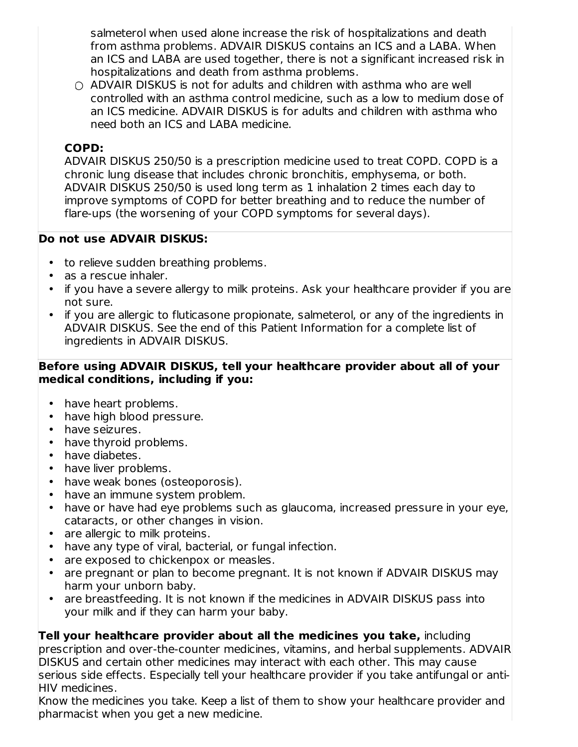salmeterol when used alone increase the risk of hospitalizations and death from asthma problems. ADVAIR DISKUS contains an ICS and a LABA. When an ICS and LABA are used together, there is not a significant increased risk in hospitalizations and death from asthma problems.

○ ADVAIR DISKUS is not for adults and children with asthma who are well controlled with an asthma control medicine, such as a low to medium dose of an ICS medicine. ADVAIR DISKUS is for adults and children with asthma who need both an ICS and LABA medicine.

### **COPD:**

ADVAIR DISKUS 250/50 is a prescription medicine used to treat COPD. COPD is a chronic lung disease that includes chronic bronchitis, emphysema, or both. ADVAIR DISKUS 250/50 is used long term as 1 inhalation 2 times each day to improve symptoms of COPD for better breathing and to reduce the number of flare-ups (the worsening of your COPD symptoms for several days).

#### **Do not use ADVAIR DISKUS:**

- to relieve sudden breathing problems.
- as a rescue inhaler.
- if you have a severe allergy to milk proteins. Ask your healthcare provider if you are not sure.
- if you are allergic to fluticasone propionate, salmeterol, or any of the ingredients in ADVAIR DISKUS. See the end of this Patient Information for a complete list of ingredients in ADVAIR DISKUS.

#### **Before using ADVAIR DISKUS, tell your healthcare provider about all of your medical conditions, including if you:**

- have heart problems.
- have high blood pressure.
- have seizures.
- have thyroid problems.
- have diabetes.
- have liver problems.
- have weak bones (osteoporosis).
- have an immune system problem.
- have or have had eye problems such as glaucoma, increased pressure in your eye, cataracts, or other changes in vision.
- are allergic to milk proteins.
- have any type of viral, bacterial, or fungal infection.
- are exposed to chickenpox or measles.
- are pregnant or plan to become pregnant. It is not known if ADVAIR DISKUS may harm your unborn baby.
- are breastfeeding. It is not known if the medicines in ADVAIR DISKUS pass into your milk and if they can harm your baby.

## **Tell your healthcare provider about all the medicines you take,** including

prescription and over-the-counter medicines, vitamins, and herbal supplements. ADVAIR DISKUS and certain other medicines may interact with each other. This may cause serious side effects. Especially tell your healthcare provider if you take antifungal or anti-HIV medicines.

Know the medicines you take. Keep a list of them to show your healthcare provider and pharmacist when you get a new medicine.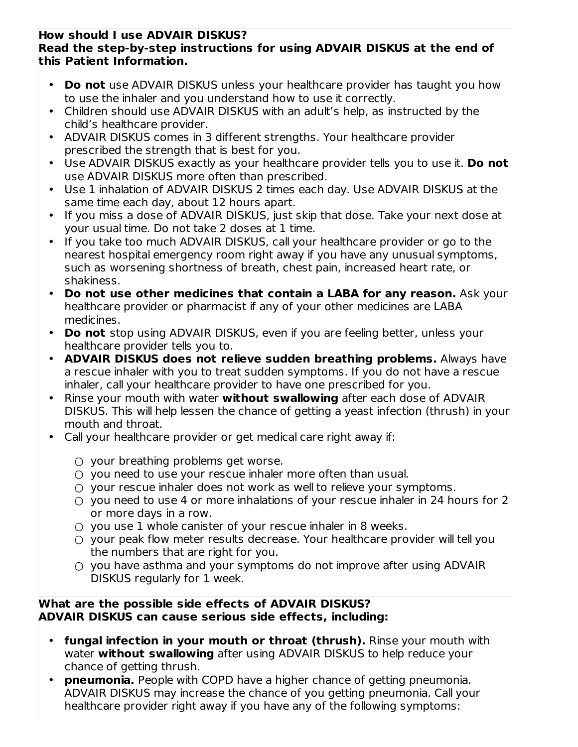#### **How should I use ADVAIR DISKUS? Read the step-by-step instructions for using ADVAIR DISKUS at the end of this Patient Information.**

- **Do not** use ADVAIR DISKUS unless your healthcare provider has taught you how to use the inhaler and you understand how to use it correctly.
- Children should use ADVAIR DISKUS with an adult's help, as instructed by the child's healthcare provider.
- ADVAIR DISKUS comes in 3 different strengths. Your healthcare provider prescribed the strength that is best for you.
- Use ADVAIR DISKUS exactly as your healthcare provider tells you to use it. **Do not** use ADVAIR DISKUS more often than prescribed.
- Use 1 inhalation of ADVAIR DISKUS 2 times each day. Use ADVAIR DISKUS at the same time each day, about 12 hours apart.
- If you miss a dose of ADVAIR DISKUS, just skip that dose. Take your next dose at your usual time. Do not take 2 doses at 1 time.
- If you take too much ADVAIR DISKUS, call your healthcare provider or go to the nearest hospital emergency room right away if you have any unusual symptoms, such as worsening shortness of breath, chest pain, increased heart rate, or shakiness.
- **Do not use other medicines that contain a LABA for any reason.** Ask your healthcare provider or pharmacist if any of your other medicines are LABA medicines.
- **Do not** stop using ADVAIR DISKUS, even if you are feeling better, unless your healthcare provider tells you to.
- **ADVAIR DISKUS does not relieve sudden breathing problems.** Always have a rescue inhaler with you to treat sudden symptoms. If you do not have a rescue inhaler, call your healthcare provider to have one prescribed for you.
- Rinse your mouth with water **without swallowing** after each dose of ADVAIR DISKUS. This will help lessen the chance of getting a yeast infection (thrush) in your mouth and throat.
- Call your healthcare provider or get medical care right away if:
	- your breathing problems get worse.
	- you need to use your rescue inhaler more often than usual.
	- your rescue inhaler does not work as well to relieve your symptoms.
	- you need to use 4 or more inhalations of your rescue inhaler in 24 hours for 2 or more days in a row.
	- you use 1 whole canister of your rescue inhaler in 8 weeks.
	- your peak flow meter results decrease. Your healthcare provider will tell you the numbers that are right for you.
	- you have asthma and your symptoms do not improve after using ADVAIR DISKUS regularly for 1 week.

#### **What are the possible side effects of ADVAIR DISKUS? ADVAIR DISKUS can cause serious side effects, including:**

- **fungal infection in your mouth or throat (thrush).** Rinse your mouth with water **without swallowing** after using ADVAIR DISKUS to help reduce your chance of getting thrush.
- **pneumonia.** People with COPD have a higher chance of getting pneumonia. ADVAIR DISKUS may increase the chance of you getting pneumonia. Call your healthcare provider right away if you have any of the following symptoms: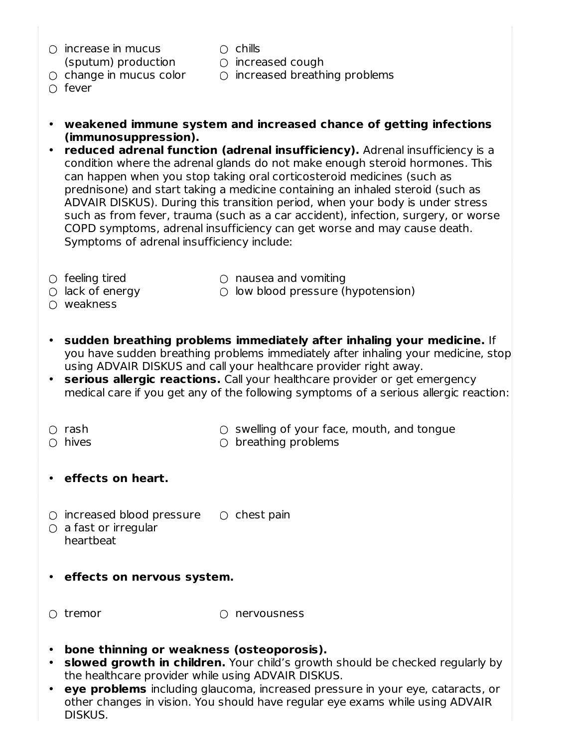- increase in mucus (sputum) production
- chills
- 
- change in mucus color
- increased cough
- increased breathing problems
- fever
- **weakened immune system and increased chance of getting infections (immunosuppression).**
- **reduced adrenal function (adrenal insufficiency).** Adrenal insufficiency is a condition where the adrenal glands do not make enough steroid hormones. This can happen when you stop taking oral corticosteroid medicines (such as prednisone) and start taking a medicine containing an inhaled steroid (such as ADVAIR DISKUS). During this transition period, when your body is under stress such as from fever, trauma (such as a car accident), infection, surgery, or worse COPD symptoms, adrenal insufficiency can get worse and may cause death. Symptoms of adrenal insufficiency include:
- feeling tired

○ nausea and vomiting

- lack of energy
- weakness
- low blood pressure (hypotension)
- **sudden breathing problems immediately after inhaling your medicine.** If you have sudden breathing problems immediately after inhaling your medicine, stop using ADVAIR DISKUS and call your healthcare provider right away.
- **serious allergic reactions.** Call your healthcare provider or get emergency medical care if you get any of the following symptoms of a serious allergic reaction:
- rash

 $\circ$  swelling of your face, mouth, and tongue

○ hives

- $\circlearrowright$  breathing problems
- **effects on heart.**
- $\circ$  increased blood pressure  $\circ$  chest pain
- $\circlearrowright$  a fast or irregular heartbeat
- **effects on nervous system.**
- $\cap$  tremor

 $\Omega$  nervousness

- **bone thinning or weakness (osteoporosis).**
- **slowed growth in children.** Your child's growth should be checked regularly by the healthcare provider while using ADVAIR DISKUS.
- **eye problems** including glaucoma, increased pressure in your eye, cataracts, or other changes in vision. You should have regular eye exams while using ADVAIR DISKUS.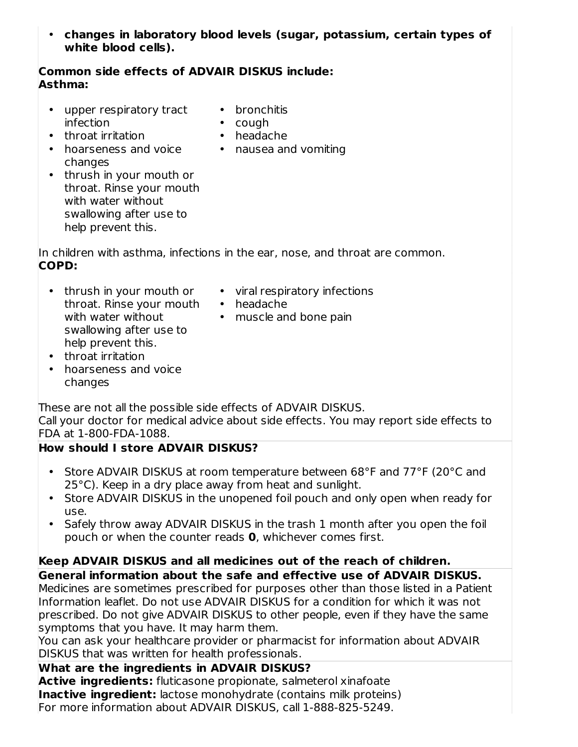• **changes in laboratory blood levels (sugar, potassium, certain types of white blood cells).**

#### **Common side effects of ADVAIR DISKUS include: Asthma:**

- upper respiratory tract infection
- bronchitis
- cough
- throat irritation
- hoarseness and voice changes
- headache • nausea and vomiting
- thrush in your mouth or throat. Rinse your mouth with water without swallowing after use to help prevent this.

In children with asthma, infections in the ear, nose, and throat are common. **COPD:**

- thrush in your mouth or throat. Rinse your mouth with water without swallowing after use to help prevent this.
- viral respiratory infections
- headache
- muscle and bone pain
- throat irritation
- hoarseness and voice changes

These are not all the possible side effects of ADVAIR DISKUS.

Call your doctor for medical advice about side effects. You may report side effects to FDA at 1-800-FDA-1088.

## **How should I store ADVAIR DISKUS?**

- Store ADVAIR DISKUS at room temperature between 68°F and 77°F (20°C and 25°C). Keep in a dry place away from heat and sunlight.
- Store ADVAIR DISKUS in the unopened foil pouch and only open when ready for use.
- Safely throw away ADVAIR DISKUS in the trash 1 month after you open the foil pouch or when the counter reads **0**, whichever comes first.

## **Keep ADVAIR DISKUS and all medicines out of the reach of children.**

**General information about the safe and effective use of ADVAIR DISKUS.**

Medicines are sometimes prescribed for purposes other than those listed in a Patient Information leaflet. Do not use ADVAIR DISKUS for a condition for which it was not prescribed. Do not give ADVAIR DISKUS to other people, even if they have the same symptoms that you have. It may harm them.

You can ask your healthcare provider or pharmacist for information about ADVAIR DISKUS that was written for health professionals.

## **What are the ingredients in ADVAIR DISKUS?**

**Active ingredients:** fluticasone propionate, salmeterol xinafoate **Inactive ingredient:** lactose monohydrate (contains milk proteins) For more information about ADVAIR DISKUS, call 1-888-825-5249.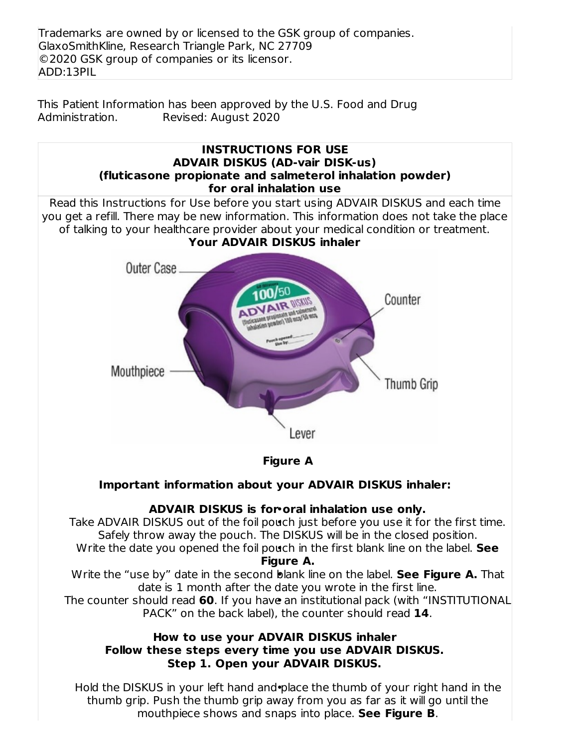Trademarks are owned by or licensed to the GSK group of companies. GlaxoSmithKline, Research Triangle Park, NC 27709 ©2020 GSK group of companies or its licensor. ADD:13PIL

This Patient Information has been approved by the U.S. Food and Drug Administration. Revised: August 2020



Hold the DISKUS in your left hand and place the thumb of your right hand in the thumb grip. Push the thumb grip away from you as far as it will go until the mouthpiece shows and snaps into place. **See Figure B**.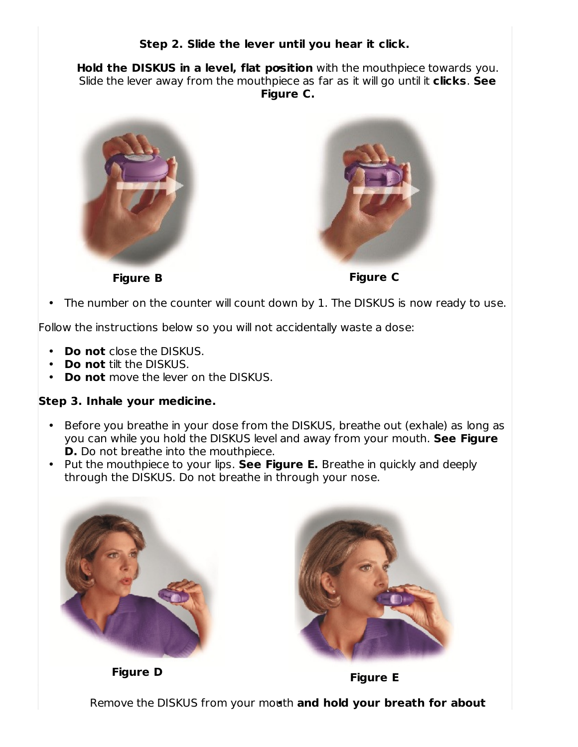#### **Step 2. Slide the lever until you hear it click.**

• **Hold the DISKUS in a level, flat position** with the mouthpiece towards you. Slide the lever away from the mouthpiece as far as it will go until it **clicks**. **See Figure C.**





**Figure B Figure C**

• The number on the counter will count down by 1. The DISKUS is now ready to use.

Follow the instructions below so you will not accidentally waste a dose:

- **Do not** close the DISKUS.
- **Do not** tilt the DISKUS.
- **Do not** move the lever on the DISKUS.

#### **Step 3. Inhale your medicine.**

- Before you breathe in your dose from the DISKUS, breathe out (exhale) as long as you can while you hold the DISKUS level and away from your mouth. **See Figure D.** Do not breathe into the mouthpiece.
- Put the mouthpiece to your lips. **See Figure E.** Breathe in quickly and deeply through the DISKUS. Do not breathe in through your nose.



**Figure <sup>D</sup> Figure <sup>E</sup>**



• Remove the DISKUS from your mouth **and hold your breath for about**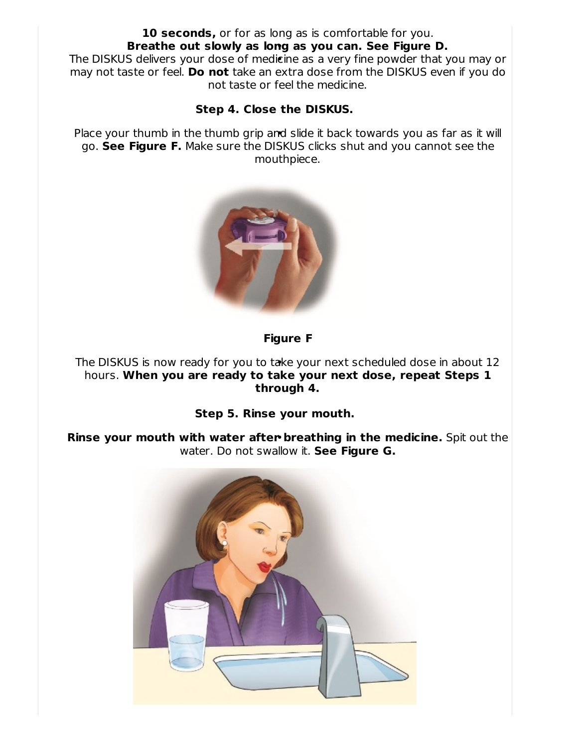#### • **Breathe out slowly as long as you can. See Figure D. 10 seconds,** or for as long as is comfortable for you.

• The DISKUS delivers your dose of medicine as a very fine powder that you may or may not taste or feel. **Do not** take an extra dose from the DISKUS even if you do not taste or feel the medicine.

#### **Step 4. Close the DISKUS.**

Place your thumb in the thumb grip and slide it back towards you as far as it will go. **See Figure F.** Make sure the DISKUS clicks shut and you cannot see the mouthpiece.



## **Figure F**

• The DISKUS is now ready for you to take your next scheduled dose in about 12 hours. **When you are ready to take your next dose, repeat Steps 1 through 4.**

#### **Step 5. Rinse your mouth.**

• **Rinse your mouth with water after breathing in the medicine.** Spit out the water. Do not swallow it. **See Figure G.**

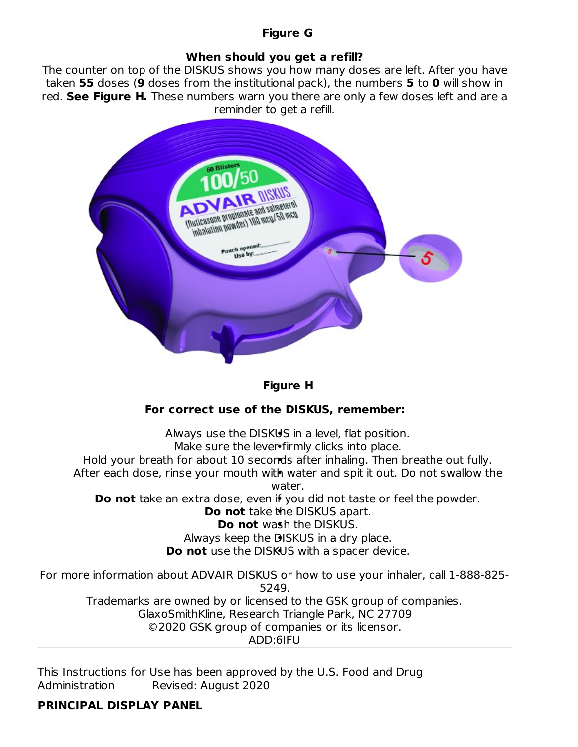## **Figure G**

#### **When should you get a refill?**

The counter on top of the DISKUS shows you how many doses are left. After you have taken **55** doses (**9** doses from the institutional pack), the numbers **5** to **0** will show in red. **See Figure H.** These numbers warn you there are only a few doses left and are a reminder to get a refill.



This Instructions for Use has been approved by the U.S. Food and Drug Administration Revised: August 2020

#### **PRINCIPAL DISPLAY PANEL**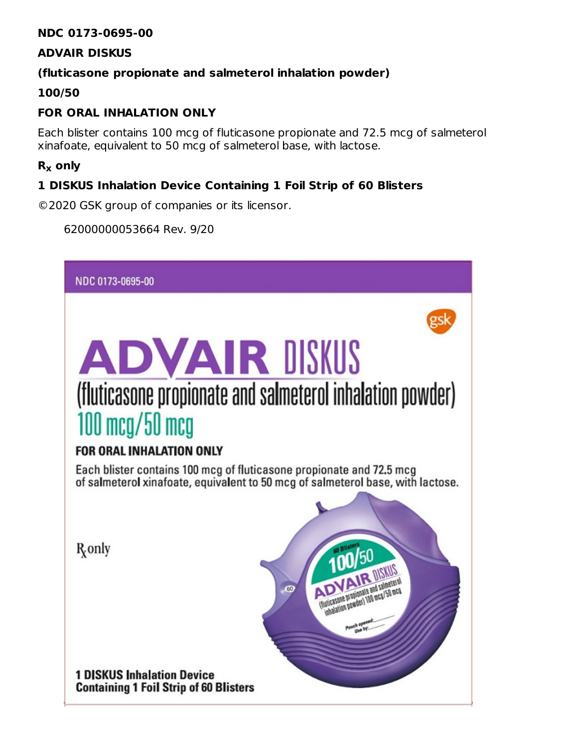#### **NDC 0173-0695-00**

#### **ADVAIR DISKUS**

#### **(fluticasone propionate and salmeterol inhalation powder)**

#### **100/50**

## **FOR ORAL INHALATION ONLY**

Each blister contains 100 mcg of fluticasone propionate and 72.5 mcg of salmeterol xinafoate, equivalent to 50 mcg of salmeterol base, with lactose.

## **R only x**

### **1 DISKUS Inhalation Device Containing 1 Foil Strip of 60 Blisters**

©2020 GSK group of companies or its licensor.

62000000053664 Rev. 9/20

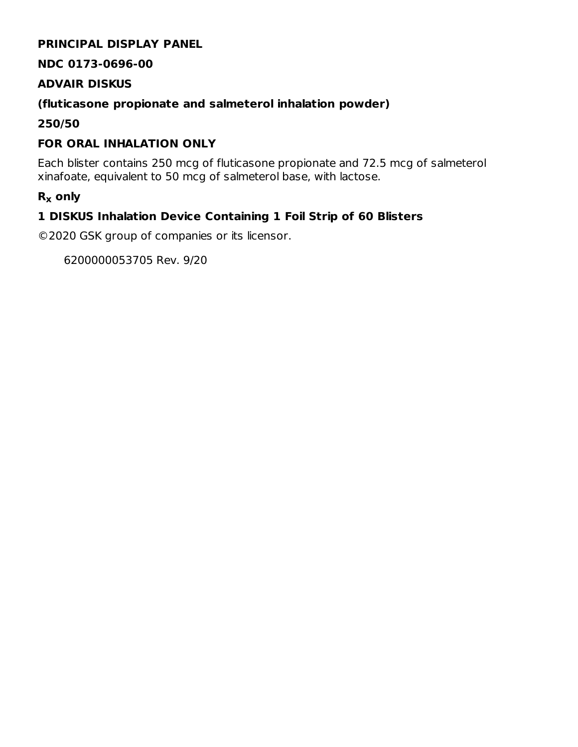### **PRINCIPAL DISPLAY PANEL**

#### **NDC 0173-0696-00**

#### **ADVAIR DISKUS**

### **(fluticasone propionate and salmeterol inhalation powder)**

**250/50**

## **FOR ORAL INHALATION ONLY**

Each blister contains 250 mcg of fluticasone propionate and 72.5 mcg of salmeterol xinafoate, equivalent to 50 mcg of salmeterol base, with lactose.

## **R only x**

## **1 DISKUS Inhalation Device Containing 1 Foil Strip of 60 Blisters**

©2020 GSK group of companies or its licensor.

6200000053705 Rev. 9/20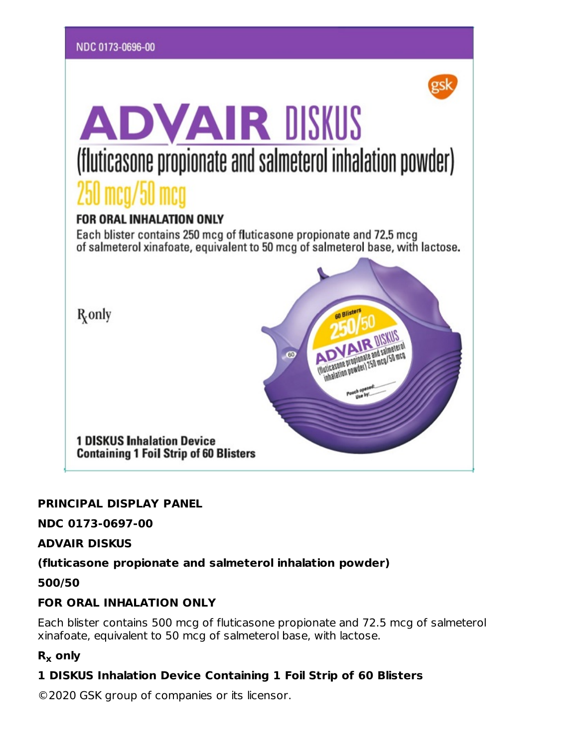

#### **PRINCIPAL DISPLAY PANEL**

#### **NDC 0173-0697-00**

#### **ADVAIR DISKUS**

#### **(fluticasone propionate and salmeterol inhalation powder)**

**500/50**

## **FOR ORAL INHALATION ONLY**

Each blister contains 500 mcg of fluticasone propionate and 72.5 mcg of salmeterol xinafoate, equivalent to 50 mcg of salmeterol base, with lactose.

## **R only x**

## **1 DISKUS Inhalation Device Containing 1 Foil Strip of 60 Blisters**

©2020 GSK group of companies or its licensor.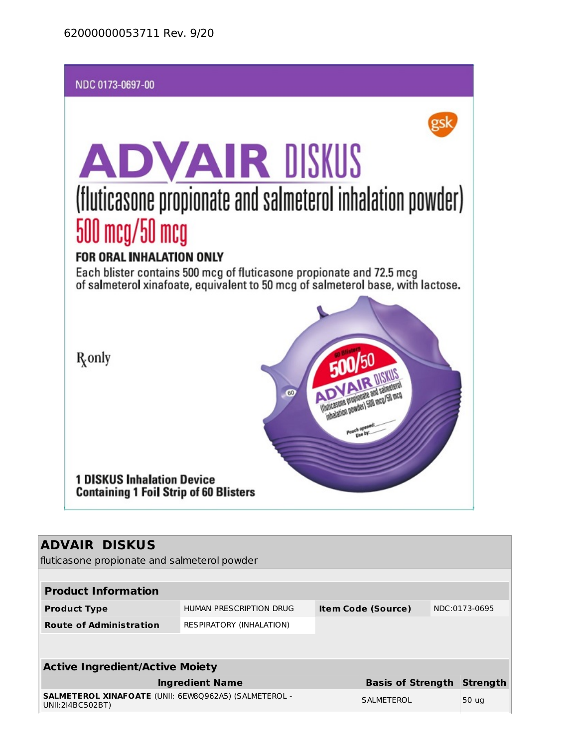

## **ADVAIR DISKUS**

fluticasone propionate and salmeterol powder

| <b>Product Information</b>                                                       |                                        |  |                                                |                          |  |  |  |  |  |  |
|----------------------------------------------------------------------------------|----------------------------------------|--|------------------------------------------------|--------------------------|--|--|--|--|--|--|
| HUMAN PRESCRIPTION DRUG                                                          |                                        |  |                                                | NDC:0173-0695            |  |  |  |  |  |  |
| <b>RESPIRATORY (INHALATION)</b>                                                  |                                        |  |                                                |                          |  |  |  |  |  |  |
|                                                                                  |                                        |  |                                                |                          |  |  |  |  |  |  |
|                                                                                  |                                        |  |                                                |                          |  |  |  |  |  |  |
|                                                                                  |                                        |  |                                                |                          |  |  |  |  |  |  |
| <b>Ingredient Name</b>                                                           |                                        |  |                                                | <b>Strength</b>          |  |  |  |  |  |  |
| <b>SALMETEROL XINAFOATE (UNII: 6EW80962A5) (SALMETEROL -</b><br>UNII:214BC502BT) |                                        |  |                                                | 50 ug                    |  |  |  |  |  |  |
|                                                                                  | <b>Active Ingredient/Active Moiety</b> |  | <b>Item Code (Source)</b><br><b>SALMETEROL</b> | <b>Basis of Strength</b> |  |  |  |  |  |  |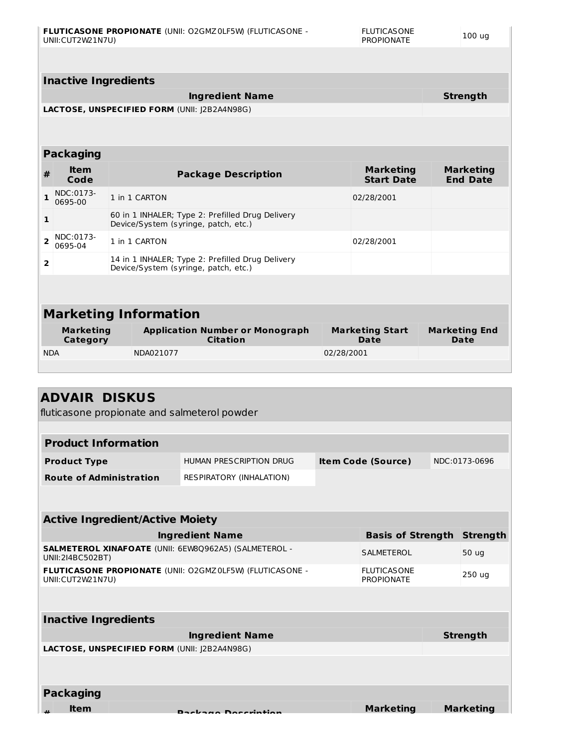|                              | <b>Inactive Ingredients</b>                  |                                                                                          |                                                                                          |                                       |                                     |  |  |  |
|------------------------------|----------------------------------------------|------------------------------------------------------------------------------------------|------------------------------------------------------------------------------------------|---------------------------------------|-------------------------------------|--|--|--|
|                              |                                              | <b>Strength</b>                                                                          |                                                                                          |                                       |                                     |  |  |  |
|                              | LACTOSE, UNSPECIFIED FORM (UNII: I2B2A4N98G) |                                                                                          |                                                                                          |                                       |                                     |  |  |  |
|                              |                                              |                                                                                          |                                                                                          |                                       |                                     |  |  |  |
|                              | <b>Packaging</b>                             |                                                                                          |                                                                                          |                                       |                                     |  |  |  |
| #                            | <b>Item</b><br>Code                          |                                                                                          | <b>Package Description</b>                                                               | <b>Marketing</b><br><b>Start Date</b> | <b>Marketing</b><br><b>End Date</b> |  |  |  |
| $\mathbf{1}$                 | NDC:0173-<br>0695-00                         |                                                                                          | 1 in 1 CARTON                                                                            | 02/28/2001                            |                                     |  |  |  |
| 1                            |                                              | 60 in 1 INHALER; Type 2: Prefilled Drug Delivery<br>Device/System (syringe, patch, etc.) |                                                                                          |                                       |                                     |  |  |  |
| $\overline{2}$               | NDC:0173-<br>0695-04                         |                                                                                          | 1 in 1 CARTON                                                                            | 02/28/2001                            |                                     |  |  |  |
| $\overline{2}$               |                                              |                                                                                          | 14 in 1 INHALER; Type 2: Prefilled Drug Delivery<br>Device/System (syringe, patch, etc.) |                                       |                                     |  |  |  |
|                              |                                              |                                                                                          |                                                                                          |                                       |                                     |  |  |  |
|                              |                                              |                                                                                          |                                                                                          |                                       |                                     |  |  |  |
| <b>Marketing Information</b> |                                              |                                                                                          |                                                                                          |                                       |                                     |  |  |  |
| Category                     |                                              |                                                                                          | <b>Citation</b>                                                                          | <b>Date</b>                           | <b>Date</b>                         |  |  |  |
| <b>NDA</b>                   |                                              |                                                                                          | NDA021077                                                                                | 02/28/2001                            |                                     |  |  |  |
|                              |                                              |                                                                                          |                                                                                          |                                       |                                     |  |  |  |
| <b>Marketing</b>             |                                              |                                                                                          | <b>Application Number or Monograph</b>                                                   | <b>Marketing Start</b>                | <b>Marketing End</b>                |  |  |  |

## **ADVAIR DISKUS**

fluticasone propionate and salmeterol powder

| <b>Product Information</b>     |                          |                           |               |  |  |  |
|--------------------------------|--------------------------|---------------------------|---------------|--|--|--|
| <b>Product Type</b>            | HUMAN PRESCRIPTION DRUG  | <b>Item Code (Source)</b> | NDC:0173-0696 |  |  |  |
| <b>Route of Administration</b> | RESPIRATORY (INHALATION) |                           |               |  |  |  |

| <b>Active Ingredient/Active Moiety</b>                                           |                                         |                  |  |  |  |  |
|----------------------------------------------------------------------------------|-----------------------------------------|------------------|--|--|--|--|
| <b>Ingredient Name</b>                                                           | <b>Basis of Strength</b>                | <b>Strength</b>  |  |  |  |  |
| <b>SALMETEROL XINAFOATE (UNII: 6EW80962A5) (SALMETEROL -</b><br>UNII:214BC502BT) | <b>SALMETEROL</b>                       | 50 ug            |  |  |  |  |
| FLUTICASONE PROPIONATE (UNII: 02GMZ0LF5W) (FLUTICASONE -<br>UNII:CUT2W21N7U)     | <b>FLUTICASONE</b><br><b>PROPIONATE</b> | 250 ug           |  |  |  |  |
| <b>Inactive Ingredients</b>                                                      |                                         |                  |  |  |  |  |
| <b>Ingredient Name</b>                                                           |                                         | <b>Strength</b>  |  |  |  |  |
| <b>LACTOSE, UNSPECIFIED FORM (UNII: I2B2A4N98G)</b>                              |                                         |                  |  |  |  |  |
|                                                                                  |                                         |                  |  |  |  |  |
| <b>Packaging</b>                                                                 |                                         |                  |  |  |  |  |
| <b>Item</b><br>Dockage Decembian                                                 | <b>Marketing</b>                        | <b>Marketing</b> |  |  |  |  |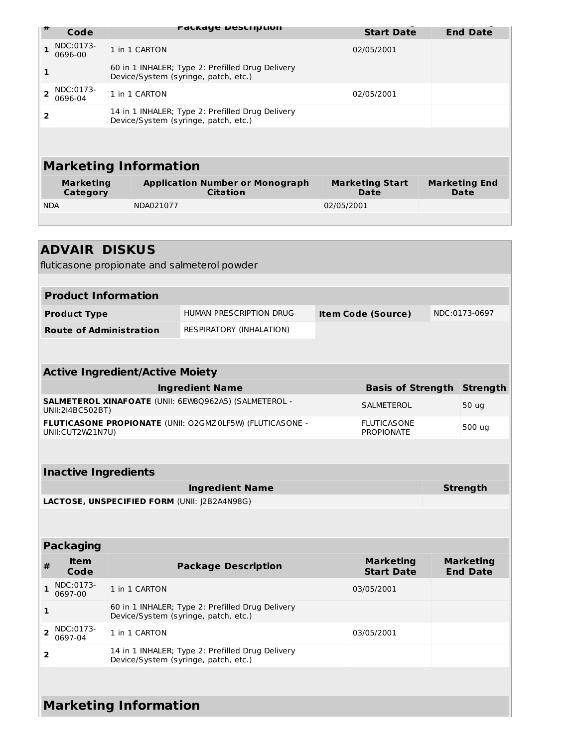| 11                           | Code                 |  |                                                                                          | PALKAYE DESCRIPLION |  |                                | <b>Start Date</b> |  | <b>End Date</b>              |
|------------------------------|----------------------|--|------------------------------------------------------------------------------------------|---------------------|--|--------------------------------|-------------------|--|------------------------------|
| 1                            | NDC:0173-<br>0696-00 |  | 1 in 1 CARTON                                                                            |                     |  |                                | 02/05/2001        |  |                              |
| $\mathbf{1}$                 |                      |  | 60 in 1 INHALER; Type 2: Prefilled Drug Delivery<br>Device/System (syringe, patch, etc.) |                     |  |                                |                   |  |                              |
| $\overline{\phantom{a}}$     | NDC:0173-<br>0696-04 |  | 1 in 1 CARTON                                                                            |                     |  | 02/05/2001                     |                   |  |                              |
| $\overline{2}$               |                      |  | 14 in 1 INHALER; Type 2: Prefilled Drug Delivery<br>Device/System (syringe, patch, etc.) |                     |  |                                |                   |  |                              |
|                              |                      |  |                                                                                          |                     |  |                                |                   |  |                              |
| <b>Marketing Information</b> |                      |  |                                                                                          |                     |  |                                |                   |  |                              |
| <b>Marketing</b><br>Category |                      |  | <b>Application Number or Monograph</b>                                                   | <b>Citation</b>     |  | <b>Marketing Start</b><br>Date |                   |  | <b>Marketing End</b><br>Date |
| <b>NDA</b>                   |                      |  | NDA021077                                                                                |                     |  | 02/05/2001                     |                   |  |                              |
|                              |                      |  |                                                                                          |                     |  |                                |                   |  |                              |
|                              |                      |  |                                                                                          |                     |  |                                |                   |  |                              |

П

| <b>ADVAIR DISKUS</b><br>fluticasone propionate and salmeterol powder         |                                                                                          |                           |                                         |               |                                     |  |  |  |
|------------------------------------------------------------------------------|------------------------------------------------------------------------------------------|---------------------------|-----------------------------------------|---------------|-------------------------------------|--|--|--|
|                                                                              |                                                                                          |                           |                                         |               |                                     |  |  |  |
| <b>Product Information</b>                                                   |                                                                                          |                           |                                         |               |                                     |  |  |  |
| <b>Product Type</b>                                                          | HUMAN PRESCRIPTION DRUG                                                                  | <b>Item Code (Source)</b> |                                         | NDC:0173-0697 |                                     |  |  |  |
| <b>Route of Administration</b>                                               | RESPIRATORY (INHALATION)                                                                 |                           |                                         |               |                                     |  |  |  |
|                                                                              |                                                                                          |                           |                                         |               |                                     |  |  |  |
| <b>Active Ingredient/Active Moiety</b>                                       |                                                                                          |                           |                                         |               |                                     |  |  |  |
|                                                                              | <b>Ingredient Name</b>                                                                   |                           | <b>Basis of Strength</b>                |               | <b>Strength</b>                     |  |  |  |
| SALMETEROL XINAFOATE (UNII: 6EW8Q962A5) (SALMETEROL -<br>UNII:2I4BC502BT)    |                                                                                          |                           | <b>SALMETEROL</b>                       |               | 50 ug                               |  |  |  |
| FLUTICASONE PROPIONATE (UNII: O2GMZ0LF5W) (FLUTICASONE -<br>UNII:CUT2W21N7U) |                                                                                          |                           | <b>FLUTICASONE</b><br><b>PROPIONATE</b> |               | 500 ug                              |  |  |  |
|                                                                              |                                                                                          |                           |                                         |               |                                     |  |  |  |
| <b>Inactive Ingredients</b>                                                  |                                                                                          |                           |                                         |               |                                     |  |  |  |
| <b>Strength</b><br><b>Ingredient Name</b>                                    |                                                                                          |                           |                                         |               |                                     |  |  |  |
|                                                                              |                                                                                          |                           |                                         |               |                                     |  |  |  |
| LACTOSE, UNSPECIFIED FORM (UNII: J2B2A4N98G)                                 |                                                                                          |                           |                                         |               |                                     |  |  |  |
|                                                                              |                                                                                          |                           |                                         |               |                                     |  |  |  |
| <b>Packaging</b>                                                             |                                                                                          |                           |                                         |               |                                     |  |  |  |
| <b>Item</b><br>#<br>Code                                                     | <b>Package Description</b>                                                               |                           | <b>Marketing</b><br><b>Start Date</b>   |               | <b>Marketing</b><br><b>End Date</b> |  |  |  |
| NDC:0173-<br>$\mathbf{1}$<br>1 in 1 CARTON<br>0697-00                        |                                                                                          |                           | 03/05/2001                              |               |                                     |  |  |  |
| 1                                                                            | 60 in 1 INHALER; Type 2: Prefilled Drug Delivery<br>Device/System (syringe, patch, etc.) |                           |                                         |               |                                     |  |  |  |
| NDC:0173-<br>$\overline{2}$<br>1 in 1 CARTON<br>0697-04                      |                                                                                          |                           | 03/05/2001                              |               |                                     |  |  |  |
| 2                                                                            | 14 in 1 INHALER; Type 2: Prefilled Drug Delivery<br>Device/System (syringe, patch, etc.) |                           |                                         |               |                                     |  |  |  |
|                                                                              |                                                                                          |                           |                                         |               |                                     |  |  |  |